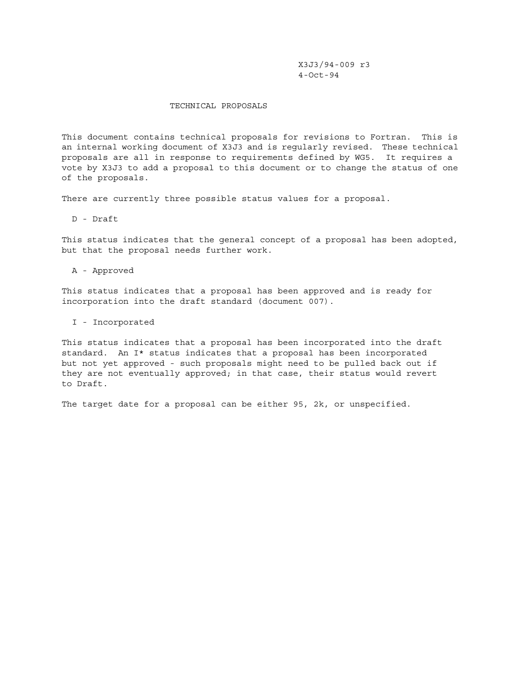X3J3/94-009 r3 4-Oct-94

#### TECHNICAL PROPOSALS

This document contains technical proposals for revisions to Fortran. This is an internal working document of X3J3 and is regularly revised. These technical proposals are all in response to requirements defined by WG5. It requires a vote by X3J3 to add a proposal to this document or to change the status of one of the proposals.

There are currently three possible status values for a proposal.

D - Draft

This status indicates that the general concept of a proposal has been adopted, but that the proposal needs further work.

A - Approved

This status indicates that a proposal has been approved and is ready for incorporation into the draft standard (document 007).

I - Incorporated

This status indicates that a proposal has been incorporated into the draft standard. An I\* status indicates that a proposal has been incorporated but not yet approved - such proposals might need to be pulled back out if they are not eventually approved; in that case, their status would revert to Draft.

The target date for a proposal can be either 95, 2k, or unspecified.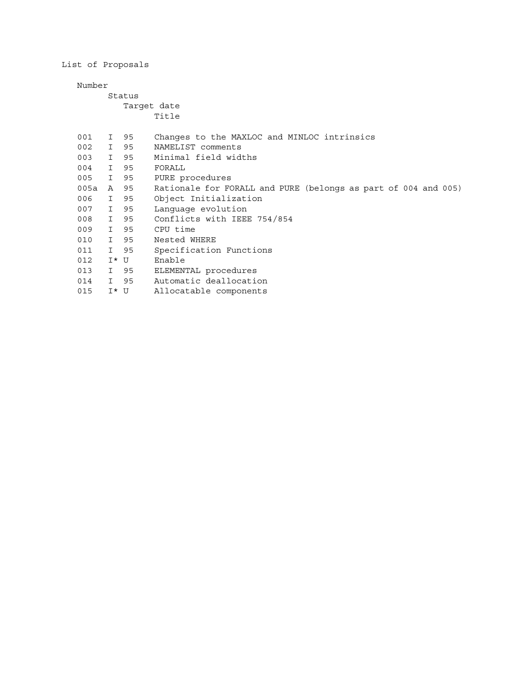List of Proposals

Number

### Status Target date Title

| 001      |         | I 95 | Changes to the MAXLOC and MINLOC intrinsics                    |  |  |  |  |
|----------|---------|------|----------------------------------------------------------------|--|--|--|--|
| 002 I 95 |         |      | NAMELIST comments                                              |  |  |  |  |
| 003      |         | I 95 | Minimal field widths                                           |  |  |  |  |
| 004      |         | I 95 | FORALL                                                         |  |  |  |  |
| 005      | I 95    |      | PURE procedures                                                |  |  |  |  |
| 005a     |         | A 95 | Rationale for FORALL and PURE (belongs as part of 004 and 005) |  |  |  |  |
| 006      |         | I 95 | Object Initialization                                          |  |  |  |  |
| 007 I 95 |         |      | Language evolution                                             |  |  |  |  |
| 008 I 95 |         |      | Conflicts with IEEE 754/854                                    |  |  |  |  |
| 009      |         | I 95 | CPU time                                                       |  |  |  |  |
| 010      |         | I 95 | Nested WHERE                                                   |  |  |  |  |
| 011      | I 95    |      | Specification Functions                                        |  |  |  |  |
| 012      | I* U    |      | Enable                                                         |  |  |  |  |
| 013 I 95 |         |      | ELEMENTAL procedures                                           |  |  |  |  |
| 014      | I 95    |      | Automatic deallocation                                         |  |  |  |  |
| 015      | $I^*$ U |      | Allocatable components                                         |  |  |  |  |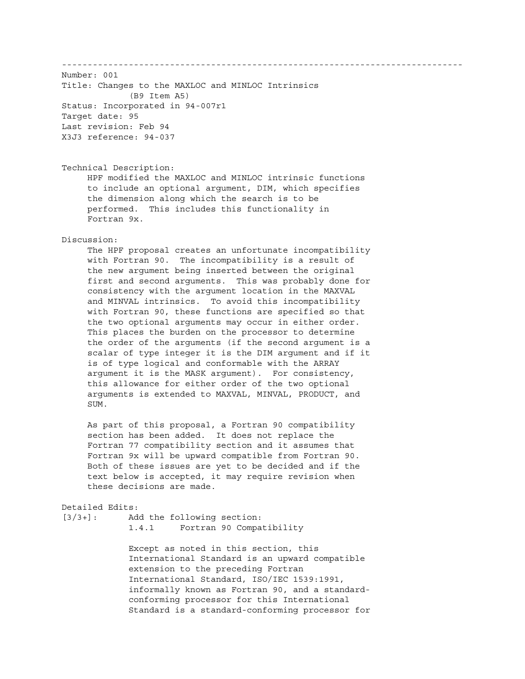------------------------------------------------------------------------------ Number: 001 Title: Changes to the MAXLOC and MINLOC Intrinsics (B9 Item A5) Status: Incorporated in 94-007r1 Target date: 95 Last revision: Feb 94 X3J3 reference: 94-037 Technical Description: HPF modified the MAXLOC and MINLOC intrinsic functions to include an optional argument, DIM, which specifies the dimension along which the search is to be performed. This includes this functionality in Fortran 9x. Discussion: The HPF proposal creates an unfortunate incompatibility with Fortran 90. The incompatibility is a result of the new argument being inserted between the original first and second arguments. This was probably done for consistency with the argument location in the MAXVAL and MINVAL intrinsics. To avoid this incompatibility with Fortran 90, these functions are specified so that the two optional arguments may occur in either order. This places the burden on the processor to determine the order of the arguments (if the second argument is a scalar of type integer it is the DIM argument and if it is of type logical and conformable with the ARRAY argument it is the MASK argument). For consistency, this allowance for either order of the two optional arguments is extended to MAXVAL, MINVAL, PRODUCT, and SUM. As part of this proposal, a Fortran 90 compatibility section has been added. It does not replace the Fortran 77 compatibility section and it assumes that Fortran 9x will be upward compatible from Fortran 90. Both of these issues are yet to be decided and if the text below is accepted, it may require revision when these decisions are made. Detailed Edits: [3/3+]: Add the following section: 1.4.1 Fortran 90 Compatibility Except as noted in this section, this International Standard is an upward compatible extension to the preceding Fortran

 International Standard, ISO/IEC 1539:1991, informally known as Fortran 90, and a standard conforming processor for this International Standard is a standard-conforming processor for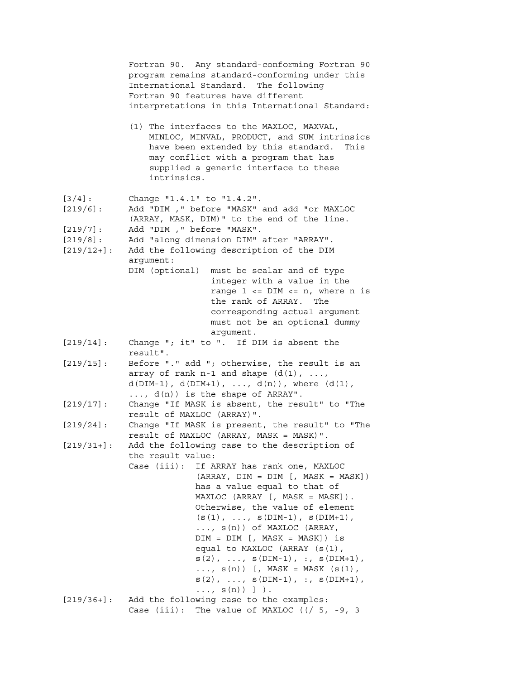|                          | Fortran 90. Any standard-conforming Fortran 90<br>program remains standard-conforming under this<br>International Standard. The following<br>Fortran 90 features have different<br>interpretations in this International Standard:       |
|--------------------------|------------------------------------------------------------------------------------------------------------------------------------------------------------------------------------------------------------------------------------------|
|                          | (1) The interfaces to the MAXLOC, MAXVAL,<br>MINLOC, MINVAL, PRODUCT, and SUM intrinsics<br>have been extended by this standard.<br>This<br>may conflict with a program that has<br>supplied a generic interface to these<br>intrinsics. |
| $[3/4]$ :<br>$[219/6]$ : | Change "1.4.1" to "1.4.2".<br>Add "DIM , " before "MASK" and add "or MAXLOC<br>(ARRAY, MASK, DIM)" to the end of the line.                                                                                                               |
| [219/7]:                 | Add "DIM , " before "MASK".                                                                                                                                                                                                              |
| $[219/8]$ :              | Add "along dimension DIM" after "ARRAY".                                                                                                                                                                                                 |
| $[219/12+]$ :            | Add the following description of the DIM                                                                                                                                                                                                 |
|                          | argument:<br>DIM (optional)<br>must be scalar and of type                                                                                                                                                                                |
|                          | integer with a value in the                                                                                                                                                                                                              |
|                          | range $1 \leq v$ DIM $\leq v$ n, where n is                                                                                                                                                                                              |
|                          | the rank of ARRAY. The                                                                                                                                                                                                                   |
|                          | corresponding actual argument                                                                                                                                                                                                            |
|                          | must not be an optional dummy                                                                                                                                                                                                            |
|                          | argument.                                                                                                                                                                                                                                |
| [219/14]:                | Change "; it" to ". If DIM is absent the<br>result".                                                                                                                                                                                     |
| $[219/15]$ :             | Before "." add "; otherwise, the result is an                                                                                                                                                                                            |
|                          | array of rank $n-1$ and shape $(d(1), ,$                                                                                                                                                                                                 |
|                          | $d(DIM-1)$ , $d(DIM+1)$ , , $d(n)$ ), where $(d(1)$ ,                                                                                                                                                                                    |
|                          | , $d(n)$ is the shape of ARRAY".                                                                                                                                                                                                         |
| [219/17]:                | Change "If MASK is absent, the result" to "The<br>result of MAXLOC (ARRAY)".                                                                                                                                                             |
| $[219/24]$ :             | Change "If MASK is present, the result" to "The<br>result of MAXLOC (ARRAY, MASK = MASK)".                                                                                                                                               |
| $[219/31+]$ :            | Add the following case to the description of                                                                                                                                                                                             |
|                          | the result value:<br>Case (iii): If ARRAY has rank one, MAXLOC                                                                                                                                                                           |
|                          | $(RRRAY, DIM = DIM[, MASK = MASK])$                                                                                                                                                                                                      |
|                          | has a value equal to that of                                                                                                                                                                                                             |
|                          | MAXLOC (ARRAY [, MASK = MASK]).                                                                                                                                                                                                          |
|                          | Otherwise, the value of element                                                                                                                                                                                                          |
|                          | $(s(1), , s(DIM-1), s(DIM+1),$                                                                                                                                                                                                           |
|                          | $\ldots$ , $s(n)$ ) of MAXLOC (ARRAY,                                                                                                                                                                                                    |
|                          | $DIM = DIM$ [, $MASK = MASK$ ]) is                                                                                                                                                                                                       |
|                          | equal to MAXLOC (ARRAY (s(1),                                                                                                                                                                                                            |
|                          | $s(2)$ , , $s(DIM-1)$ , :, $s(DIM+1)$ ,<br>, $s(n)$ [, MASK = MASK ( $s(1)$ ,                                                                                                                                                            |
|                          | $s(2)$ , , $s(DIM-1)$ , :, $s(DIM+1)$ ,                                                                                                                                                                                                  |
|                          | $, s(n)$ ] ).                                                                                                                                                                                                                            |
| $[219/36+]$ :            | Add the following case to the examples:                                                                                                                                                                                                  |
|                          | Case (iii): The value of MAXLOC ( $\binom{7}{5}$ , -9, 3                                                                                                                                                                                 |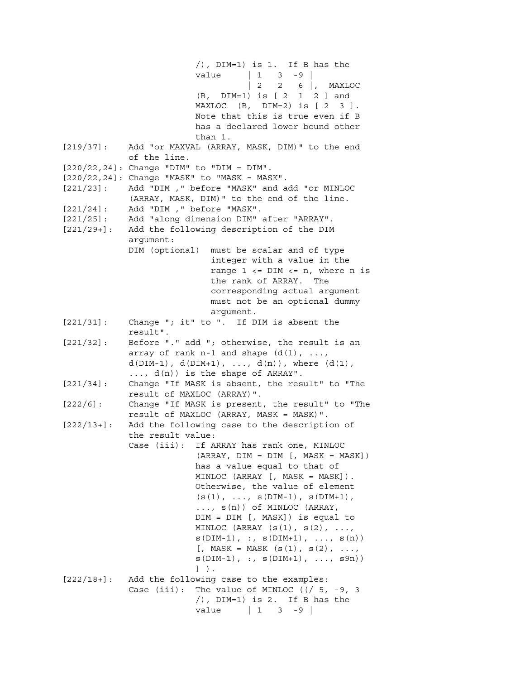/), DIM=1) is 1. If B has the  $value$  | 1 3 -9 | | 2 2 6 |, MAXLOC (B, DIM=1) is [ 2 1 2 ] and MAXLOC (B, DIM=2) is [2 3]. Note that this is true even if B has a declared lower bound other than 1. [219/37]: Add "or MAXVAL (ARRAY, MASK, DIM)" to the end of the line.  $[220/22, 24]$ : Change "DIM" to "DIM = DIM". [220/22,24]: Change "MASK" to "MASK = MASK". [221/23]: Add "DIM ," before "MASK" and add "or MINLOC (ARRAY, MASK, DIM)" to the end of the line. [221/24]: Add "DIM ," before "MASK". [221/25]: Add "along dimension DIM" after "ARRAY". [221/29+]: Add the following description of the DIM argument: DIM (optional) must be scalar and of type integer with a value in the range  $1 \leq DIM \leq n$ , where n is the rank of ARRAY. The corresponding actual argument must not be an optional dummy argument. [221/31]: Change "; it" to ". If DIM is absent the result". [221/32]: Before "." add "; otherwise, the result is an array of rank n-1 and shape  $(d(1), ...,$  $d(DIM-1)$ ,  $d(DIM+1)$ , ...,  $d(n)$ ), where  $(d(1)$ , ..., d(n)) is the shape of ARRAY". [221/34]: Change "If MASK is absent, the result" to "The result of MAXLOC (ARRAY)". [222/6]: Change "If MASK is present, the result" to "The result of MAXLOC (ARRAY, MASK = MASK)". [222/13+]: Add the following case to the description of the result value: Case (iii): If ARRAY has rank one, MINLOC  $(KARAY, DIM = DIM [, MASK = MASK])$  has a value equal to that of MINLOC (ARRAY [, MASK = MASK]). Otherwise, the value of element  $(s(1), ..., s(DIM-1), s(DIM+1),$  ..., s(n)) of MINLOC (ARRAY, DIM = DIM [, MASK]) is equal to MINLOC (ARRAY  $(s(1), s(2), \ldots)$  $s(DIM-1)$ , :,  $s(DIM+1)$ , ...,  $s(n)$  $[$ , MASK = MASK  $(s(1), s(2), \ldots,$  $s(DIM-1)$ , :,  $s(DIM+1)$ , ...,  $s9n)$  ] ). [222/18+]: Add the following case to the examples: Case (iii): The value of MINLOC ( $\frac{1}{5}$ , -9, 3 /), DIM=1) is 2. If B has the value | 1 3 -9 |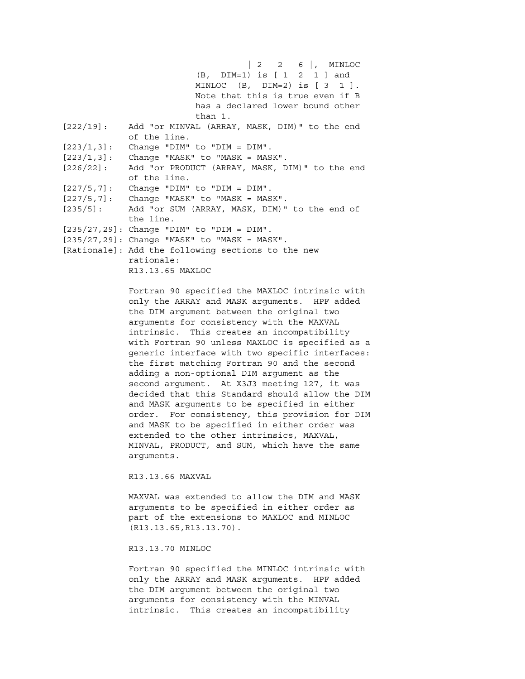| 2 2 6 |, MINLOC (B, DIM=1) is [ 1 2 1 ] and MINLOC (B, DIM=2) is [ 3 1 ]. Note that this is true even if B has a declared lower bound other than 1. [222/19]: Add "or MINVAL (ARRAY, MASK, DIM)" to the end of the line.  $[223/1,3]$ : Change "DIM" to "DIM = DIM".  $[223/1,3]$ : Change "MASK" to "MASK = MASK". [226/22]: Add "or PRODUCT (ARRAY, MASK, DIM)" to the end of the line.  $[227/5, 7]$ : Change "DIM" to "DIM = DIM".  $[227/5, 7]$ : Change "MASK" to "MASK = MASK". [235/5]: Add "or SUM (ARRAY, MASK, DIM)" to the end of the line. [235/27,29]: Change "DIM" to "DIM = DIM". [235/27,29]: Change "MASK" to "MASK = MASK". [Rationale]: Add the following sections to the new rationale: R13.13.65 MAXLOC

> Fortran 90 specified the MAXLOC intrinsic with only the ARRAY and MASK arguments. HPF added the DIM argument between the original two arguments for consistency with the MAXVAL intrinsic. This creates an incompatibility with Fortran 90 unless MAXLOC is specified as a generic interface with two specific interfaces: the first matching Fortran 90 and the second adding a non-optional DIM argument as the second argument. At X3J3 meeting 127, it was decided that this Standard should allow the DIM and MASK arguments to be specified in either order. For consistency, this provision for DIM and MASK to be specified in either order was extended to the other intrinsics, MAXVAL, MINVAL, PRODUCT, and SUM, which have the same arguments.

R13.13.66 MAXVAL

 MAXVAL was extended to allow the DIM and MASK arguments to be specified in either order as part of the extensions to MAXLOC and MINLOC (R13.13.65,R13.13.70).

R13.13.70 MINLOC

 Fortran 90 specified the MINLOC intrinsic with only the ARRAY and MASK arguments. HPF added the DIM argument between the original two arguments for consistency with the MINVAL intrinsic. This creates an incompatibility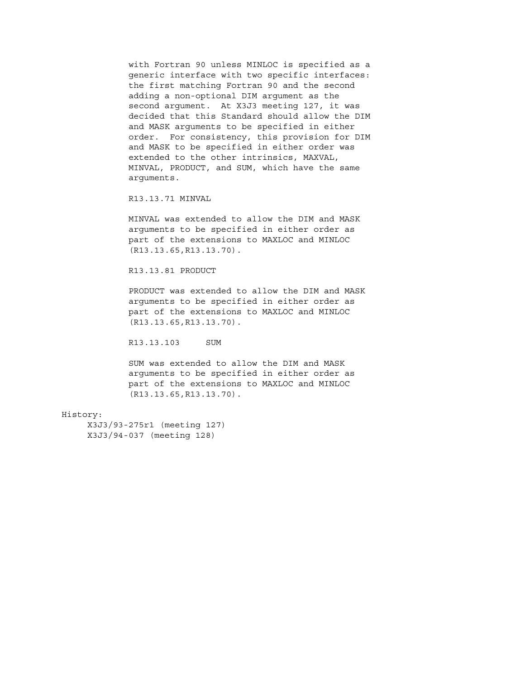with Fortran 90 unless MINLOC is specified as a generic interface with two specific interfaces: the first matching Fortran 90 and the second adding a non-optional DIM argument as the second argument. At X3J3 meeting 127, it was decided that this Standard should allow the DIM and MASK arguments to be specified in either order. For consistency, this provision for DIM and MASK to be specified in either order was extended to the other intrinsics, MAXVAL, MINVAL, PRODUCT, and SUM, which have the same arguments.

R13.13.71 MINVAL

 MINVAL was extended to allow the DIM and MASK arguments to be specified in either order as part of the extensions to MAXLOC and MINLOC (R13.13.65,R13.13.70).

#### R13.13.81 PRODUCT

 PRODUCT was extended to allow the DIM and MASK arguments to be specified in either order as part of the extensions to MAXLOC and MINLOC (R13.13.65,R13.13.70).

R13.13.103 SUM

 SUM was extended to allow the DIM and MASK arguments to be specified in either order as part of the extensions to MAXLOC and MINLOC (R13.13.65,R13.13.70).

#### History:

 X3J3/93-275r1 (meeting 127) X3J3/94-037 (meeting 128)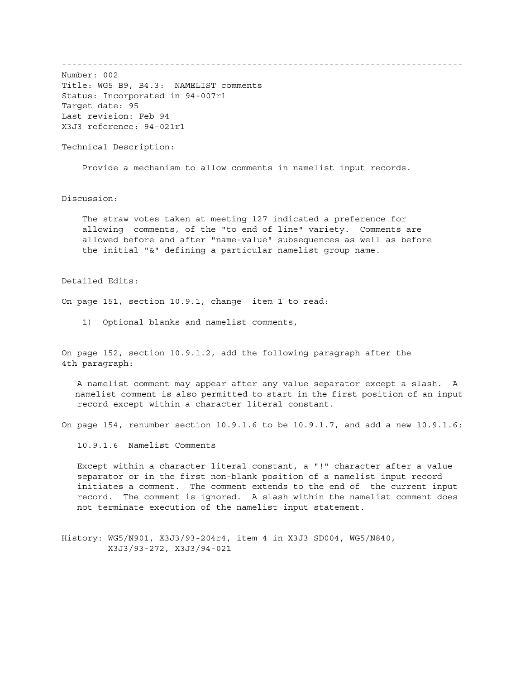------------------------------------------------------------------------------

Number: 002 Title: WG5 B9, B4.3: NAMELIST comments Status: Incorporated in 94-007r1 Target date: 95 Last revision: Feb 94 X3J3 reference: 94-021r1

Technical Description:

Provide a mechanism to allow comments in namelist input records.

Discussion:

 The straw votes taken at meeting 127 indicated a preference for allowing comments, of the "to end of line" variety. Comments are allowed before and after "name-value" subsequences as well as before the initial "&" defining a particular namelist group name.

Detailed Edits:

On page 151, section 10.9.1, change item 1 to read:

1) Optional blanks and namelist comments,

On page 152, section 10.9.1.2, add the following paragraph after the 4th paragraph:

 A namelist comment may appear after any value separator except a slash. A namelist comment is also permitted to start in the first position of an input record except within a character literal constant.

On page 154, renumber section 10.9.1.6 to be 10.9.1.7, and add a new 10.9.1.6:

10.9.1.6 Namelist Comments

 Except within a character literal constant, a "!" character after a value separator or in the first non-blank position of a namelist input record initiates a comment. The comment extends to the end of the current input record. The comment is ignored. A slash within the namelist comment does not terminate execution of the namelist input statement.

History: WG5/N901, X3J3/93-204r4, item 4 in X3J3 SD004, WG5/N840, X3J3/93-272, X3J3/94-021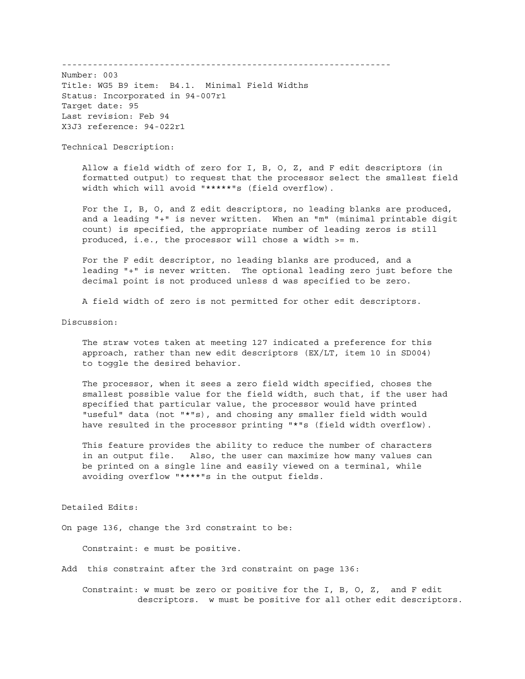----------------------------------------------------------------

Number: 003 Title: WG5 B9 item: B4.1. Minimal Field Widths Status: Incorporated in 94-007r1 Target date: 95 Last revision: Feb 94 X3J3 reference: 94-022r1

Technical Description:

 Allow a field width of zero for I, B, O, Z, and F edit descriptors (in formatted output) to request that the processor select the smallest field width which will avoid "\*\*\*\*\*"s (field overflow).

 For the I, B, O, and Z edit descriptors, no leading blanks are produced, and a leading "+" is never written. When an "m" (minimal printable digit count) is specified, the appropriate number of leading zeros is still produced, i.e., the processor will chose a width >= m.

 For the F edit descriptor, no leading blanks are produced, and a leading "+" is never written. The optional leading zero just before the decimal point is not produced unless d was specified to be zero.

A field width of zero is not permitted for other edit descriptors.

Discussion:

 The straw votes taken at meeting 127 indicated a preference for this approach, rather than new edit descriptors (EX/LT, item 10 in SD004) to toggle the desired behavior.

 The processor, when it sees a zero field width specified, choses the smallest possible value for the field width, such that, if the user had specified that particular value, the processor would have printed "useful" data (not "\*"s), and chosing any smaller field width would have resulted in the processor printing "\*"s (field width overflow).

 This feature provides the ability to reduce the number of characters in an output file. Also, the user can maximize how many values can be printed on a single line and easily viewed on a terminal, while avoiding overflow "\*\*\*\*"s in the output fields.

Detailed Edits:

On page 136, change the 3rd constraint to be:

Constraint: e must be positive.

Add this constraint after the 3rd constraint on page 136:

 Constraint: w must be zero or positive for the I, B, O, Z, and F edit descriptors. w must be positive for all other edit descriptors.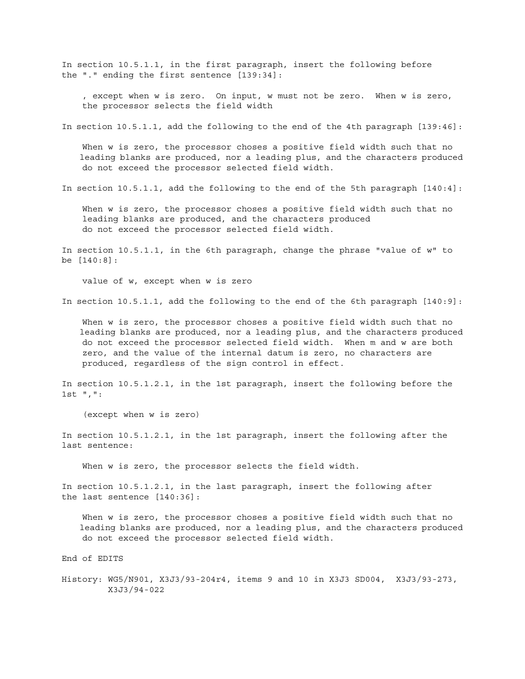In section 10.5.1.1, in the first paragraph, insert the following before the "." ending the first sentence [139:34]:

 , except when w is zero. On input, w must not be zero. When w is zero, the processor selects the field width

In section 10.5.1.1, add the following to the end of the 4th paragraph [139:46]:

 When w is zero, the processor choses a positive field width such that no leading blanks are produced, nor a leading plus, and the characters produced do not exceed the processor selected field width.

In section 10.5.1.1, add the following to the end of the 5th paragraph [140:4]:

 When w is zero, the processor choses a positive field width such that no leading blanks are produced, and the characters produced do not exceed the processor selected field width.

In section 10.5.1.1, in the 6th paragraph, change the phrase "value of w" to be [140:8]:

value of w, except when w is zero

In section 10.5.1.1, add the following to the end of the 6th paragraph [140:9]:

 When w is zero, the processor choses a positive field width such that no leading blanks are produced, nor a leading plus, and the characters produced do not exceed the processor selected field width. When m and w are both zero, and the value of the internal datum is zero, no characters are produced, regardless of the sign control in effect.

In section 10.5.1.2.1, in the 1st paragraph, insert the following before the 1st ",":

(except when w is zero)

In section 10.5.1.2.1, in the 1st paragraph, insert the following after the last sentence:

When w is zero, the processor selects the field width.

In section 10.5.1.2.1, in the last paragraph, insert the following after the last sentence [140:36]:

 When w is zero, the processor choses a positive field width such that no leading blanks are produced, nor a leading plus, and the characters produced do not exceed the processor selected field width.

End of EDITS

History: WG5/N901, X3J3/93-204r4, items 9 and 10 in X3J3 SD004, X3J3/93-273, X3J3/94-022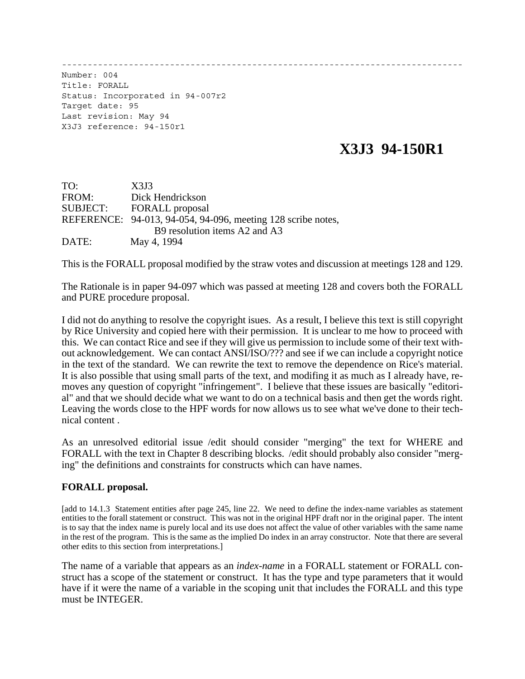------------------------------------------------------------------------------

Number: 004 Title: FORALL Status: Incorporated in 94-007r2 Target date: 95 Last revision: May 94 X3J3 reference: 94-150r1

# **X3J3 94-150R1**

| TO:             | X3J3                                                         |
|-----------------|--------------------------------------------------------------|
| FROM:           | Dick Hendrickson                                             |
| <b>SUBJECT:</b> | <b>FORALL</b> proposal                                       |
|                 | REFERENCE: 94-013, 94-054, 94-096, meeting 128 scribe notes, |
|                 | B9 resolution items A2 and A3                                |
| DATE:           | May 4, 1994                                                  |

This is the FORALL proposal modified by the straw votes and discussion at meetings 128 and 129.

The Rationale is in paper 94-097 which was passed at meeting 128 and covers both the FORALL and PURE procedure proposal.

I did not do anything to resolve the copyright isues. As a result, I believe this text is still copyright by Rice University and copied here with their permission. It is unclear to me how to proceed with this. We can contact Rice and see if they will give us permission to include some of their text without acknowledgement. We can contact ANSI/ISO/??? and see if we can include a copyright notice in the text of the standard. We can rewrite the text to remove the dependence on Rice's material. It is also possible that using small parts of the text, and modifing it as much as I already have, removes any question of copyright "infringement". I believe that these issues are basically "editorial" and that we should decide what we want to do on a technical basis and then get the words right. Leaving the words close to the HPF words for now allows us to see what we've done to their technical content .

As an unresolved editorial issue /edit should consider "merging" the text for WHERE and FORALL with the text in Chapter 8 describing blocks. /edit should probably also consider "merging" the definitions and constraints for constructs which can have names.

## **FORALL proposal.**

[add to 14.1.3 Statement entities after page 245, line 22. We need to define the index-name variables as statement entities to the forall statement or construct. This was not in the original HPF draft nor in the original paper. The intent is to say that the index name is purely local and its use does not affect the value of other variables with the same name in the rest of the program. This is the same as the implied Do index in an array constructor. Note that there are several other edits to this section from interpretations.]

The name of a variable that appears as an *index-name* in a FORALL statement or FORALL construct has a scope of the statement or construct. It has the type and type parameters that it would have if it were the name of a variable in the scoping unit that includes the FORALL and this type must be INTEGER.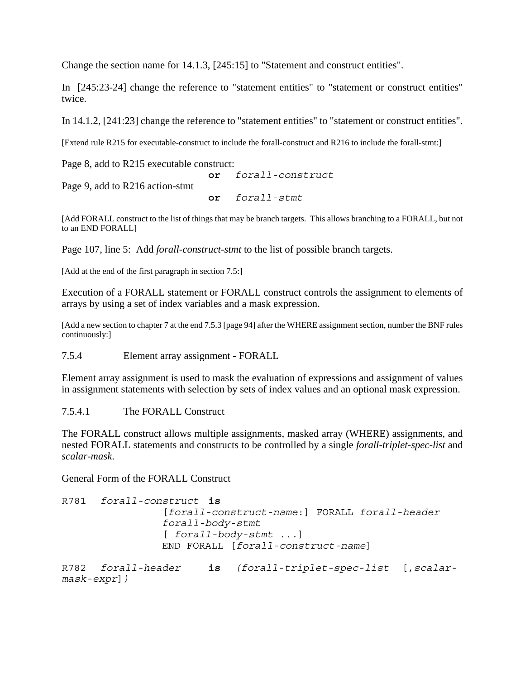Change the section name for 14.1.3, [245:15] to "Statement and construct entities".

In [245:23-24] change the reference to "statement entities" to "statement or construct entities" twice.

In 14.1.2, [241:23] change the reference to "statement entities" to "statement or construct entities".

[Extend rule R215 for executable-construct to include the forall-construct and R216 to include the forall-stmt:]

Page 8, add to R215 executable construct:

**or** *forall-construct* Page 9, add to R216 action-stmt **or** *forall-stmt*

[Add FORALL construct to the list of things that may be branch targets. This allows branching to a FORALL, but not to an END FORALL]

Page 107, line 5: Add *forall-construct-stmt* to the list of possible branch targets.

[Add at the end of the first paragraph in section 7.5:]

Execution of a FORALL statement or FORALL construct controls the assignment to elements of arrays by using a set of index variables and a mask expression.

[Add a new section to chapter 7 at the end 7.5.3 [page 94] after the WHERE assignment section, number the BNF rules continuously:]

7.5.4 Element array assignment - FORALL

Element array assignment is used to mask the evaluation of expressions and assignment of values in assignment statements with selection by sets of index values and an optional mask expression.

7.5.4.1 The FORALL Construct

The FORALL construct allows multiple assignments, masked array (WHERE) assignments, and nested FORALL statements and constructs to be controlled by a single *forall-triplet-spec-list* and *scalar-mask*.

General Form of the FORALL Construct

```
R781 forall-construct is
                [forall-construct-name:] FORALL forall-header
                 forall-body-stmt
                [ forall-body-stmt ...]
                END FORALL [forall-construct-name]
R782 forall-header is (forall-triplet-spec-list [,scalar-
mask-expr])
```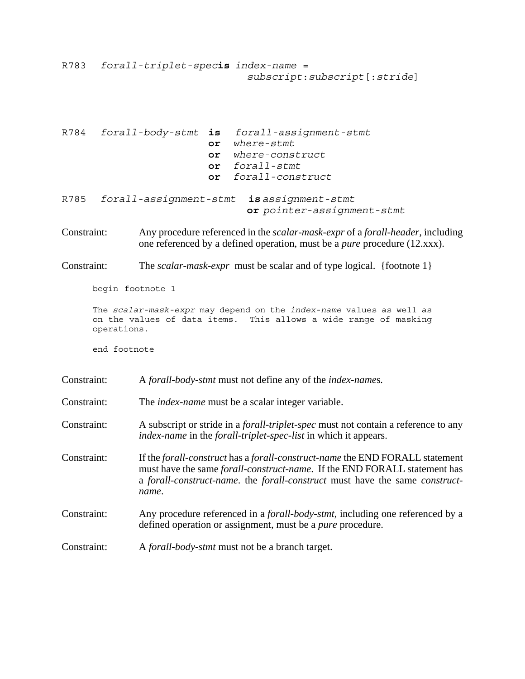R783 *forall-triplet-spec***is** *index-name* = *subscript*:*subscript*[:*stride*]

R784 *forall-body-stmt* **is** *forall-assignment-stmt* **or** *where-stmt* **or** *where-construct* **or** *forall-stmt* **or** *forall-construct* R785 *forall-assignment-stmt* **is** *assignment-stmt* **or** *pointer-assignment-stmt*

Constraint: Any procedure referenced in the *scalar-mask-expr* of a *forall-header*, including one referenced by a defined operation, must be a *pure* procedure (12.xxx).

Constraint: The *scalar-mask-expr* must be scalar and of type logical. {footnote 1}

begin footnote 1

The *scalar-mask-expr* may depend on the *index-name* values as well as on the values of data items. This allows a wide range of masking operations.

end footnote

Constraint: A *forall-body-stmt* must not define any of the *index-name*s*.*

Constraint: The *index-name* must be a scalar integer variable.

Constraint: A subscript or stride in a *forall-triplet-spec* must not contain a reference to any *index-name* in the *forall-triplet-spec-list* in which it appears.

- Constraint: If the *forall-construct* has a *forall-construct-name* the END FORALL statement must have the same *forall-construct-name*. If the END FORALL statement has a *forall-construct-name*. the *forall-construct* must have the same *constructname*.
- Constraint: Any procedure referenced in a *forall-body-stmt*, including one referenced by a defined operation or assignment, must be a *pure* procedure.
- Constraint: A *forall-body-stmt* must not be a branch target.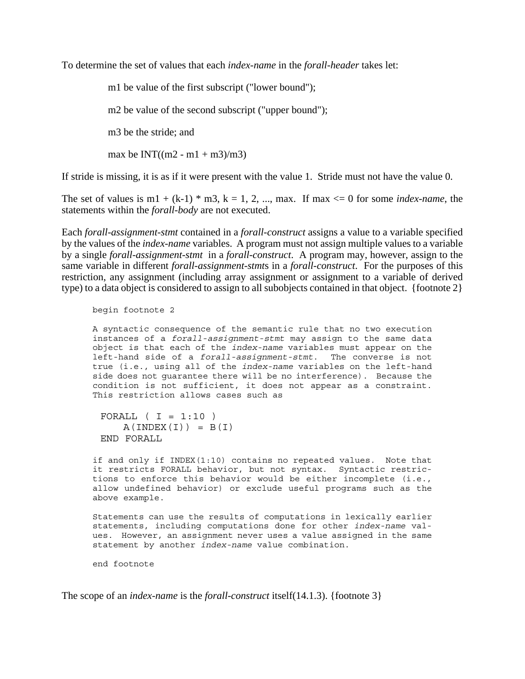To determine the set of values that each *index-name* in the *forall-header* takes let:

m1 be value of the first subscript ("lower bound");

m2 be value of the second subscript ("upper bound");

m3 be the stride; and

max be  $INT((m2 - m1 + m3)/m3)$ 

If stride is missing, it is as if it were present with the value 1. Stride must not have the value 0.

The set of values is  $m1 + (k-1) * m3$ ,  $k = 1, 2, ..., max$ . If max  $\lt = 0$  for some *index-name*, the statements within the *forall-body* are not executed.

Each *forall-assignment-stmt* contained in a *forall-construct* assigns a value to a variable specified by the values of the *index-name* variables. A program must not assign multiple values to a variable by a single *forall-assignment-stmt* in a *forall-construct*. A program may, however, assign to the same variable in different *forall-assignment-stmt*s in a *forall-construct*. For the purposes of this restriction, any assignment (including array assignment or assignment to a variable of derived type) to a data object is considered to assign to all subobjects contained in that object. {footnote 2}

begin footnote 2

A syntactic consequence of the semantic rule that no two execution instances of a *forall-assignment-stmt* may assign to the same data object is that each of the *index-name* variables must appear on the left-hand side of a *forall-assignment-stmt*. The converse is not true (i.e., using all of the *index-name* variables on the left-hand side does not guarantee there will be no interference). Because the condition is not sufficient, it does not appear as a constraint. This restriction allows cases such as

```
FORALL (I = 1:10)A(INDEX(I)) = B(I)END FORALL
```
if and only if INDEX(1:10) contains no repeated values. Note that it restricts FORALL behavior, but not syntax. Syntactic restrictions to enforce this behavior would be either incomplete (i.e., allow undefined behavior) or exclude useful programs such as the above example.

Statements can use the results of computations in lexically earlier statements, including computations done for other *index-name* values. However, an assignment never uses a value assigned in the same statement by another *index-name* value combination.

end footnote

The scope of an *index-name* is the *forall-construct* itself(14.1.3). {footnote 3}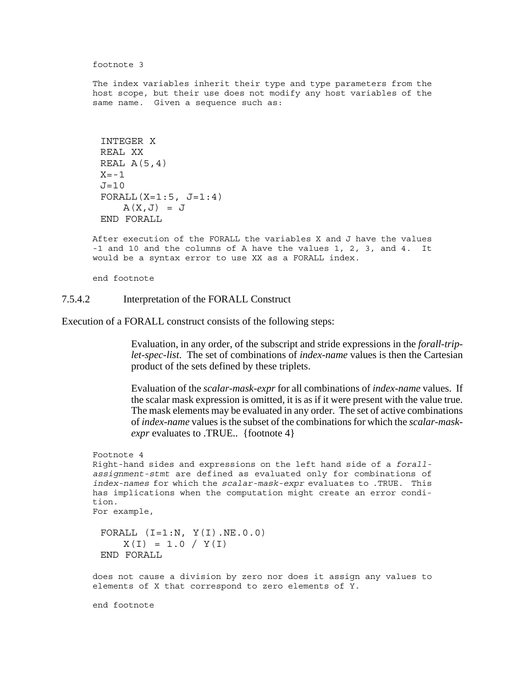footnote 3

The index variables inherit their type and type parameters from the host scope, but their use does not modify any host variables of the same name. Given a sequence such as:

```
INTEGER X
REAL XX
REAL A(5,4)X=-1J=10FORALL(X=1:5, J=1:4)A(X,J) = JEND FORALL
```
After execution of the FORALL the variables X and J have the values -1 and 10 and the columns of A have the values 1, 2, 3, and 4. It would be a syntax error to use XX as a FORALL index.

end footnote

### 7.5.4.2 Interpretation of the FORALL Construct

Execution of a FORALL construct consists of the following steps:

Evaluation, in any order, of the subscript and stride expressions in the *forall-triplet-spec-list*. The set of combinations of *index-name* values is then the Cartesian product of the sets defined by these triplets.

Evaluation of the *scalar-mask-expr* for all combinations of *index-name* values. If the scalar mask expression is omitted, it is as if it were present with the value true. The mask elements may be evaluated in any order. The set of active combinations of *index-name* values is the subset of the combinations for which the *scalar-maskexpr* evaluates to .TRUE.. {footnote 4}

```
Footnote 4
Right-hand sides and expressions on the left hand side of a forall-
assignment-stmt are defined as evaluated only for combinations of
index-names for which the scalar-mask-expr evaluates to .TRUE. This
has implications when the computation might create an error condi-
tion.
For example,
 FORALL (I=1:N, Y(I).NE.0.0)
     X(I) = 1.0 / Y(I)END FORALL
```
does not cause a division by zero nor does it assign any values to elements of X that correspond to zero elements of Y.

end footnote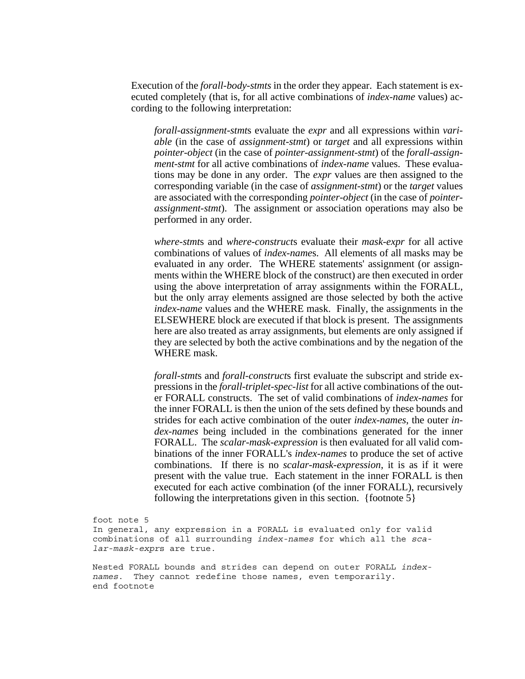Execution of the *forall-body-stmts* in the order they appear. Each statement is executed completely (that is, for all active combinations of *index-name* values) according to the following interpretation:

*forall-assignment-stmt*s evaluate the *expr* and all expressions within *variable* (in the case of *assignment-stmt*) or *target* and all expressions within *pointer-object* (in the case of *pointer-assignment-stmt*) of the *forall-assignment-stmt* for all active combinations of *index-name* values. These evaluations may be done in any order. The *expr* values are then assigned to the corresponding variable (in the case of *assignment-stmt*) or the *target* values are associated with the corresponding *pointer-object* (in the case of *pointerassignment-stmt*). The assignment or association operations may also be performed in any order.

*where-stmt*s and *where-construct*s evaluate their *mask-expr* for all active combinations of values of *index-name*s. All elements of all masks may be evaluated in any order. The WHERE statements' assignment (or assignments within the WHERE block of the construct) are then executed in order using the above interpretation of array assignments within the FORALL, but the only array elements assigned are those selected by both the active *index-name* values and the WHERE mask. Finally, the assignments in the ELSEWHERE block are executed if that block is present. The assignments here are also treated as array assignments, but elements are only assigned if they are selected by both the active combinations and by the negation of the WHERE mask.

*forall-stmt*s and *forall-construct*s first evaluate the subscript and stride expressions in the *forall-triplet-spec-list* for all active combinations of the outer FORALL constructs. The set of valid combinations of *index-names* for the inner FORALL is then the union of the sets defined by these bounds and strides for each active combination of the outer *index-names*, the outer *index-names* being included in the combinations generated for the inner FORALL. The *scalar-mask-expression* is then evaluated for all valid combinations of the inner FORALL's *index-names* to produce the set of active combinations. If there is no *scalar-mask-expression*, it is as if it were present with the value true. Each statement in the inner FORALL is then executed for each active combination (of the inner FORALL), recursively following the interpretations given in this section. {footnote 5}

foot note 5 In general, any expression in a FORALL is evaluated only for valid combinations of all surrounding *index-names* for which all the *scalar-mask-expr*s are true.

Nested FORALL bounds and strides can depend on outer FORALL *indexnames*. They cannot redefine those names, even temporarily. end footnote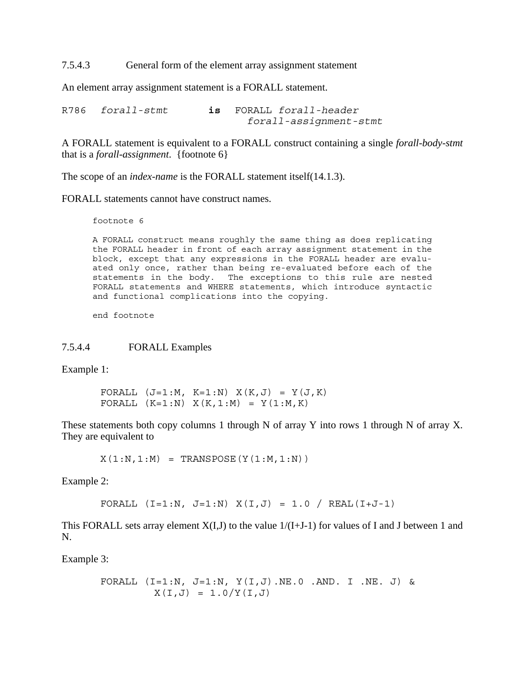7.5.4.3 General form of the element array assignment statement

An element array assignment statement is a FORALL statement.

R786 *forall-stmt* **is** FORALL *forall-header forall-assignment-stmt*

A FORALL statement is equivalent to a FORALL construct containing a single *forall-body-stmt* that is a *forall-assignment*. {footnote 6}

The scope of an *index-name* is the FORALL statement itself(14.1.3).

FORALL statements cannot have construct names.

footnote 6

A FORALL construct means roughly the same thing as does replicating the FORALL header in front of each array assignment statement in the block, except that any expressions in the FORALL header are evaluated only once, rather than being re-evaluated before each of the statements in the body. The exceptions to this rule are nested FORALL statements and WHERE statements, which introduce syntactic and functional complications into the copying.

end footnote

### 7.5.4.4 FORALL Examples

Example 1:

FORALL  $(J=1:M, K=1:N) X(K,J) = Y(J,K)$ FORALL  $(K=1:N) X(K,1:N) = Y(1:M,K)$ 

These statements both copy columns 1 through N of array Y into rows 1 through N of array X. They are equivalent to

 $X(1:N,1:N) = TRANSPOSE(Y(1:N,1:N))$ 

Example 2:

FORALL  $(I=1:N, J=1:N) X(I,J) = 1.0 / REAL(I+J-1)$ 

This FORALL sets array element  $X(I, J)$  to the value  $1/(I+J-1)$  for values of I and J between 1 and N.

Example 3:

FORALL (I=1:N, J=1:N, Y(I,J).NE.0 .AND. I .NE. J) & X(I,J) = 1.0/Y(I,J)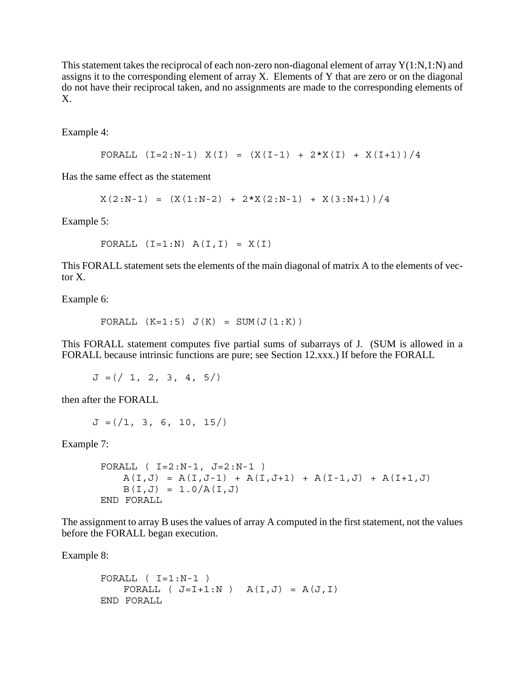This statement takes the reciprocal of each non-zero non-diagonal element of array  $Y(1:N,1:N)$  and assigns it to the corresponding element of array X. Elements of Y that are zero or on the diagonal do not have their reciprocal taken, and no assignments are made to the corresponding elements of X.

Example 4:

```
FORALL (I=2:N-1) X(I) = (X(I-1) + 2*X(I) + X(I+1))/4
```
Has the same effect as the statement

 $X(2:N-1) = (X(1:N-2) + 2*X(2:N-1) + X(3:N+1))/4$ 

Example 5:

FORALL  $(I=1:N)$   $A(I,I) = X(I)$ 

This FORALL statement sets the elements of the main diagonal of matrix A to the elements of vector X.

Example 6:

FORALL  $(K=1:5)$   $J(K) = SUM(J(1:K))$ 

This FORALL statement computes five partial sums of subarrays of J. (SUM is allowed in a FORALL because intrinsic functions are pure; see Section 12.xxx.) If before the FORALL

 $J = ( / 1, 2, 3, 4, 5)$ 

then after the FORALL

 $J = (1, 3, 6, 10, 15)$ 

Example 7:

```
FORALL ( I=2:N-1, J=2:N-1 )
   A(I,J) = A(I,J-1) + A(I,J+1) + A(I-1,J) + A(I+1,J)B(I,J) = 1.0/A(I,J)END FORALL
```
The assignment to array B uses the values of array A computed in the first statement, not the values before the FORALL began execution.

Example 8:

```
FORALL (I=1:N-1)FORALL ( J=I+1:N ) A(I,J) = A(J,I)END FORALL
```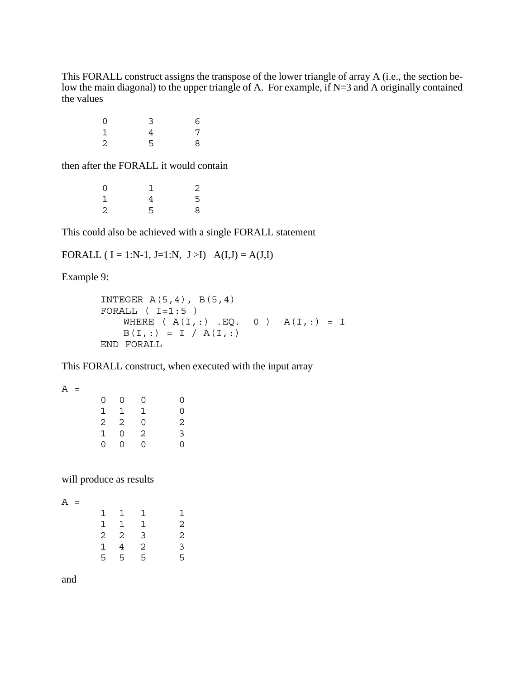This FORALL construct assigns the transpose of the lower triangle of array A (i.e., the section below the main diagonal) to the upper triangle of A. For example, if N=3 and A originally contained the values

| 0              | 3 | 6 |
|----------------|---|---|
| $\mathbf 1$    | 4 | 7 |
| $\overline{2}$ | 5 | 8 |

then after the FORALL it would contain

| 0           |   | 2 |
|-------------|---|---|
| $\mathbf 1$ | 4 | 5 |
| 2           | 5 | 8 |

This could also be achieved with a single FORALL statement

FORALL (  $I = 1:N-1$ ,  $J=1:N$ ,  $J>I$ )  $A(I,J) = A(J,I)$ 

Example 9:

```
INTEGER A(5,4), B(5,4)FORALL (I=1:5)WHERE (A(I,:) . EQ. 0) A(I,:) = IB(I,:) = I / A(I,:)END FORALL
```
This FORALL construct, when executed with the input array

| 0             | 0 | 0 | 0              |
|---------------|---|---|----------------|
|               | 1 | 1 | 0              |
| $\frac{1}{2}$ | 2 | 0 | $\overline{2}$ |
| 1             | 0 | 2 | $\overline{3}$ |
| 0             | 0 | 0 | 0              |

will produce as results

| 1 | 1              | 1 |   |
|---|----------------|---|---|
| 1 | 1              | 1 | 2 |
| 2 | $\overline{c}$ | 3 | 2 |
| 1 | 4              | 2 | 3 |
| 5 | 5              | 5 | 5 |

and

 $A =$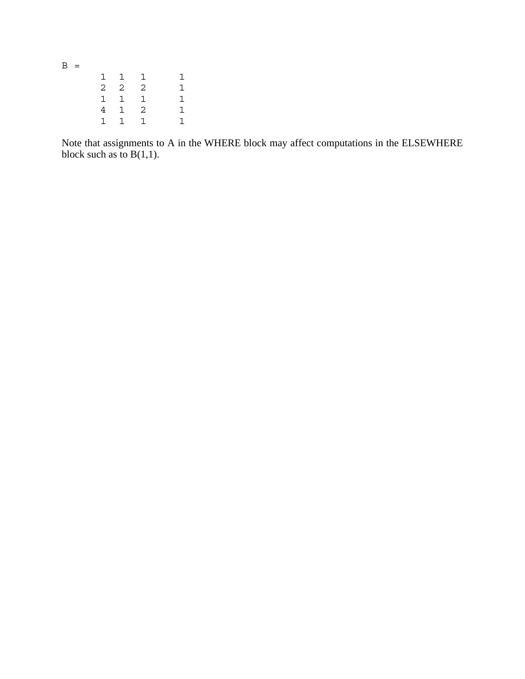$B =$  $\begin{array}{ccccccccc}\n1 & 1 & 1 & & 1 \\
2 & 2 & 2 & & 1\n\end{array}$  $\overline{a}$  $\begin{array}{cccccc} 1 & 1 & 1 & 1 \\ 4 & 1 & 2 & 1 \end{array}$  $\begin{array}{ccccccccc} 4 & 1 & 2 & & 1 \\ 1 & 1 & 1 & & 1 \end{array}$ 1 1 1 1

Note that assignments to A in the WHERE block may affect computations in the ELSEWHERE block such as to  $B(1,1)$ .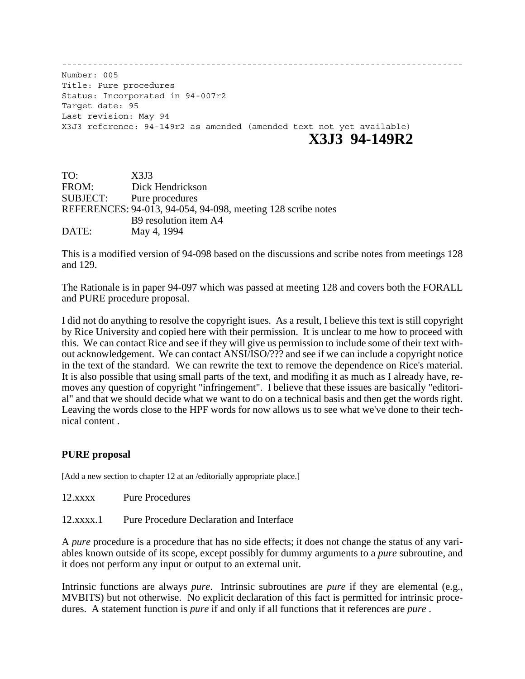------------------------------------------------------------------------------ Number: 005 Title: Pure procedures Status: Incorporated in 94-007r2 Target date: 95 Last revision: May 94 X3J3 reference: 94-149r2 as amended (amended text not yet available) **X3J3 94-149R2**

| TO:      | X3J3                                                         |
|----------|--------------------------------------------------------------|
| FROM:    | Dick Hendrickson                                             |
| SUBJECT: | Pure procedures                                              |
|          | REFERENCES: 94-013, 94-054, 94-098, meeting 128 scribe notes |
|          | B9 resolution item A4                                        |
| DATE:    | May 4, 1994                                                  |

This is a modified version of 94-098 based on the discussions and scribe notes from meetings 128 and 129.

The Rationale is in paper 94-097 which was passed at meeting 128 and covers both the FORALL and PURE procedure proposal.

I did not do anything to resolve the copyright isues. As a result, I believe this text is still copyright by Rice University and copied here with their permission. It is unclear to me how to proceed with this. We can contact Rice and see if they will give us permission to include some of their text without acknowledgement. We can contact ANSI/ISO/??? and see if we can include a copyright notice in the text of the standard. We can rewrite the text to remove the dependence on Rice's material. It is also possible that using small parts of the text, and modifing it as much as I already have, removes any question of copyright "infringement". I believe that these issues are basically "editorial" and that we should decide what we want to do on a technical basis and then get the words right. Leaving the words close to the HPF words for now allows us to see what we've done to their technical content .

## **PURE proposal**

[Add a new section to chapter 12 at an /editorially appropriate place.]

12.xxxx Pure Procedures

12.xxxx.1 Pure Procedure Declaration and Interface

A *pure* procedure is a procedure that has no side effects; it does not change the status of any variables known outside of its scope, except possibly for dummy arguments to a *pure* subroutine, and it does not perform any input or output to an external unit.

Intrinsic functions are always *pure*. Intrinsic subroutines are *pure* if they are elemental (e.g., MVBITS) but not otherwise. No explicit declaration of this fact is permitted for intrinsic procedures. A statement function is *pure* if and only if all functions that it references are *pure* .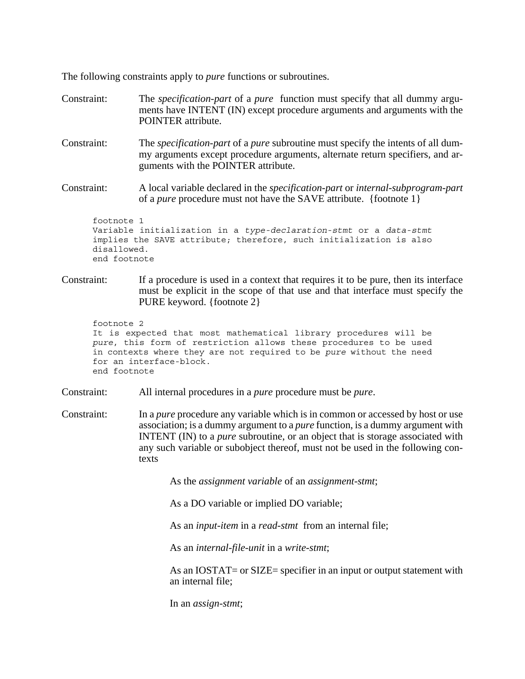The following constraints apply to *pure* functions or subroutines.

Constraint: The *specification-part* of a *pure* function must specify that all dummy arguments have INTENT (IN) except procedure arguments and arguments with the POINTER attribute. Constraint: The *specification-part* of a *pure* subroutine must specify the intents of all dummy arguments except procedure arguments, alternate return specifiers, and arguments with the POINTER attribute. Constraint: A local variable declared in the *specification-part* or *internal-subprogram-part* of a *pure* procedure must not have the SAVE attribute. {footnote 1} footnote 1 Variable initialization in a *type-declaration-stmt* or a *data-stmt*

```
implies the SAVE attribute; therefore, such initialization is also
disallowed.
end footnote
```
Constraint: If a procedure is used in a context that requires it to be pure, then its interface must be explicit in the scope of that use and that interface must specify the PURE keyword. {footnote 2}

```
footnote 2
It is expected that most mathematical library procedures will be
pure, this form of restriction allows these procedures to be used
in contexts where they are not required to be pure without the need
for an interface-block.
end footnote
```
- Constraint: All internal procedures in a *pure* procedure must be *pure*.
- Constraint: In a *pure* procedure any variable which is in common or accessed by host or use association; is a dummy argument to a *pure* function, is a dummy argument with INTENT (IN) to a *pure* subroutine, or an object that is storage associated with any such variable or subobject thereof, must not be used in the following contexts

As the *assignment variable* of an *assignment-stmt*;

As a DO variable or implied DO variable;

As an *input-item* in a *read-stmt* from an internal file;

As an *internal-file-unit* in a *write-stmt*;

As an IOSTAT= or SIZE= specifier in an input or output statement with an internal file;

In an *assign-stmt*;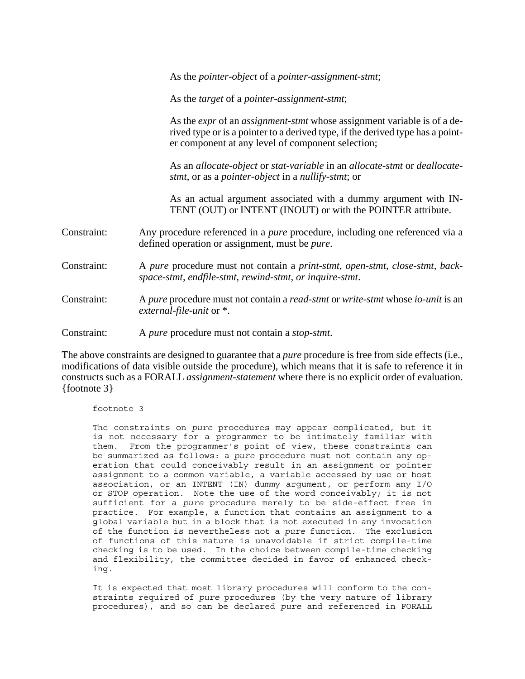As the *pointer-object* of a *pointer-assignment-stmt*;

As the *target* of a *pointer-assignment-stmt*;

As the *expr* of an *assignment-stmt* whose assignment variable is of a derived type or is a pointer to a derived type, if the derived type has a pointer component at any level of component selection;

As an *allocate-object* or *stat-variable* in an *allocate-stmt* or *deallocatestmt*, or as a *pointer-object* in a *nullify-stmt*; or

As an actual argument associated with a dummy argument with IN-TENT (OUT) or INTENT (INOUT) or with the POINTER attribute.

- Constraint: Any procedure referenced in a *pure* procedure, including one referenced via a defined operation or assignment, must be *pure*.
- Constraint: A *pure* procedure must not contain a *print-stmt, open-stmt, close-stmt, backspace-stmt, endfile-stmt, rewind-stmt, or inquire-stmt*.
- Constraint: A *pure* procedure must not contain a *read-stmt* or *write-stmt* whose *io-unit* is an *external-file-unit* or \*.
- Constraint: A *pure* procedure must not contain a *stop-stmt*.

The above constraints are designed to guarantee that a *pure* procedure is free from side effects (i.e., modifications of data visible outside the procedure), which means that it is safe to reference it in constructs such as a FORALL *assignment-statement* where there is no explicit order of evaluation. {footnote 3}

footnote 3

The constraints on *pure* procedures may appear complicated, but it is not necessary for a programmer to be intimately familiar with them. From the programmer's point of view, these constraints can be summarized as follows: a *pure* procedure must not contain any operation that could conceivably result in an assignment or pointer assignment to a common variable, a variable accessed by use or host association, or an INTENT (IN) dummy argument, or perform any I/O or STOP operation. Note the use of the word conceivably; it is not sufficient for a *pure* procedure merely to be side-effect free in practice. For example, a function that contains an assignment to a global variable but in a block that is not executed in any invocation of the function is nevertheless not a *pure* function. The exclusion of functions of this nature is unavoidable if strict compile-time checking is to be used. In the choice between compile-time checking and flexibility, the committee decided in favor of enhanced checking.

It is expected that most library procedures will conform to the constraints required of *pure* procedures (by the very nature of library procedures), and so can be declared *pure* and referenced in FORALL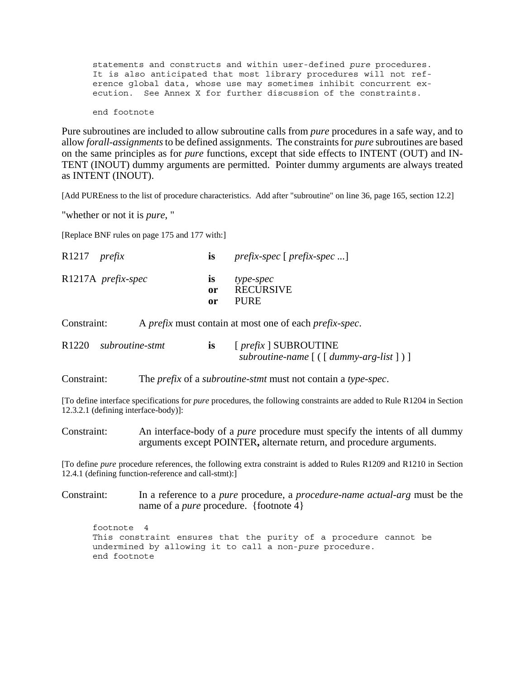statements and constructs and within user-defined *pure* procedures. It is also anticipated that most library procedures will not reference global data, whose use may sometimes inhibit concurrent execution. See Annex X for further discussion of the constraints.

end footnote

Pure subroutines are included to allow subroutine calls from *pure* procedures in a safe way, and to allow *forall-assignments* to be defined assignments. The constraints for *pure* subroutines are based on the same principles as for *pure* functions, except that side effects to INTENT (OUT) and IN-TENT (INOUT) dummy arguments are permitted. Pointer dummy arguments are always treated as INTENT (INOUT).

[Add PUREness to the list of procedure characteristics. Add after "subroutine" on line 36, page 165, section 12.2]

"whether or not it is *pure*, "

[Replace BNF rules on page 175 and 177 with:]

| $R1217$ prefix     | $\mathbf{1S}$          | $prefix\text{-}spec$ [ $prefix\text{-}spec$ ] |
|--------------------|------------------------|-----------------------------------------------|
| R1217A prefix-spec | $\bf{1S}$<br>0r<br>or. | type-spec<br><b>RECURSIVE</b><br><b>PURE</b>  |

Constraint: A *prefix* must contain at most one of each *prefix-spec*.

| R1220 subroutine-stmt | [ <i>prefix</i> ] SUBROUTINE                       |  |
|-----------------------|----------------------------------------------------|--|
|                       | subroutine-name $[$ ( $[$ dummy-arg-list $]$ ) $]$ |  |

Constraint: The *prefix* of a *subroutine-stmt* must not contain a *type-spec*.

[To define interface specifications for *pure* procedures, the following constraints are added to Rule R1204 in Section 12.3.2.1 (defining interface-body)]:

Constraint: An interface-body of a *pure* procedure must specify the intents of all dummy arguments except POINTER**,** alternate return, and procedure arguments.

[To define *pure* procedure references, the following extra constraint is added to Rules R1209 and R1210 in Section 12.4.1 (defining function-reference and call-stmt):]

Constraint: In a reference to a *pure* procedure, a *procedure-name actual-arg* must be the name of a *pure* procedure. {footnote 4}

footnote 4 This constraint ensures that the purity of a procedure cannot be undermined by allowing it to call a non-*pure* procedure. end footnote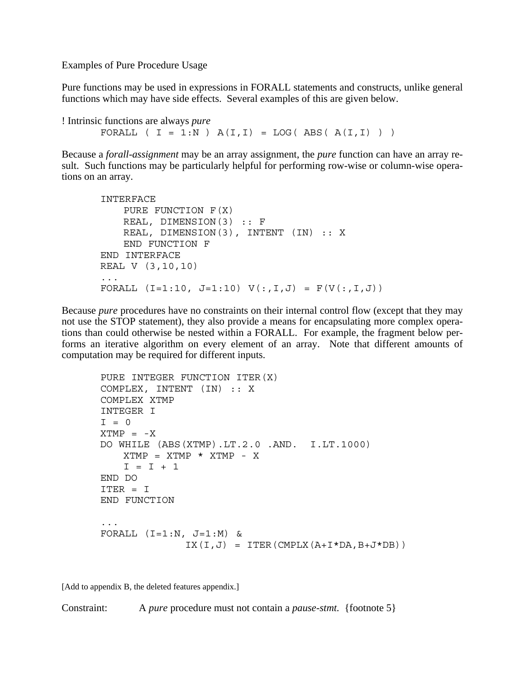Examples of Pure Procedure Usage

Pure functions may be used in expressions in FORALL statements and constructs, unlike general functions which may have side effects. Several examples of this are given below.

```
! Intrinsic functions are always pure
      FORALL (I = 1:N) A(I,I) = LOG(ABS(A(I,I)))
```
Because a *forall-assignment* may be an array assignment, the *pure* function can have an array result. Such functions may be particularly helpful for performing row-wise or column-wise operations on an array.

```
INTERFACE
   PURE FUNCTION F(X)
   REAL, DIMENSION(3) :: F
   REAL, DIMENSION(3), INTENT (IN) :: X
   END FUNCTION F
END INTERFACE
REAL V (3,10,10)
...
FORALL (I=1:10, J=1:10) V(:,I,J) = F(V(:,I,J))
```
Because *pure* procedures have no constraints on their internal control flow (except that they may not use the STOP statement), they also provide a means for encapsulating more complex operations than could otherwise be nested within a FORALL. For example, the fragment below performs an iterative algorithm on every element of an array. Note that different amounts of computation may be required for different inputs.

```
PURE INTEGER FUNCTION ITER(X)
COMPLEX, INTENT (IN) :: X
COMPLEX XTMP
INTEGER I
T = 0XTMP = -XDO WHILE (ABS(XTMP).LT.2.0 .AND. I.LT.1000)
   XTMP = XTMP * XTMP - XI = I + 1END DO
ITER = I
END FUNCTION
...
FORALL (I=1:N, J=1:M) &
              IX(I,J) = ITER(CMPI LX(A+I*DA,B+J*DB))
```
[Add to appendix B, the deleted features appendix.]

Constraint: A *pure* procedure must not contain a *pause-stmt.* {footnote 5}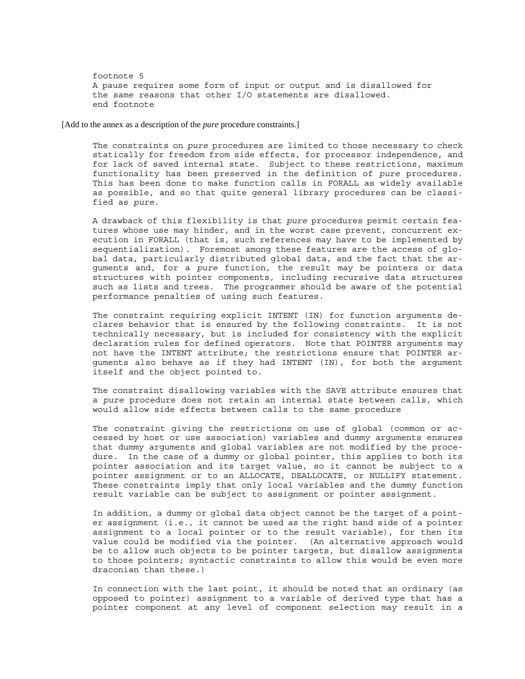footnote 5 A pause requires some form of input or output and is disallowed for the same reasons that other I/O statements are disallowed. end footnote

[Add to the annex as a description of the *pure* procedure constraints.]

The constraints on *pure* procedures are limited to those necessary to check statically for freedom from side effects, for processor independence, and for lack of saved internal state. Subject to these restrictions, maximum functionality has been preserved in the definition of *pure* procedures. This has been done to make function calls in FORALL as widely available as possible, and so that quite general library procedures can be classified as *pure*.

A drawback of this flexibility is that *pure* procedures permit certain features whose use may hinder, and in the worst case prevent, concurrent execution in FORALL (that is, such references may have to be implemented by sequentialization). Foremost among these features are the access of global data, particularly distributed global data, and the fact that the arguments and, for a *pure* function, the result may be pointers or data structures with pointer components, including recursive data structures such as lists and trees. The programmer should be aware of the potential performance penalties of using such features.

The constraint requiring explicit INTENT (IN) for function arguments declares behavior that is ensured by the following constraints. It is not technically necessary, but is included for consistency with the explicit declaration rules for defined operators. Note that POINTER arguments may not have the INTENT attribute; the restrictions ensure that POINTER arguments also behave as if they had INTENT (IN), for both the argument itself and the object pointed to.

The constraint disallowing variables with the SAVE attribute ensures that a *pure* procedure does not retain an internal state between calls, which would allow side effects between calls to the same procedure

The constraint giving the restrictions on use of global (common or accessed by host or use association) variables and dummy arguments ensures that dummy arguments and global variables are not modified by the procedure. In the case of a dummy or global pointer, this applies to both its pointer association and its target value, so it cannot be subject to a pointer assignment or to an ALLOCATE, DEALLOCATE, or NULLIFY statement. These constraints imply that only local variables and the dummy function result variable can be subject to assignment or pointer assignment.

In addition, a dummy or global data object cannot be the target of a pointer assignment (i.e., it cannot be used as the right hand side of a pointer assignment to a local pointer or to the result variable), for then its value could be modified via the pointer. (An alternative approach would be to allow such objects to be pointer targets, but disallow assignments to those pointers; syntactic constraints to allow this would be even more draconian than these.)

In connection with the last point, it should be noted that an ordinary (as opposed to pointer) assignment to a variable of derived type that has a pointer component at any level of component selection may result in a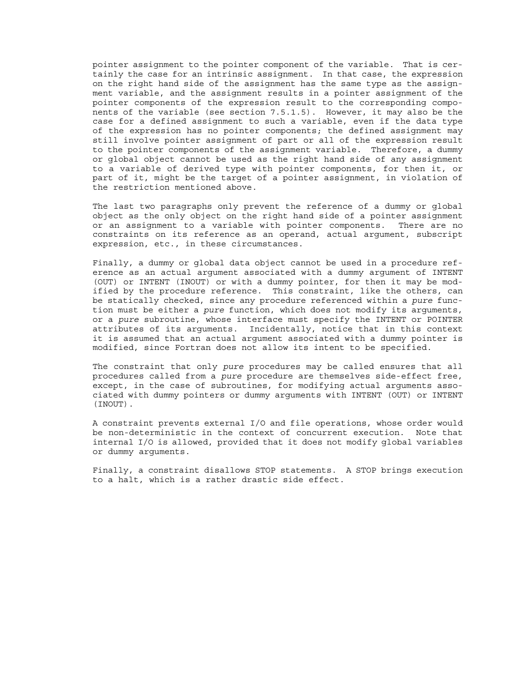pointer assignment to the pointer component of the variable. That is certainly the case for an intrinsic assignment. In that case, the expression on the right hand side of the assignment has the same type as the assignment variable, and the assignment results in a pointer assignment of the pointer components of the expression result to the corresponding components of the variable (see section 7.5.1.5). However, it may also be the case for a defined assignment to such a variable, even if the data type of the expression has no pointer components; the defined assignment may still involve pointer assignment of part or all of the expression result to the pointer components of the assignment variable. Therefore, a dummy or global object cannot be used as the right hand side of any assignment to a variable of derived type with pointer components, for then it, or part of it, might be the target of a pointer assignment, in violation of the restriction mentioned above.

The last two paragraphs only prevent the reference of a dummy or global object as the only object on the right hand side of a pointer assignment or an assignment to a variable with pointer components. There are no constraints on its reference as an operand, actual argument, subscript expression, etc., in these circumstances.

Finally, a dummy or global data object cannot be used in a procedure reference as an actual argument associated with a dummy argument of INTENT (OUT) or INTENT (INOUT) or with a dummy pointer, for then it may be modified by the procedure reference. This constraint, like the others, can be statically checked, since any procedure referenced within a *pure* function must be either a *pure* function, which does not modify its arguments, or a *pure* subroutine, whose interface must specify the INTENT or POINTER attributes of its arguments. Incidentally, notice that in this context it is assumed that an actual argument associated with a dummy pointer is modified, since Fortran does not allow its intent to be specified.

The constraint that only *pure* procedures may be called ensures that all procedures called from a *pure* procedure are themselves side-effect free, except, in the case of subroutines, for modifying actual arguments associated with dummy pointers or dummy arguments with INTENT (OUT) or INTENT (INOUT).

A constraint prevents external I/O and file operations, whose order would be non-deterministic in the context of concurrent execution. Note that internal I/O is allowed, provided that it does not modify global variables or dummy arguments.

Finally, a constraint disallows STOP statements. A STOP brings execution to a halt, which is a rather drastic side effect.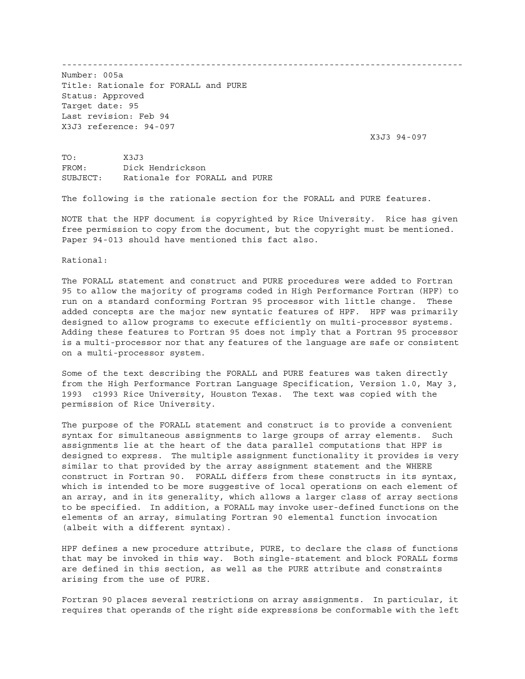------------------------------------------------------------------------------

Number: 005a Title: Rationale for FORALL and PURE Status: Approved Target date: 95 Last revision: Feb 94 X3J3 reference: 94-097

X3J3 94-097

TO: X3J3 FROM: Dick Hendrickson SUBJECT: Rationale for FORALL and PURE

The following is the rationale section for the FORALL and PURE features.

NOTE that the HPF document is copyrighted by Rice University. Rice has given free permission to copy from the document, but the copyright must be mentioned. Paper 94-013 should have mentioned this fact also.

Rational:

The FORALL statement and construct and PURE procedures were added to Fortran 95 to allow the majority of programs coded in High Performance Fortran (HPF) to run on a standard conforming Fortran 95 processor with little change. These added concepts are the major new syntatic features of HPF. HPF was primarily designed to allow programs to execute efficiently on multi-processor systems. Adding these features to Fortran 95 does not imply that a Fortran 95 processor is a multi-processor nor that any features of the language are safe or consistent on a multi-processor system.

Some of the text describing the FORALL and PURE features was taken directly from the High Performance Fortran Language Specification, Version 1.0, May 3, 1993 c1993 Rice University, Houston Texas. The text was copied with the permission of Rice University.

The purpose of the FORALL statement and construct is to provide a convenient syntax for simultaneous assignments to large groups of array elements. Such assignments lie at the heart of the data parallel computations that HPF is designed to express. The multiple assignment functionality it provides is very similar to that provided by the array assignment statement and the WHERE construct in Fortran 90. FORALL differs from these constructs in its syntax, which is intended to be more suggestive of local operations on each element of an array, and in its generality, which allows a larger class of array sections to be specified. In addition, a FORALL may invoke user-defined functions on the elements of an array, simulating Fortran 90 elemental function invocation (albeit with a different syntax).

HPF defines a new procedure attribute, PURE, to declare the class of functions that may be invoked in this way. Both single-statement and block FORALL forms are defined in this section, as well as the PURE attribute and constraints arising from the use of PURE.

Fortran 90 places several restrictions on array assignments. In particular, it requires that operands of the right side expressions be conformable with the left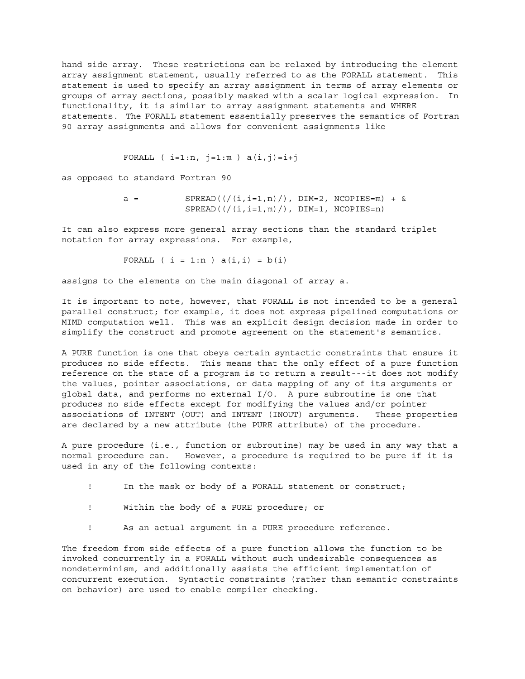hand side array. These restrictions can be relaxed by introducing the element array assignment statement, usually referred to as the FORALL statement. This statement is used to specify an array assignment in terms of array elements or groups of array sections, possibly masked with a scalar logical expression. In functionality, it is similar to array assignment statements and WHERE statements. The FORALL statement essentially preserves the semantics of Fortran 90 array assignments and allows for convenient assignments like

```
FORALL ( i=1:n, j=1:m ) a(i,j)=i+j
```
as opposed to standard Fortran 90

 $a =$  SPREAD( $\left(\frac{1}{i}, i=1, n\right) /$ ), DIM=2, NCOPIES=m) + &  $SPREAD$ ( $((i, i=1, m) /)$ ,  $DIM=1$ ,  $NCOPIES=n)$ 

It can also express more general array sections than the standard triplet notation for array expressions. For example,

FORALL  $(i = 1:n) a(i,i) = b(i)$ 

assigns to the elements on the main diagonal of array a.

It is important to note, however, that FORALL is not intended to be a general parallel construct; for example, it does not express pipelined computations or MIMD computation well. This was an explicit design decision made in order to simplify the construct and promote agreement on the statement's semantics.

A PURE function is one that obeys certain syntactic constraints that ensure it produces no side effects. This means that the only effect of a pure function reference on the state of a program is to return a result---it does not modify the values, pointer associations, or data mapping of any of its arguments or global data, and performs no external I/O. A pure subroutine is one that produces no side effects except for modifying the values and/or pointer associations of INTENT (OUT) and INTENT (INOUT) arguments. These properties are declared by a new attribute (the PURE attribute) of the procedure.

A pure procedure (i.e., function or subroutine) may be used in any way that a normal procedure can. However, a procedure is required to be pure if it is used in any of the following contexts:

- ! In the mask or body of a FORALL statement or construct;
- ! Within the body of a PURE procedure; or
- ! As an actual argument in a PURE procedure reference.

The freedom from side effects of a pure function allows the function to be invoked concurrently in a FORALL without such undesirable consequences as nondeterminism, and additionally assists the efficient implementation of concurrent execution. Syntactic constraints (rather than semantic constraints on behavior) are used to enable compiler checking.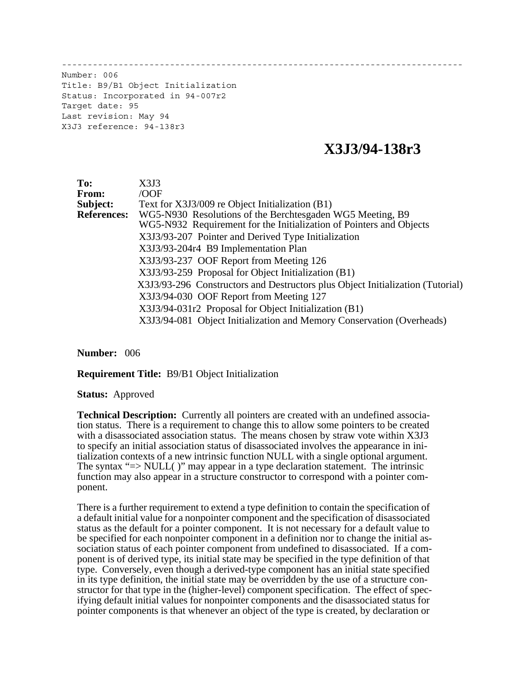------------------------------------------------------------------------------

Number: 006 Title: B9/B1 Object Initialization Status: Incorporated in 94-007r2 Target date: 95 Last revision: May 94 X3J3 reference: 94-138r3

# **X3J3/94-138r3**

**To:** X3J3 From:<br>Subject: Text for X3J3/009 re Object Initialization (B1) **References:** WG5-N930 Resolutions of the Berchtesgaden WG5 Meeting, B9 WG5-N932 Requirement for the Initialization of Pointers and Objects X3J3/93-207 Pointer and Derived Type Initialization X3J3/93-204r4 B9 Implementation Plan X3J3/93-237 OOF Report from Meeting 126 X3J3/93-259 Proposal for Object Initialization (B1) X3J3/93-296 Constructors and Destructors plus Object Initialization (Tutorial) X3J3/94-030 OOF Report from Meeting 127 X3J3/94-031r2 Proposal for Object Initialization (B1) X3J3/94-081 Object Initialization and Memory Conservation (Overheads)

**Number:** 006

**Requirement Title:** B9/B1 Object Initialization

**Status:** Approved

**Technical Description:** Currently all pointers are created with an undefined association status. There is a requirement to change this to allow some pointers to be created with a disassociated association status. The means chosen by straw vote within X3J3 to specify an initial association status of disassociated involves the appearance in initialization contexts of a new intrinsic function NULL with a single optional argument. The syntax "=> NULL( )" may appear in a type declaration statement. The intrinsic function may also appear in a structure constructor to correspond with a pointer component.

There is a further requirement to extend a type definition to contain the specification of a default initial value for a nonpointer component and the specification of disassociated status as the default for a pointer component. It is not necessary for a default value to be specified for each nonpointer component in a definition nor to change the initial association status of each pointer component from undefined to disassociated. If a component is of derived type, its initial state may be specified in the type definition of that type. Conversely, even though a derived-type component has an initial state specified in its type definition, the initial state may be overridden by the use of a structure constructor for that type in the (higher-level) component specification. The effect of specifying default initial values for nonpointer components and the disassociated status for pointer components is that whenever an object of the type is created, by declaration or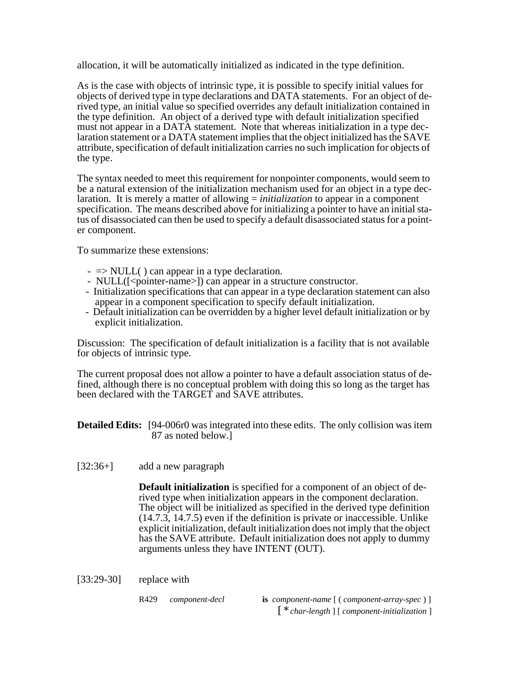allocation, it will be automatically initialized as indicated in the type definition.

As is the case with objects of intrinsic type, it is possible to specify initial values for objects of derived type in type declarations and DATA statements. For an object of derived type, an initial value so specified overrides any default initialization contained in the type definition. An object of a derived type with default initialization specified must not appear in a DATA statement. Note that whereas initialization in a type declaration statement or a DATA statement implies that the object initialized has the SAVE attribute, specification of default initialization carries no such implication for objects of the type.

The syntax needed to meet this requirement for nonpointer components, would seem to be a natural extension of the initialization mechanism used for an object in a type declaration. It is merely a matter of allowing = *initialization* to appear in a component specification. The means described above for initializing a pointer to have an initial status of disassociated can then be used to specify a default disassociated status for a pointer component.

To summarize these extensions:

- $\Rightarrow$  NULL( ) can appear in a type declaration.
- NULL([<pointer-name>]) can appear in a structure constructor.
- Initialization specifications that can appear in a type declaration statement can also appear in a component specification to specify default initialization.
- Default initialization can be overridden by a higher level default initialization or by explicit initialization.

Discussion: The specification of default initialization is a facility that is not available for objects of intrinsic type.

The current proposal does not allow a pointer to have a default association status of defined, although there is no conceptual problem with doing this so long as the target has been declared with the TARGET and SAVE attributes.

**Detailed Edits:** [94-006r0 was integrated into these edits. The only collision was item 87 as noted below.]

[32:36+] add a new paragraph

**Default initialization** is specified for a component of an object of derived type when initialization appears in the component declaration. The object will be initialized as specified in the derived type definition (14.7.3, 14.7.5) even if the definition is private or inaccessible. Unlike explicit initialization, default initialization does not imply that the object has the SAVE attribute. Default initialization does not apply to dummy arguments unless they have INTENT (OUT).

 $[33:29-30]$  replace with

R429 *component-decl* **is** *component-name* [ ( *component-array-spec* ) ] [ \* *char-length* ] [ *component-initialization* ]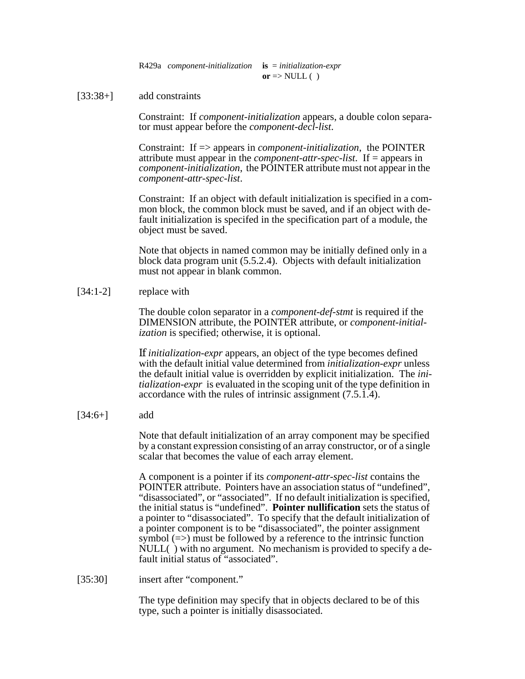R429a *component-initialization* **is** = *initialization-expr*  $or \Rightarrow \text{NULL}$  ( )

### [33:38+] add constraints

Constraint: If *component-initialization* appears, a double colon separator must appear before the *component-decl-list*.

Constraint: If => appears in *component-initialization*, the POINTER attribute must appear in the *component-attr-spec-list*. If = appears in *component-initialization*, the POINTER attribute must not appear in the *component-attr-spec-list*.

Constraint: If an object with default initialization is specified in a common block, the common block must be saved, and if an object with default initialization is specifed in the specification part of a module, the object must be saved.

Note that objects in named common may be initially defined only in a block data program unit (5.5.2.4). Objects with default initialization must not appear in blank common.

### [34:1-2] replace with

The double colon separator in a *component-def-stmt* is required if the DIMENSION attribute, the POINTER attribute, or *component-initialization* is specified; otherwise, it is optional.

If *initialization-expr* appears, an object of the type becomes defined with the default initial value determined from *initialization-expr* unless the default initial value is overridden by explicit initialization. The *initialization-expr* is evaluated in the scoping unit of the type definition in accordance with the rules of intrinsic assignment (7.5.1.4).

 $[34:6+]$  add

Note that default initialization of an array component may be specified by a constant expression consisting of an array constructor, or of a single scalar that becomes the value of each array element.

A component is a pointer if its *component-attr-spec-list* contains the POINTER attribute. Pointers have an association status of "undefined", "disassociated", or "associated". If no default initialization is specified, the initial status is "undefined". **Pointer nullification** sets the status of a pointer to "disassociated". To specify that the default initialization of a pointer component is to be "disassociated", the pointer assignment symbol  $(=>)$  must be followed by a reference to the intrinsic function NULL( ) with no argument. No mechanism is provided to specify a default initial status of "associated".

[35:30] insert after "component."

The type definition may specify that in objects declared to be of this type, such a pointer is initially disassociated.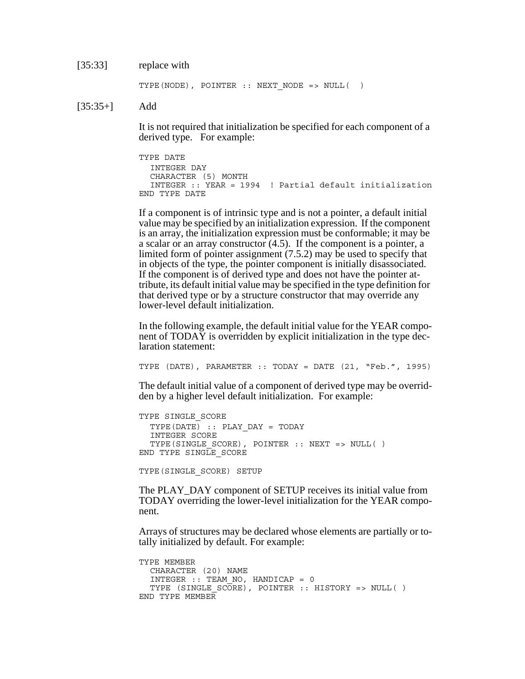#### [35:33] replace with

```
TYPE(NODE), POINTER :: NEXT NODE => NULL( )
```
 $[35:35+]$  Add

It is not required that initialization be specified for each component of a derived type. For example:

```
TYPE DATE
  INTEGER DAY
  CHARACTER (5) MONTH
  INTEGER :: YEAR = 1994 ! Partial default initialization
END TYPE DATE
```
If a component is of intrinsic type and is not a pointer, a default initial value may be specified by an initialization expression. If the component is an array, the initialization expression must be conformable; it may be a scalar or an array constructor (4.5). If the component is a pointer, a limited form of pointer assignment (7.5.2) may be used to specify that in objects of the type, the pointer component is initially disassociated. If the component is of derived type and does not have the pointer attribute, its default initial value may be specified in the type definition for that derived type or by a structure constructor that may override any lower-level default initialization.

In the following example, the default initial value for the YEAR component of TODAY is overridden by explicit initialization in the type declaration statement:

TYPE (DATE), PARAMETER :: TODAY = DATE (21, "Feb.", 1995)

The default initial value of a component of derived type may be overridden by a higher level default initialization. For example:

```
TYPE SINGLE_SCORE
  TYPE(DATE) :: PLAY_DAY = TODAY
  INTEGER SCORE
  TYPE(SINGLE SCORE), POINTER :: NEXT => NULL( )
END TYPE SINGLE SCORE
```
TYPE(SINGLE\_SCORE) SETUP

The PLAY\_DAY component of SETUP receives its initial value from TODAY overriding the lower-level initialization for the YEAR component.

Arrays of structures may be declared whose elements are partially or totally initialized by default. For example:

```
TYPE MEMBER
  CHARACTER (20) NAME
  INTEGER :: TEAM_NO, HANDICAP = 0
  TYPE (SINGLE SCORE), POINTER :: HISTORY => NULL( )
END TYPE MEMBER
```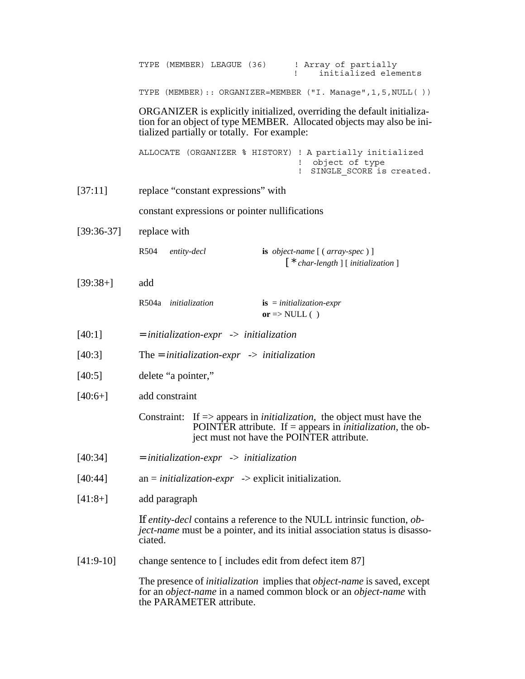|              | ! Array of partially<br>TYPE (MEMBER) LEAGUE (36)<br>initialized elements                                                                                                                                     |  |  |
|--------------|---------------------------------------------------------------------------------------------------------------------------------------------------------------------------------------------------------------|--|--|
|              | TYPE (MEMBER):: ORGANIZER=MEMBER ("I. Manage", 1, 5, NULL())                                                                                                                                                  |  |  |
|              | ORGANIZER is explicitly initialized, overriding the default initializa-<br>tion for an object of type MEMBER. Allocated objects may also be ini-<br>tialized partially or totally. For example:               |  |  |
|              | ALLOCATE (ORGANIZER % HISTORY) ! A partially initialized<br>object of type<br>SINGLE SCORE is created.                                                                                                        |  |  |
| [37:11]      | replace "constant expressions" with                                                                                                                                                                           |  |  |
|              | constant expressions or pointer nullifications                                                                                                                                                                |  |  |
| $[39:36-37]$ | replace with                                                                                                                                                                                                  |  |  |
|              | R504<br>entity-decl<br>is object-name [(array-spec)]<br>$\left[ * \text{ char-length} \right]$ [initialization]                                                                                               |  |  |
| $[39:38+]$   | add                                                                                                                                                                                                           |  |  |
|              | R504a initialization<br>$\mathbf{is} = initialization\text{-}expr$<br>or $\Rightarrow$ NULL ()                                                                                                                |  |  |
| [40:1]       | $=$ initialization-expr $\rightarrow$ initialization                                                                                                                                                          |  |  |
| [40:3]       | The = initialization-expr $\rightarrow$ initialization                                                                                                                                                        |  |  |
| [40:5]       | delete "a pointer,"                                                                                                                                                                                           |  |  |
| $[40:6+]$    | add constraint                                                                                                                                                                                                |  |  |
|              | Constraint: If $\Rightarrow$ appears in <i>initialization</i> , the object must have the<br>POINTER attribute. If $=$ appears in <i>initialization</i> , the ob-<br>ject must not have the POINTER attribute. |  |  |
| [40:34]      | $=$ initialization-expr $\rightarrow$ initialization                                                                                                                                                          |  |  |
| [40:44]      | $an = initialization \text{-}expr \rightarrow \text{explicit initialization}.$                                                                                                                                |  |  |
| $[41:8+]$    | add paragraph                                                                                                                                                                                                 |  |  |
|              | If <i>entity-decl</i> contains a reference to the NULL intrinsic function, <i>ob</i> -<br>ject-name must be a pointer, and its initial association status is disasso-<br>ciated.                              |  |  |
| $[41:9-10]$  | change sentence to [includes edit from defect item 87]                                                                                                                                                        |  |  |
|              | The presence of <i>initialization</i> implies that <i>object-name</i> is saved, except<br>for an <i>object-name</i> in a named common block or an <i>object-name</i> with<br>the PARAMETER attribute.         |  |  |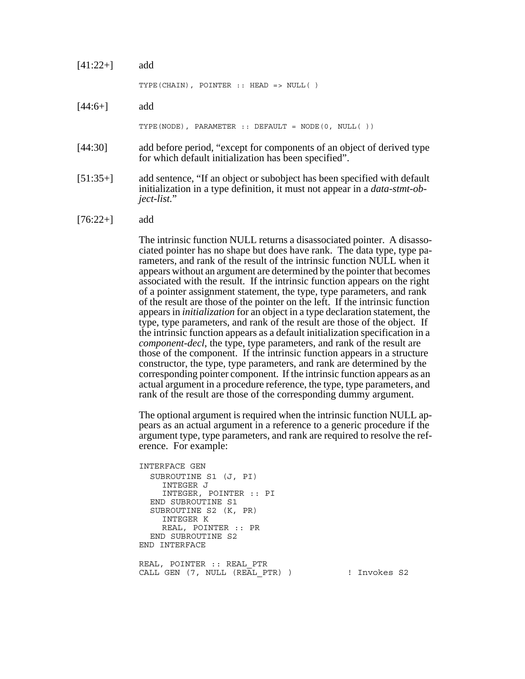| $[41:22+]$ | add                                                                                                                             |
|------------|---------------------------------------------------------------------------------------------------------------------------------|
|            | TYPE (CHAIN), POINTER :: HEAD => NULL()                                                                                         |
| $[44:6+]$  | add                                                                                                                             |
|            | TYPE (NODE), PARAMETER :: DEFAULT = NODE $(0, NULL()$                                                                           |
| [44:30]    | add before period, "except for components of an object of derived type<br>for which default initialization has been specified". |

- [51:35+] add sentence, "If an object or subobject has been specified with default initialization in a type definition, it must not appear in a *data-stmt-object-list.*"
- $[76:22+]$  add

The intrinsic function NULL returns a disassociated pointer. A disassociated pointer has no shape but does have rank. The data type, type parameters, and rank of the result of the intrinsic function NULL when it appears without an argument are determined by the pointer that becomes associated with the result. If the intrinsic function appears on the right of a pointer assignment statement, the type, type parameters, and rank of the result are those of the pointer on the left. If the intrinsic function appears in *initialization* for an object in a type declaration statement, the type, type parameters, and rank of the result are those of the object. If the intrinsic function appears as a default initialization specification in a *component-decl*, the type, type parameters, and rank of the result are those of the component. If the intrinsic function appears in a structure constructor, the type, type parameters, and rank are determined by the corresponding pointer component. If the intrinsic function appears as an actual argument in a procedure reference, the type, type parameters, and rank of the result are those of the corresponding dummy argument.

The optional argument is required when the intrinsic function NULL appears as an actual argument in a reference to a generic procedure if the argument type, type parameters, and rank are required to resolve the reference. For example:

```
INTERFACE GEN
  SUBROUTINE S1 (J, PI)
    INTEGER J
    INTEGER, POINTER :: PI
  END SUBROUTINE S1
  SUBROUTINE S2 (K, PR)
    INTEGER K
    REAL, POINTER :: PR
  END SUBROUTINE S2
END INTERFACE
REAL, POINTER :: REAL_PTR
CALL GEN (7, NULL (REAL PTR) ) | Invokes S2
```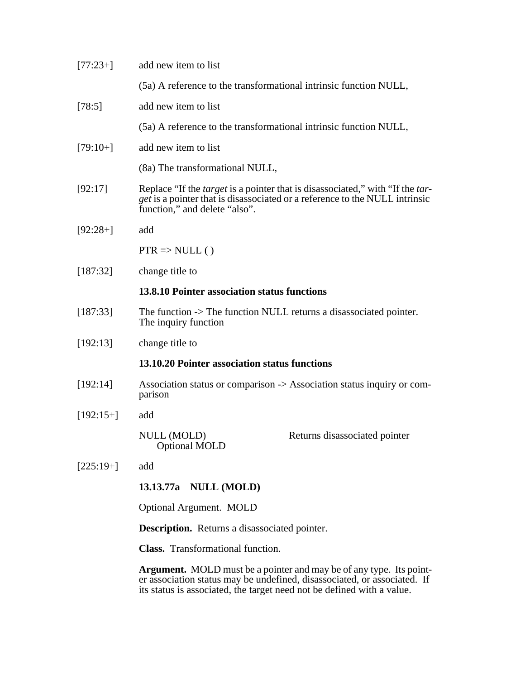| $[77:23+]$  | add new item to list                                                                                                                                                                                                             |
|-------------|----------------------------------------------------------------------------------------------------------------------------------------------------------------------------------------------------------------------------------|
|             | (5a) A reference to the transformational intrinsic function NULL,                                                                                                                                                                |
| [78:5]      | add new item to list                                                                                                                                                                                                             |
|             | (5a) A reference to the transformational intrinsic function NULL,                                                                                                                                                                |
| $[79:10+]$  | add new item to list                                                                                                                                                                                                             |
|             | (8a) The transformational NULL,                                                                                                                                                                                                  |
| [92:17]     | Replace "If the <i>target</i> is a pointer that is disassociated," with "If the <i>tar</i> -<br><i>get</i> is a pointer that is disassociated or a reference to the NULL intrinsic<br>function," and delete "also".              |
| $[92:28+]$  | add                                                                                                                                                                                                                              |
|             | $PTR \Rightarrow NULL()$                                                                                                                                                                                                         |
| [187:32]    | change title to                                                                                                                                                                                                                  |
|             | 13.8.10 Pointer association status functions                                                                                                                                                                                     |
| [187:33]    | The function -> The function NULL returns a disassociated pointer.<br>The inquiry function                                                                                                                                       |
| [192:13]    | change title to                                                                                                                                                                                                                  |
|             | 13.10.20 Pointer association status functions                                                                                                                                                                                    |
| [192:14]    | Association status or comparison -> Association status inquiry or com-<br>parison                                                                                                                                                |
| $[192:15+]$ | add                                                                                                                                                                                                                              |
|             | NULL (MOLD)<br>Returns disassociated pointer<br><b>Optional MOLD</b>                                                                                                                                                             |
| $[225:19+]$ | add                                                                                                                                                                                                                              |
|             | 13.13.77a NULL (MOLD)                                                                                                                                                                                                            |
|             | <b>Optional Argument. MOLD</b>                                                                                                                                                                                                   |
|             | <b>Description.</b> Returns a disassociated pointer.                                                                                                                                                                             |
|             | <b>Class.</b> Transformational function.                                                                                                                                                                                         |
|             | <b>Argument.</b> MOLD must be a pointer and may be of any type. Its point-<br>er association status may be undefined, disassociated, or associated. If<br>its status is associated, the target need not be defined with a value. |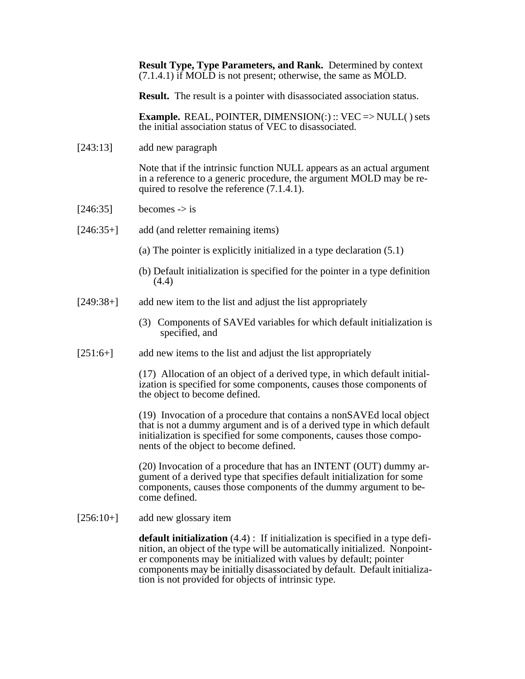**Result Type, Type Parameters, and Rank.** Determined by context (7.1.4.1) if MOLD is not present; otherwise, the same as MOLD.

**Result.** The result is a pointer with disassociated association status.

**Example.** REAL, POINTER, DIMENSION(:) :: VEC => NULL() sets the initial association status of VEC to disassociated.

[243:13] add new paragraph

Note that if the intrinsic function NULL appears as an actual argument in a reference to a generic procedure, the argument MOLD may be required to resolve the reference (7.1.4.1).

- $[246:35]$  becomes -> is
- [246:35+] add (and reletter remaining items)
	- (a) The pointer is explicitly initialized in a type declaration (5.1)
	- (b) Default initialization is specified for the pointer in a type definition (4.4)
- [249:38+] add new item to the list and adjust the list appropriately
	- (3) Components of SAVEd variables for which default initialization is specified, and
- [251:6+] add new items to the list and adjust the list appropriately

(17) Allocation of an object of a derived type, in which default initialization is specified for some components, causes those components of the object to become defined.

(19) Invocation of a procedure that contains a nonSAVEd local object that is not a dummy argument and is of a derived type in which default initialization is specified for some components, causes those components of the object to become defined.

(20) Invocation of a procedure that has an INTENT (OUT) dummy argument of a derived type that specifies default initialization for some components, causes those components of the dummy argument to become defined.

[256:10+] add new glossary item

**default initialization** (4.4) : If initialization is specified in a type definition, an object of the type will be automatically initialized. Nonpointer components may be initialized with values by default; pointer components may be initially disassociated by default. Default initialization is not provided for objects of intrinsic type.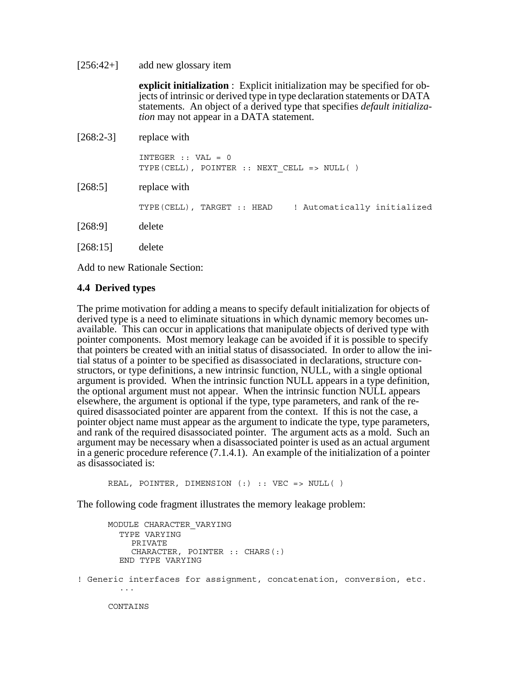[256:42+] add new glossary item

**explicit initialization** : Explicit initialization may be specified for objects of intrinsic or derived type in type declaration statements or DATA statements. An object of a derived type that specifies *default initialization* may not appear in a DATA statement.

 $[268:2-3]$  replace with INTEGER :: VAL = 0 TYPE(CELL), POINTER :: NEXT\_CELL => NULL( )

[268:5] replace with

TYPE(CELL), TARGET :: HEAD ! Automatically initialized

[268:9] delete

[268:15] delete

Add to new Rationale Section:

# **4.4 Derived types**

The prime motivation for adding a means to specify default initialization for objects of derived type is a need to eliminate situations in which dynamic memory becomes unavailable. This can occur in applications that manipulate objects of derived type with pointer components. Most memory leakage can be avoided if it is possible to specify that pointers be created with an initial status of disassociated. In order to allow the initial status of a pointer to be specified as disassociated in declarations, structure constructors, or type definitions, a new intrinsic function, NULL, with a single optional argument is provided. When the intrinsic function NULL appears in a type definition, the optional argument must not appear. When the intrinsic function NULL appears elsewhere, the argument is optional if the type, type parameters, and rank of the required disassociated pointer are apparent from the context. If this is not the case, a pointer object name must appear as the argument to indicate the type, type parameters, and rank of the required disassociated pointer. The argument acts as a mold. Such an argument may be necessary when a disassociated pointer is used as an actual argument in a generic procedure reference (7.1.4.1). An example of the initialization of a pointer as disassociated is:

REAL, POINTER, DIMENSION (:) :: VEC => NULL( )

The following code fragment illustrates the memory leakage problem:

MODULE CHARACTER\_VARYING TYPE VARYING PRIVATE CHARACTER, POINTER :: CHARS(:) END TYPE VARYING ! Generic interfaces for assignment, concatenation, conversion, etc. ... CONTAINS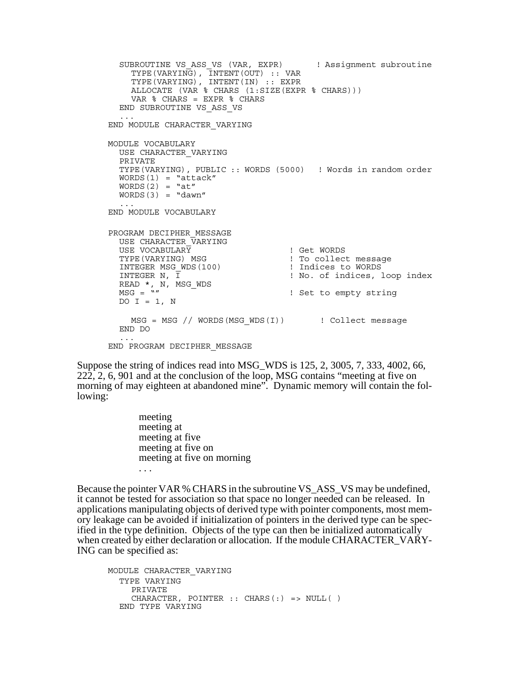```
SUBROUTINE VS ASS VS (VAR, EXPR) ! Assignment subroutine
     TYPE(VARYING), INTENT(OUT) :: VAR
     TYPE(VARYING), INTENT(IN) :: EXPR
     ALLOCATE (VAR % CHARS (1:SIZE(EXPR % CHARS)))
     VAR % CHARS = EXPR % CHARS
  END SUBROUTINE VS_ASS_VS
  ...
END MODULE CHARACTER_VARYING
MODULE VOCABULARY
  USE CHARACTER_VARYING
  PRIVATE
  TYPE(VARYING), PUBLIC :: WORDS (5000) ! Words in random order
  WORDS(1) = "attack"
  WORDS(2) = "at"WORDS(3) = "dawn"...
END MODULE VOCABULARY
PROGRAM DECIPHER_MESSAGE
  USE CHARACTER_VARYING<br>USE VOCABULARY
  USE VOCABULARY<br>
TYPE(VARYING) MSG                        ! To collect<br>
I To collect
                                       The Collect message<br>The collect message
  INTEGER MSG_WDS(100)
                                       ! Indices to WORDS<br>! No. of indices, loop index
  INTEGER N, Ī<br>READ *, N, MSG_WDS<br>MSG = ""
                                   ! Set to empty string
  DO I = 1, N
    MSG = MSG // WORDS(MSG WDS(I)) : Collect message
  END DO
  ...
END PROGRAM DECIPHER_MESSAGE
```
Suppose the string of indices read into MSG\_WDS is 125, 2, 3005, 7, 333, 4002, 66, 222, 2, 6, 901 and at the conclusion of the loop, MSG contains "meeting at five on morning of may eighteen at abandoned mine". Dynamic memory will contain the following:

> meeting meeting at meeting at five meeting at five on meeting at five on morning . . .

Because the pointer VAR % CHARS in the subroutine VS\_ASS\_VS may be undefined, it cannot be tested for association so that space no longer needed can be released. In applications manipulating objects of derived type with pointer components, most memory leakage can be avoided if initialization of pointers in the derived type can be specified in the type definition. Objects of the type can then be initialized automatically when created by either declaration or allocation. If the module CHARACTER\_VARY-ING can be specified as:

```
MODULE CHARACTER_VARYING
  TYPE VARYING
    PRIVATE
    CHARACTER, POINTER :: CHARS(:) => NULL( )
  END TYPE VARYING
```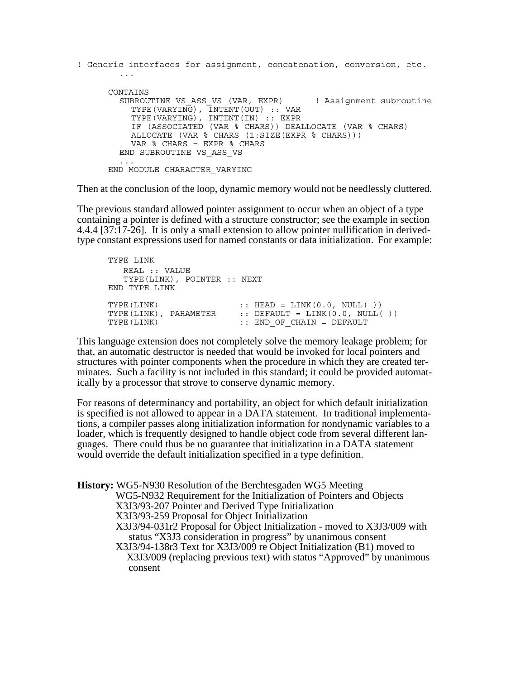```
! Generic interfaces for assignment, concatenation, conversion, etc.
        ...
     CONTAINS
        SUBROUTINE VS ASS VS (VAR, EXPR) ! Assignment subroutine
          TYPE(VARYING), INTENT(OUT) :: VAR
          TYPE(VARYING), INTENT(IN) :: EXPR
          IF (ASSOCIATED (VAR % CHARS)) DEALLOCATE (VAR % CHARS)
          ALLOCATE (VAR % CHARS (1:SIZE(EXPR % CHARS)))
          VAR % CHARS = EXPR % CHARS
        END SUBROUTINE VS_ASS_VS
        ...
     END MODULE CHARACTER_VARYING
```
Then at the conclusion of the loop, dynamic memory would not be needlessly cluttered.

The previous standard allowed pointer assignment to occur when an object of a type containing a pointer is defined with a structure constructor; see the example in section 4.4.4 [37:17-26]. It is only a small extension to allow pointer nullification in derivedtype constant expressions used for named constants or data initialization. For example:

```
TYPE LINK
  REAL :: VALUE
  TYPE(LINK), POINTER :: NEXT
END TYPE LINK
\text{TYPE (LINK)} :: HEAD = LINK(0.0, NULL( ))
TYPE(LINK), PARAMETER :: DEFAULT = LINK(0.0, NULL( ))
TYPE(LINK) \cdots END OF CHAIN = DEFAULT
```
This language extension does not completely solve the memory leakage problem; for that, an automatic destructor is needed that would be invoked for local pointers and structures with pointer components when the procedure in which they are created terminates. Such a facility is not included in this standard; it could be provided automatically by a processor that strove to conserve dynamic memory.

For reasons of determinancy and portability, an object for which default initialization is specified is not allowed to appear in a DATA statement. In traditional implementations, a compiler passes along initialization information for nondynamic variables to a loader, which is frequently designed to handle object code from several different languages. There could thus be no guarantee that initialization in a DATA statement would override the default initialization specified in a type definition.

**History:** WG5-N930 Resolution of the Berchtesgaden WG5 Meeting WG5-N932 Requirement for the Initialization of Pointers and Objects X3J3/93-207 Pointer and Derived Type Initialization X3J3/93-259 Proposal for Object Initialization X3J3/94-031r2 Proposal for Object Initialization - moved to X3J3/009 with status "X3J3 consideration in progress" by unanimous consent X3J3/94-138r3 Text for X3J3/009 re Object Initialization (B1) moved to X3J3/009 (replacing previous text) with status "Approved" by unanimous consent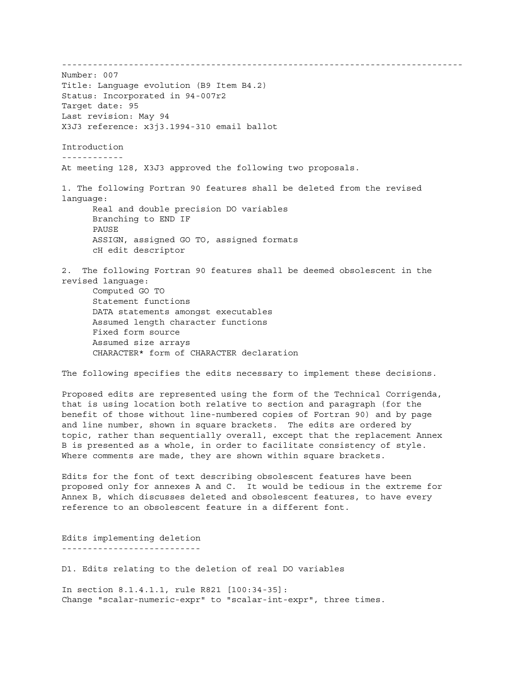------------------------------------------------------------------------------ Number: 007 Title: Language evolution (B9 Item B4.2) Status: Incorporated in 94-007r2 Target date: 95 Last revision: May 94 X3J3 reference: x3j3.1994-310 email ballot Introduction ------------ At meeting 128, X3J3 approved the following two proposals. 1. The following Fortran 90 features shall be deleted from the revised language: Real and double precision DO variables Branching to END IF PAUSE ASSIGN, assigned GO TO, assigned formats cH edit descriptor 2. The following Fortran 90 features shall be deemed obsolescent in the revised language: Computed GO TO Statement functions DATA statements amongst executables Assumed length character functions Fixed form source Assumed size arrays CHARACTER\* form of CHARACTER declaration The following specifies the edits necessary to implement these decisions. Proposed edits are represented using the form of the Technical Corrigenda, that is using location both relative to section and paragraph (for the benefit of those without line-numbered copies of Fortran 90) and by page and line number, shown in square brackets. The edits are ordered by topic, rather than sequentially overall, except that the replacement Annex B is presented as a whole, in order to facilitate consistency of style. Where comments are made, they are shown within square brackets. Edits for the font of text describing obsolescent features have been proposed only for annexes A and C. It would be tedious in the extreme for

Annex B, which discusses deleted and obsolescent features, to have every reference to an obsolescent feature in a different font.

Edits implementing deletion ---------------------------

D1. Edits relating to the deletion of real DO variables

In section 8.1.4.1.1, rule R821 [100:34-35]: Change "scalar-numeric-expr" to "scalar-int-expr", three times.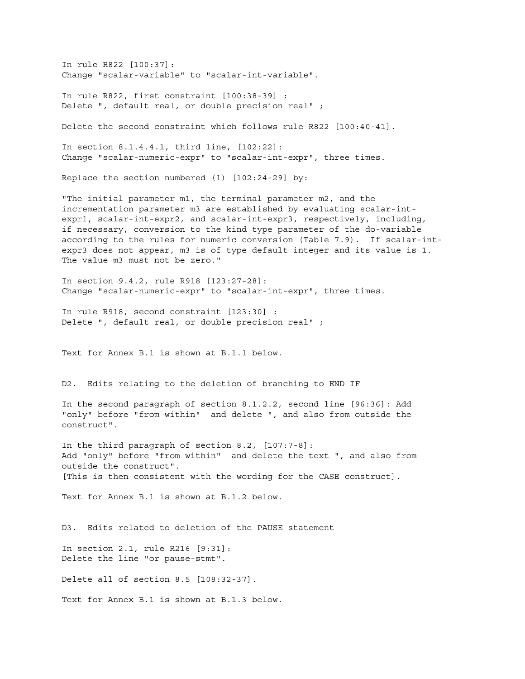In rule R822 [100:37]: Change "scalar-variable" to "scalar-int-variable".

In rule R822, first constraint [100:38-39] : Delete ", default real, or double precision real" ;

Delete the second constraint which follows rule R822 [100:40-41].

In section 8.1.4.4.1, third line, [102:22]: Change "scalar-numeric-expr" to "scalar-int-expr", three times.

Replace the section numbered (1) [102:24-29] by:

"The initial parameter m1, the terminal parameter m2, and the incrementation parameter m3 are established by evaluating scalar-intexpr1, scalar-int-expr2, and scalar-int-expr3, respectively, including, if necessary, conversion to the kind type parameter of the do-variable according to the rules for numeric conversion (Table 7.9). If scalar-intexpr3 does not appear, m3 is of type default integer and its value is 1. The value m3 must not be zero."

In section 9.4.2, rule R918 [123:27-28]: Change "scalar-numeric-expr" to "scalar-int-expr", three times.

In rule R918, second constraint [123:30] : Delete ", default real, or double precision real" ;

Text for Annex B.1 is shown at B.1.1 below.

D2. Edits relating to the deletion of branching to END IF

In the second paragraph of section 8.1.2.2, second line [96:36]: Add "only" before "from within" and delete ", and also from outside the construct".

In the third paragraph of section 8.2, [107:7-8]: Add "only" before "from within" and delete the text ", and also from outside the construct". [This is then consistent with the wording for the CASE construct].

Text for Annex B.1 is shown at B.1.2 below.

D3. Edits related to deletion of the PAUSE statement In section 2.1, rule R216 [9:31]: Delete the line "or pause-stmt". Delete all of section 8.5 [108:32-37]. Text for Annex B.1 is shown at B.1.3 below.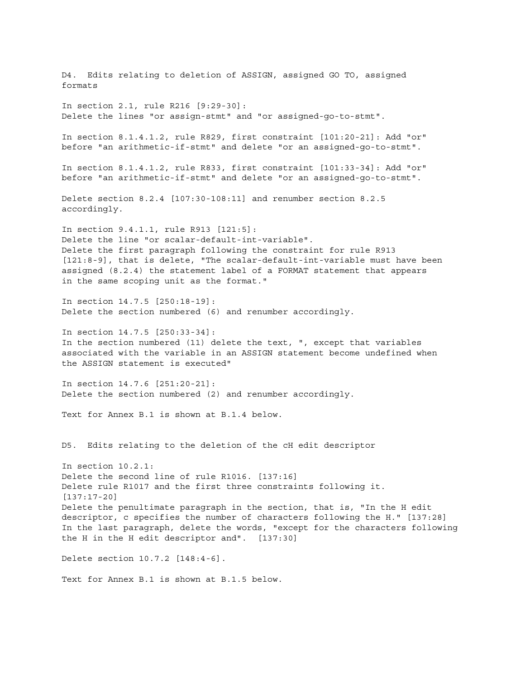D4. Edits relating to deletion of ASSIGN, assigned GO TO, assigned formats In section 2.1, rule R216 [9:29-30]: Delete the lines "or assign-stmt" and "or assigned-go-to-stmt". In section 8.1.4.1.2, rule R829, first constraint [101:20-21]: Add "or" before "an arithmetic-if-stmt" and delete "or an assigned-go-to-stmt". In section 8.1.4.1.2, rule R833, first constraint [101:33-34]: Add "or" before "an arithmetic-if-stmt" and delete "or an assigned-go-to-stmt". Delete section 8.2.4 [107:30-108:11] and renumber section 8.2.5 accordingly. In section 9.4.1.1, rule R913 [121:5]: Delete the line "or scalar-default-int-variable". Delete the first paragraph following the constraint for rule R913 [121:8-9], that is delete, "The scalar-default-int-variable must have been assigned (8.2.4) the statement label of a FORMAT statement that appears in the same scoping unit as the format." In section 14.7.5 [250:18-19]: Delete the section numbered (6) and renumber accordingly. In section 14.7.5 [250:33-34]: In the section numbered (11) delete the text, ", except that variables associated with the variable in an ASSIGN statement become undefined when the ASSIGN statement is executed" In section 14.7.6 [251:20-21]: Delete the section numbered (2) and renumber accordingly. Text for Annex B.1 is shown at B.1.4 below. D5. Edits relating to the deletion of the cH edit descriptor In section 10.2.1: Delete the second line of rule R1016. [137:16] Delete rule R1017 and the first three constraints following it. [137:17-20] Delete the penultimate paragraph in the section, that is, "In the H edit descriptor, c specifies the number of characters following the H." [137:28] In the last paragraph, delete the words, "except for the characters following the H in the H edit descriptor and". [137:30] Delete section 10.7.2 [148:4-6]. Text for Annex B.1 is shown at B.1.5 below.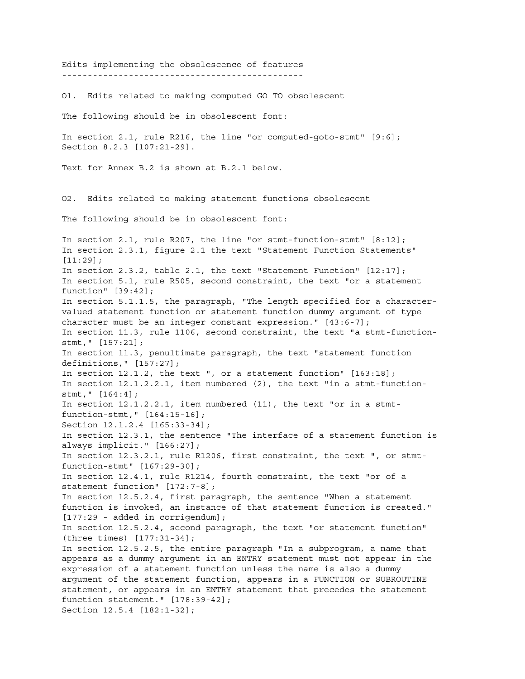Edits implementing the obsolescence of features ----------------------------------------------- O1. Edits related to making computed GO TO obsolescent The following should be in obsolescent font: In section 2.1, rule R216, the line "or computed-goto-stmt" [9:6]; Section 8.2.3 [107:21-29]. Text for Annex B.2 is shown at B.2.1 below. O2. Edits related to making statement functions obsolescent The following should be in obsolescent font: In section 2.1, rule R207, the line "or stmt-function-stmt" [8:12]; In section 2.3.1, figure 2.1 the text "Statement Function Statements" [11:29]; In section 2.3.2, table 2.1, the text "Statement Function" [12:17]; In section 5.1, rule R505, second constraint, the text "or a statement function" [39:42]; In section 5.1.1.5, the paragraph, "The length specified for a charactervalued statement function or statement function dummy argument of type character must be an integer constant expression." [43:6-7]; In section 11.3, rule 1106, second constraint, the text "a stmt-functionstmt," [157:21]; In section 11.3, penultimate paragraph, the text "statement function definitions," [157:27]; In section 12.1.2, the text ", or a statement function" [163:18]; In section 12.1.2.2.1, item numbered (2), the text "in a stmt-functionstmt," [164:4]; In section 12.1.2.2.1, item numbered (11), the text "or in a stmtfunction-stmt," [164:15-16]; Section 12.1.2.4 [165:33-34]; In section 12.3.1, the sentence "The interface of a statement function is always implicit." [166:27]; In section 12.3.2.1, rule R1206, first constraint, the text ", or stmtfunction-stmt" [167:29-30]; In section 12.4.1, rule R1214, fourth constraint, the text "or of a statement function" [172:7-8]; In section 12.5.2.4, first paragraph, the sentence "When a statement function is invoked, an instance of that statement function is created." [177:29 - added in corrigendum]; In section 12.5.2.4, second paragraph, the text "or statement function" (three times) [177:31-34]; In section 12.5.2.5, the entire paragraph "In a subprogram, a name that appears as a dummy argument in an ENTRY statement must not appear in the expression of a statement function unless the name is also a dummy argument of the statement function, appears in a FUNCTION or SUBROUTINE statement, or appears in an ENTRY statement that precedes the statement function statement." [178:39-42]; Section 12.5.4 [182:1-32];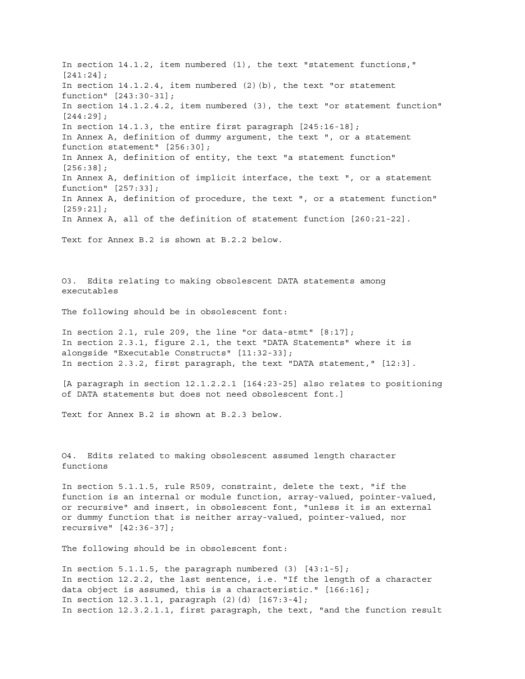In section 14.1.2, item numbered (1), the text "statement functions," [241:24]; In section 14.1.2.4, item numbered (2)(b), the text "or statement function" [243:30-31]; In section 14.1.2.4.2, item numbered (3), the text "or statement function" [244:29]; In section 14.1.3, the entire first paragraph [245:16-18]; In Annex A, definition of dummy argument, the text ", or a statement function statement" [256:30]; In Annex A, definition of entity, the text "a statement function" [256:38]; In Annex A, definition of implicit interface, the text ", or a statement function" [257:33]; In Annex A, definition of procedure, the text ", or a statement function" [259:21]; In Annex A, all of the definition of statement function [260:21-22]. Text for Annex B.2 is shown at B.2.2 below. O3. Edits relating to making obsolescent DATA statements among executables The following should be in obsolescent font: In section 2.1, rule 209, the line "or data-stmt" [8:17]; In section 2.3.1, figure 2.1, the text "DATA Statements" where it is alongside "Executable Constructs" [11:32-33]; In section 2.3.2, first paragraph, the text "DATA statement," [12:3]. [A paragraph in section 12.1.2.2.1 [164:23-25] also relates to positioning of DATA statements but does not need obsolescent font.] Text for Annex B.2 is shown at B.2.3 below. O4. Edits related to making obsolescent assumed length character functions In section 5.1.1.5, rule R509, constraint, delete the text, "if the function is an internal or module function, array-valued, pointer-valued, or recursive" and insert, in obsolescent font, "unless it is an external or dummy function that is neither array-valued, pointer-valued, nor recursive" [42:36-37]; The following should be in obsolescent font: In section 5.1.1.5, the paragraph numbered (3) [43:1-5]; In section 12.2.2, the last sentence, i.e. "If the length of a character data object is assumed, this is a characteristic." [166:16]; In section  $12.3.1.1$ , paragraph  $(2)(d)$   $[167:3-4]$ ;

In section 12.3.2.1.1, first paragraph, the text, "and the function result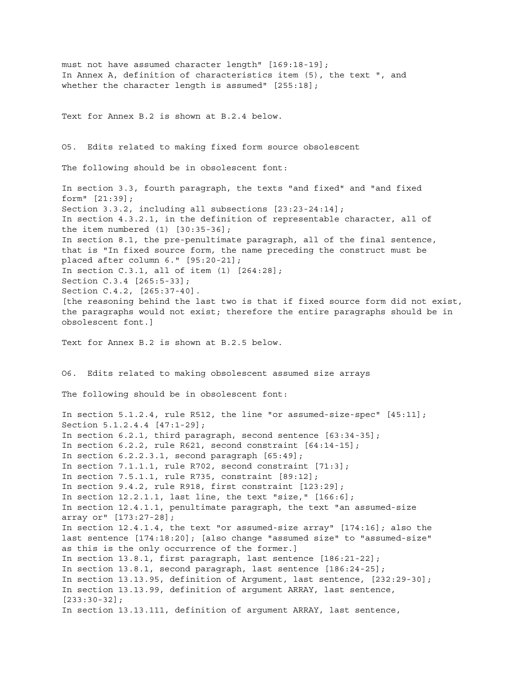must not have assumed character length" [169:18-19]; In Annex A, definition of characteristics item (5), the text ", and whether the character length is assumed" [255:18]; Text for Annex B.2 is shown at B.2.4 below. O5. Edits related to making fixed form source obsolescent The following should be in obsolescent font: In section 3.3, fourth paragraph, the texts "and fixed" and "and fixed form" [21:39]; Section 3.3.2, including all subsections [23:23-24:14]; In section 4.3.2.1, in the definition of representable character, all of the item numbered (1) [30:35-36]; In section 8.1, the pre-penultimate paragraph, all of the final sentence, that is "In fixed source form, the name preceding the construct must be placed after column 6." [95:20-21]; In section C.3.1, all of item (1) [264:28]; Section C.3.4 [265:5-33]; Section C.4.2, [265:37-40]. [the reasoning behind the last two is that if fixed source form did not exist, the paragraphs would not exist; therefore the entire paragraphs should be in obsolescent font.] Text for Annex B.2 is shown at B.2.5 below. O6. Edits related to making obsolescent assumed size arrays The following should be in obsolescent font: In section 5.1.2.4, rule R512, the line "or assumed-size-spec" [45:11]; Section 5.1.2.4.4 [47:1-29]; In section 6.2.1, third paragraph, second sentence [63:34-35]; In section 6.2.2, rule R621, second constraint [64:14-15]; In section 6.2.2.3.1, second paragraph [65:49]; In section 7.1.1.1, rule R702, second constraint [71:3]; In section 7.5.1.1, rule R735, constraint [89:12]; In section 9.4.2, rule R918, first constraint [123:29]; In section 12.2.1.1, last line, the text "size," [166:6]; In section 12.4.1.1, penultimate paragraph, the text "an assumed-size array or" [173:27-28]; In section 12.4.1.4, the text "or assumed-size array" [174:16]; also the last sentence [174:18:20]; [also change "assumed size" to "assumed-size" as this is the only occurrence of the former.] In section 13.8.1, first paragraph, last sentence [186:21-22]; In section 13.8.1, second paragraph, last sentence [186:24-25]; In section 13.13.95, definition of Argument, last sentence, [232:29-30]; In section 13.13.99, definition of argument ARRAY, last sentence, [233:30-32]; In section 13.13.111, definition of argument ARRAY, last sentence,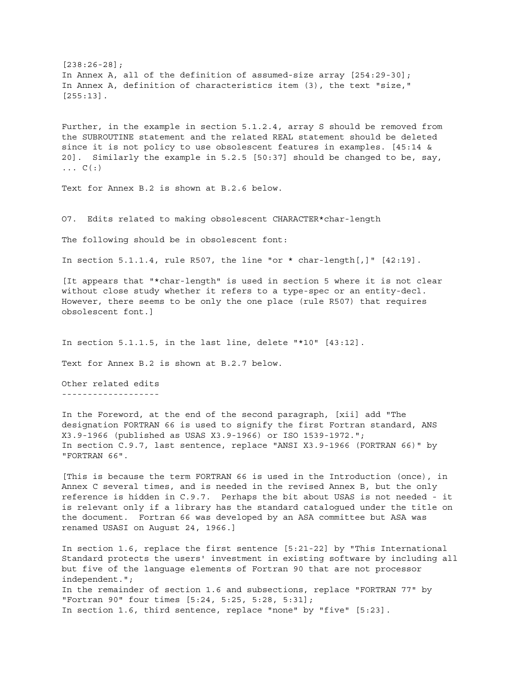[238:26-28]; In Annex A, all of the definition of assumed-size array [254:29-30]; In Annex A, definition of characteristics item (3), the text "size," [255:13].

Further, in the example in section 5.1.2.4, array S should be removed from the SUBROUTINE statement and the related REAL statement should be deleted since it is not policy to use obsolescent features in examples. [45:14 & 20]. Similarly the example in 5.2.5 [50:37] should be changed to be, say,  $\ldots$  C( $:$ )

Text for Annex B.2 is shown at B.2.6 below.

O7. Edits related to making obsolescent CHARACTER\*char-length

The following should be in obsolescent font:

In section  $5.1.1.4$ , rule R507, the line "or \* char-length[,]"  $[42.19]$ .

[It appears that "\*char-length" is used in section 5 where it is not clear without close study whether it refers to a type-spec or an entity-decl. However, there seems to be only the one place (rule R507) that requires obsolescent font.]

In section 5.1.1.5, in the last line, delete "\*10" [43:12].

Text for Annex B.2 is shown at B.2.7 below.

Other related edits -------------------

In the Foreword, at the end of the second paragraph, [xii] add "The designation FORTRAN 66 is used to signify the first Fortran standard, ANS X3.9-1966 (published as USAS X3.9-1966) or ISO 1539-1972."; In section C.9.7, last sentence, replace "ANSI X3.9-1966 (FORTRAN 66)" by "FORTRAN 66".

[This is because the term FORTRAN 66 is used in the Introduction (once), in Annex C several times, and is needed in the revised Annex B, but the only reference is hidden in C.9.7. Perhaps the bit about USAS is not needed - it is relevant only if a library has the standard catalogued under the title on the document. Fortran 66 was developed by an ASA committee but ASA was renamed USASI on August 24, 1966.]

In section 1.6, replace the first sentence [5:21-22] by "This International Standard protects the users' investment in existing software by including all but five of the language elements of Fortran 90 that are not processor independent."; In the remainder of section 1.6 and subsections, replace "FORTRAN 77" by "Fortran 90" four times [5:24, 5:25, 5:28, 5:31]; In section 1.6, third sentence, replace "none" by "five" [5:23].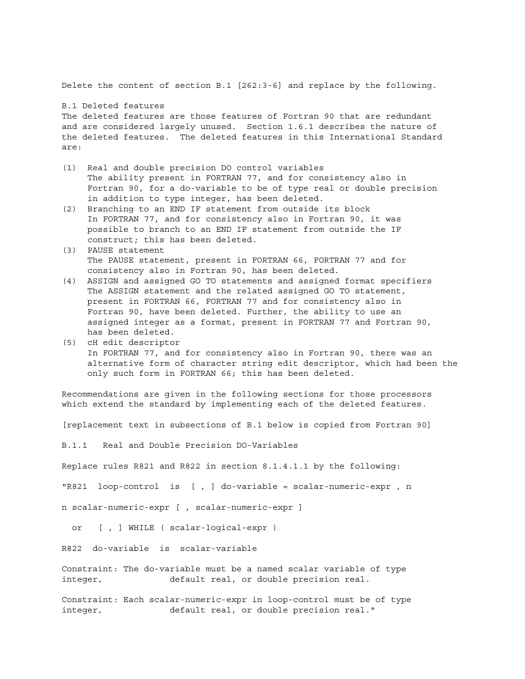Delete the content of section B.1 [262:3-6] and replace by the following.

B.1 Deleted features

The deleted features are those features of Fortran 90 that are redundant and are considered largely unused. Section 1.6.1 describes the nature of the deleted features. The deleted features in this International Standard are:

- (1) Real and double precision DO control variables The ability present in FORTRAN 77, and for consistency also in Fortran 90, for a do-variable to be of type real or double precision in addition to type integer, has been deleted.
- (2) Branching to an END IF statement from outside its block In FORTRAN 77, and for consistency also in Fortran 90, it was possible to branch to an END IF statement from outside the IF construct; this has been deleted.
- (3) PAUSE statement The PAUSE statement, present in FORTRAN 66, FORTRAN 77 and for consistency also in Fortran 90, has been deleted.
- (4) ASSIGN and assigned GO TO statements and assigned format specifiers The ASSIGN statement and the related assigned GO TO statement, present in FORTRAN 66, FORTRAN 77 and for consistency also in Fortran 90, have been deleted. Further, the ability to use an assigned integer as a format, present in FORTRAN 77 and Fortran 90, has been deleted.
- (5) cH edit descriptor In FORTRAN 77, and for consistency also in Fortran 90, there was an alternative form of character string edit descriptor, which had been the only such form in FORTRAN 66; this has been deleted.

Recommendations are given in the following sections for those processors which extend the standard by implementing each of the deleted features.

[replacement text in subsections of B.1 below is copied from Fortran 90]

B.1.1 Real and Double Precision DO-Variables

Replace rules R821 and R822 in section 8.1.4.1.1 by the following:

"R821 loop-control is [ , ] do-variable = scalar-numeric-expr , n

n scalar-numeric-expr [ , scalar-numeric-expr ]

or [ , ] WHILE ( scalar-logical-expr )

R822 do-variable is scalar-variable

Constraint: The do-variable must be a named scalar variable of type integer, default real, or double precision real.

Constraint: Each scalar-numeric-expr in loop-control must be of type integer, default real, or double precision real."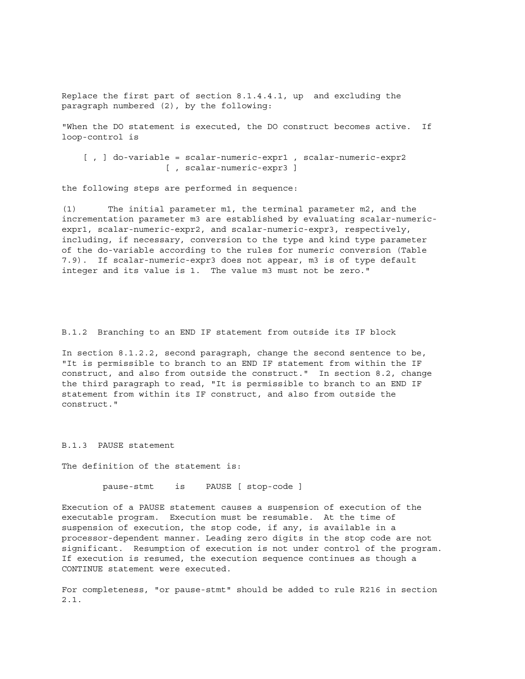Replace the first part of section 8.1.4.4.1, up and excluding the paragraph numbered (2), by the following:

"When the DO statement is executed, the DO construct becomes active. If loop-control is

```
[ , ] do-variable = scalar-numeric-expr1 , scalar-numeric-expr2
                [ , scalar-numeric-expr3 ]
```
the following steps are performed in sequence:

(1) The initial parameter m1, the terminal parameter m2, and the incrementation parameter m3 are established by evaluating scalar-numericexpr1, scalar-numeric-expr2, and scalar-numeric-expr3, respectively, including, if necessary, conversion to the type and kind type parameter of the do-variable according to the rules for numeric conversion (Table 7.9). If scalar-numeric-expr3 does not appear, m3 is of type default integer and its value is 1. The value m3 must not be zero."

B.1.2 Branching to an END IF statement from outside its IF block

In section 8.1.2.2, second paragraph, change the second sentence to be, "It is permissible to branch to an END IF statement from within the IF construct, and also from outside the construct." In section 8.2, change the third paragraph to read, "It is permissible to branch to an END IF statement from within its IF construct, and also from outside the construct."

#### B.1.3 PAUSE statement

The definition of the statement is:

pause-stmt is PAUSE [ stop-code ]

Execution of a PAUSE statement causes a suspension of execution of the executable program. Execution must be resumable. At the time of suspension of execution, the stop code, if any, is available in a processor-dependent manner. Leading zero digits in the stop code are not significant. Resumption of execution is not under control of the program. If execution is resumed, the execution sequence continues as though a CONTINUE statement were executed.

For completeness, "or pause-stmt" should be added to rule R216 in section 2.1.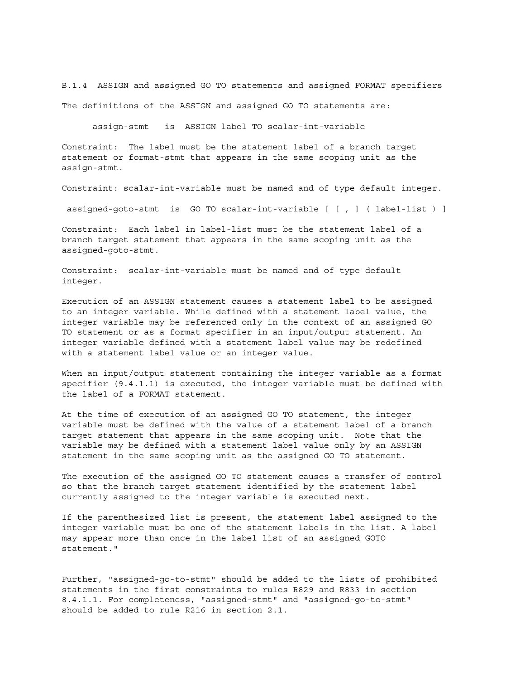B.1.4 ASSIGN and assigned GO TO statements and assigned FORMAT specifiers The definitions of the ASSIGN and assigned GO TO statements are:

assign-stmt is ASSIGN label TO scalar-int-variable

Constraint: The label must be the statement label of a branch target statement or format-stmt that appears in the same scoping unit as the assign-stmt.

Constraint: scalar-int-variable must be named and of type default integer.

assigned-goto-stmt is GO TO scalar-int-variable [ [ , ] ( label-list ) ]

Constraint: Each label in label-list must be the statement label of a branch target statement that appears in the same scoping unit as the assigned-goto-stmt.

Constraint: scalar-int-variable must be named and of type default integer.

Execution of an ASSIGN statement causes a statement label to be assigned to an integer variable. While defined with a statement label value, the integer variable may be referenced only in the context of an assigned GO TO statement or as a format specifier in an input/output statement. An integer variable defined with a statement label value may be redefined with a statement label value or an integer value.

When an input/output statement containing the integer variable as a format specifier (9.4.1.1) is executed, the integer variable must be defined with the label of a FORMAT statement.

At the time of execution of an assigned GO TO statement, the integer variable must be defined with the value of a statement label of a branch target statement that appears in the same scoping unit. Note that the variable may be defined with a statement label value only by an ASSIGN statement in the same scoping unit as the assigned GO TO statement.

The execution of the assigned GO TO statement causes a transfer of control so that the branch target statement identified by the statement label currently assigned to the integer variable is executed next.

If the parenthesized list is present, the statement label assigned to the integer variable must be one of the statement labels in the list. A label may appear more than once in the label list of an assigned GOTO statement."

Further, "assigned-go-to-stmt" should be added to the lists of prohibited statements in the first constraints to rules R829 and R833 in section 8.4.1.1. For completeness, "assigned-stmt" and "assigned-go-to-stmt" should be added to rule R216 in section 2.1.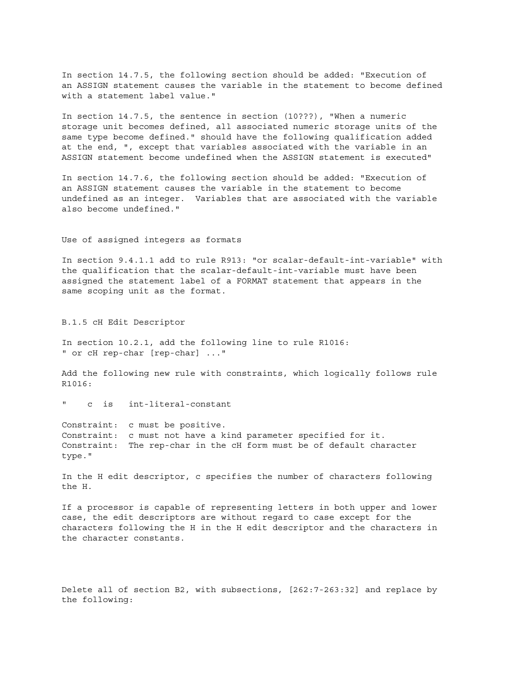In section 14.7.5, the following section should be added: "Execution of an ASSIGN statement causes the variable in the statement to become defined with a statement label value."

In section 14.7.5, the sentence in section (10???), "When a numeric storage unit becomes defined, all associated numeric storage units of the same type become defined." should have the following qualification added at the end, ", except that variables associated with the variable in an ASSIGN statement become undefined when the ASSIGN statement is executed"

In section 14.7.6, the following section should be added: "Execution of an ASSIGN statement causes the variable in the statement to become undefined as an integer. Variables that are associated with the variable also become undefined."

Use of assigned integers as formats

In section 9.4.1.1 add to rule R913: "or scalar-default-int-variable" with the qualification that the scalar-default-int-variable must have been assigned the statement label of a FORMAT statement that appears in the same scoping unit as the format.

B.1.5 cH Edit Descriptor

In section 10.2.1, add the following line to rule R1016: " or cH rep-char [rep-char] ..."

Add the following new rule with constraints, which logically follows rule R1016:

c is int-literal-constant

Constraint: c must be positive. Constraint: c must not have a kind parameter specified for it. Constraint: The rep-char in the cH form must be of default character type."

In the H edit descriptor, c specifies the number of characters following the H.

If a processor is capable of representing letters in both upper and lower case, the edit descriptors are without regard to case except for the characters following the H in the H edit descriptor and the characters in the character constants.

Delete all of section B2, with subsections, [262:7-263:32] and replace by the following: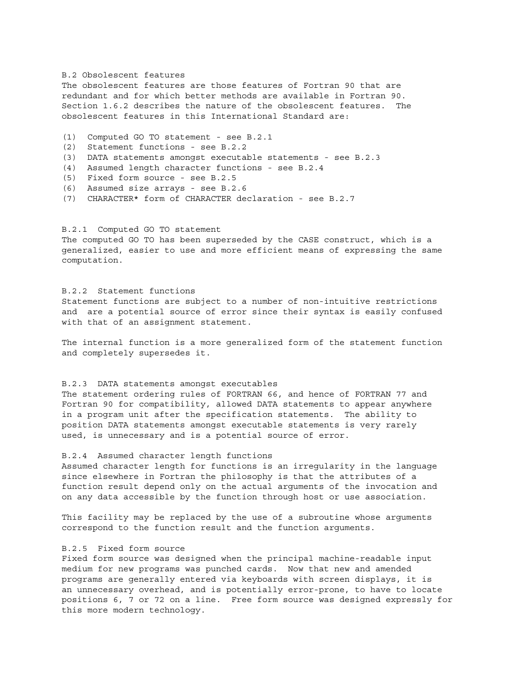#### B.2 Obsolescent features

The obsolescent features are those features of Fortran 90 that are redundant and for which better methods are available in Fortran 90. Section 1.6.2 describes the nature of the obsolescent features. The obsolescent features in this International Standard are:

- (1) Computed GO TO statement see B.2.1
- (2) Statement functions see B.2.2
- (3) DATA statements amongst executable statements see B.2.3
- (4) Assumed length character functions see B.2.4
- (5) Fixed form source see B.2.5
- (6) Assumed size arrays see B.2.6
- (7) CHARACTER\* form of CHARACTER declaration see B.2.7

#### B.2.1 Computed GO TO statement

The computed GO TO has been superseded by the CASE construct, which is a generalized, easier to use and more efficient means of expressing the same computation.

#### B.2.2 Statement functions

Statement functions are subject to a number of non-intuitive restrictions and are a potential source of error since their syntax is easily confused with that of an assignment statement.

The internal function is a more generalized form of the statement function and completely supersedes it.

#### B.2.3 DATA statements amongst executables

The statement ordering rules of FORTRAN 66, and hence of FORTRAN 77 and Fortran 90 for compatibility, allowed DATA statements to appear anywhere in a program unit after the specification statements. The ability to position DATA statements amongst executable statements is very rarely used, is unnecessary and is a potential source of error.

#### B.2.4 Assumed character length functions

Assumed character length for functions is an irregularity in the language since elsewhere in Fortran the philosophy is that the attributes of a function result depend only on the actual arguments of the invocation and on any data accessible by the function through host or use association.

This facility may be replaced by the use of a subroutine whose arguments correspond to the function result and the function arguments.

## B.2.5 Fixed form source

Fixed form source was designed when the principal machine-readable input medium for new programs was punched cards. Now that new and amended programs are generally entered via keyboards with screen displays, it is an unnecessary overhead, and is potentially error-prone, to have to locate positions 6, 7 or 72 on a line. Free form source was designed expressly for this more modern technology.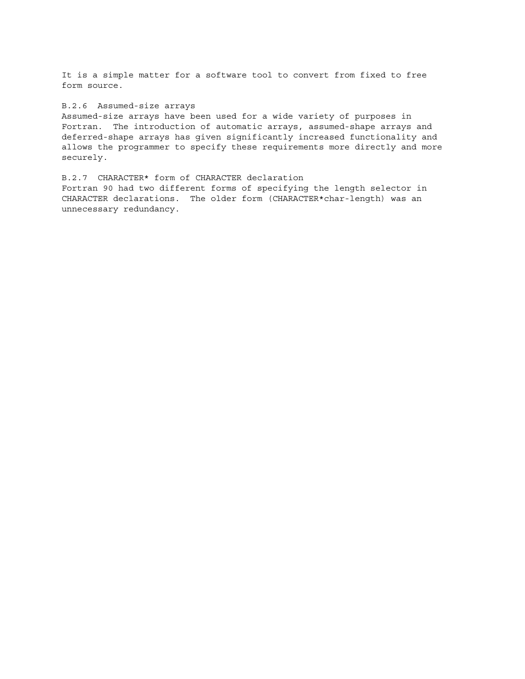It is a simple matter for a software tool to convert from fixed to free form source.

#### B.2.6 Assumed-size arrays

Assumed-size arrays have been used for a wide variety of purposes in Fortran. The introduction of automatic arrays, assumed-shape arrays and deferred-shape arrays has given significantly increased functionality and allows the programmer to specify these requirements more directly and more securely.

B.2.7 CHARACTER\* form of CHARACTER declaration Fortran 90 had two different forms of specifying the length selector in CHARACTER declarations. The older form (CHARACTER\*char-length) was an unnecessary redundancy.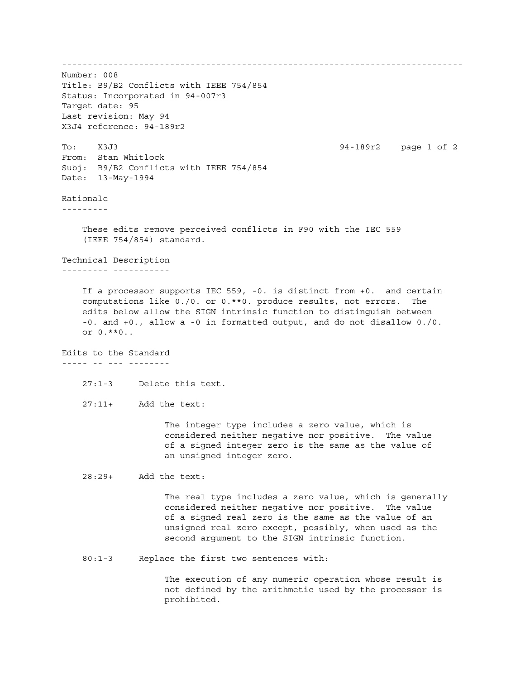------------------------------------------------------------------------------ Number: 008 Title: B9/B2 Conflicts with IEEE 754/854 Status: Incorporated in 94-007r3 Target date: 95 Last revision: May 94 X3J4 reference: 94-189r2 To: X3J3 94-189r2 page 1 of 2 From: Stan Whitlock Subj: B9/B2 Conflicts with IEEE 754/854 Date: 13-May-1994 Rationale --------- These edits remove perceived conflicts in F90 with the IEC 559 (IEEE 754/854) standard. Technical Description --------- ----------- If a processor supports IEC 559, -0. is distinct from +0. and certain computations like 0./0. or 0.\*\*0. produce results, not errors. The edits below allow the SIGN intrinsic function to distinguish between -0. and +0., allow a -0 in formatted output, and do not disallow 0./0. or 0.\*\*0.. Edits to the Standard ----- -- --- -------- 27:1-3 Delete this text. 27:11+ Add the text: The integer type includes a zero value, which is considered neither negative nor positive. The value of a signed integer zero is the same as the value of an unsigned integer zero. 28:29+ Add the text: The real type includes a zero value, which is generally considered neither negative nor positive. The value of a signed real zero is the same as the value of an unsigned real zero except, possibly, when used as the second argument to the SIGN intrinsic function. 80:1-3 Replace the first two sentences with: The execution of any numeric operation whose result is not defined by the arithmetic used by the processor is prohibited.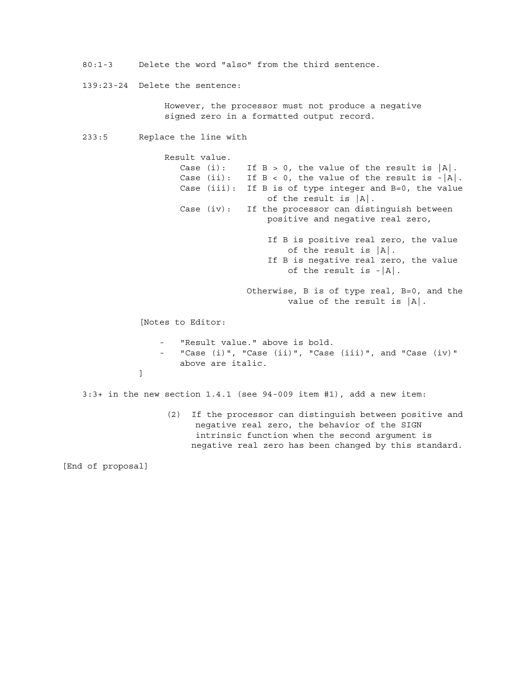80:1-3 Delete the word "also" from the third sentence.

139:23-24 Delete the sentence:

 However, the processor must not produce a negative signed zero in a formatted output record.

233:5 Replace the line with

 Result value. Case (i): If  $B > 0$ , the value of the result is  $|A|$ . Case (ii): If  $B < 0$ , the value of the result is - $|A|$ . Case (iii): If B is of type integer and B=0, the value of the result is |A|. Case (iv): If the processor can distinguish between positive and negative real zero, If B is positive real zero, the value of the result is  $|A|$ . If B is negative real zero, the value of the result is  $-|A|$ . Otherwise, B is of type real, B=0, and the value of the result is |A|. [Notes to Editor: "Result value." above is bold. "Case (i)", "Case (ii)", "Case (iii)", and "Case (iv)" above are italic. de la construcción de la propia de la propia de la propia de la propia de la propia de la propia de la propia<br>En la propia de la propia de la propia de la propia de la propia de la propia de la propia de la propia de la 3:3+ in the new section 1.4.1 (see 94-009 item #1), add a new item: (2) If the processor can distinguish between positive and negative real zero, the behavior of the SIGN intrinsic function when the second argument is

negative real zero has been changed by this standard.

[End of proposal]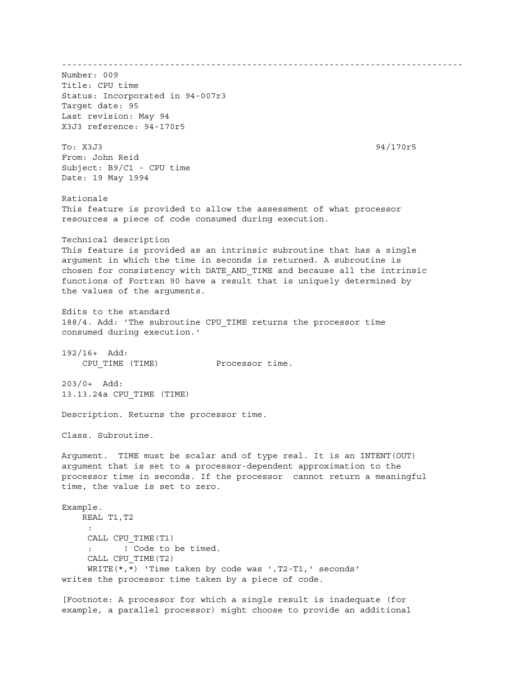------------------------------------------------------------------------------ Number: 009 Title: CPU time Status: Incorporated in 94-007r3 Target date: 95 Last revision: May 94 X3J3 reference: 94-170r5 To: X3J3 94/170r5 From: John Reid Subject: B9/C1 - CPU time Date: 19 May 1994 Rationale This feature is provided to allow the assessment of what processor resources a piece of code consumed during execution. Technical description This feature is provided as an intrinsic subroutine that has a single argument in which the time in seconds is returned. A subroutine is chosen for consistency with DATE\_AND\_TIME and because all the intrinsic functions of Fortran 90 have a result that is uniquely determined by the values of the arguments. Edits to the standard 188/4. Add: 'The subroutine CPU\_TIME returns the processor time consumed during execution.' 192/16+ Add: CPU TIME (TIME) Processor time. 203/0+ Add: 13.13.24a CPU\_TIME (TIME) Description. Returns the processor time. Class. Subroutine. Argument. TIME must be scalar and of type real. It is an INTENT(OUT) argument that is set to a processor-dependent approximation to the processor time in seconds. If the processor cannot return a meaningful time, the value is set to zero. Example. REAL T1,T2 : CALL CPU\_TIME(T1) : ! Code to be timed. CALL CPU\_TIME(T2) WRITE(\*,\*) 'Time taken by code was ',T2-T1,' seconds' writes the processor time taken by a piece of code. [Footnote: A processor for which a single result is inadequate (for example, a parallel processor) might choose to provide an additional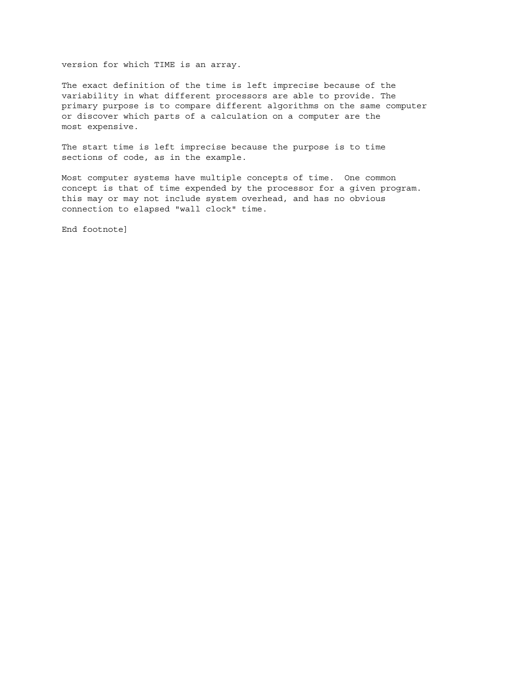version for which TIME is an array.

The exact definition of the time is left imprecise because of the variability in what different processors are able to provide. The primary purpose is to compare different algorithms on the same computer or discover which parts of a calculation on a computer are the most expensive.

The start time is left imprecise because the purpose is to time sections of code, as in the example.

Most computer systems have multiple concepts of time. One common concept is that of time expended by the processor for a given program. this may or may not include system overhead, and has no obvious connection to elapsed "wall clock" time.

End footnote]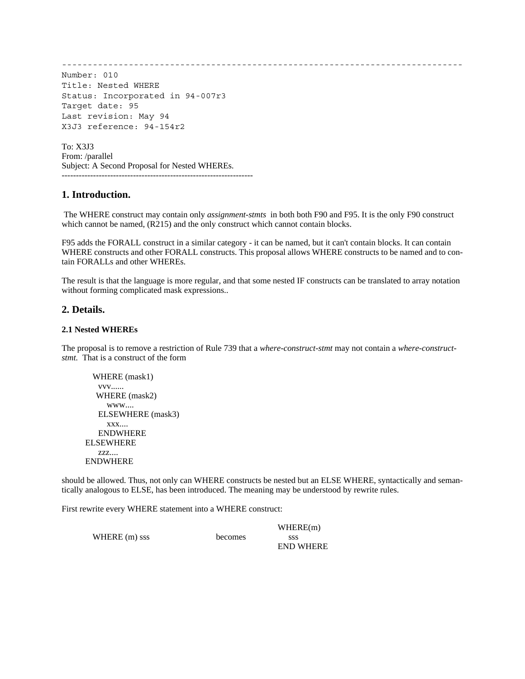------------------------------------------------------------------------------

Number: 010 Title: Nested WHERE Status: Incorporated in 94-007r3 Target date: 95 Last revision: May 94 X3J3 reference: 94-154r2

To: X3J3 From: /parallel Subject: A Second Proposal for Nested WHEREs. -------------------------------------------------------------------

# **1. Introduction.**

 The WHERE construct may contain only *assignment-stmts* in both both F90 and F95. It is the only F90 construct which cannot be named,  $(R215)$  and the only construct which cannot contain blocks.

F95 adds the FORALL construct in a similar category - it can be named, but it can't contain blocks. It can contain WHERE constructs and other FORALL constructs. This proposal allows WHERE constructs to be named and to contain FORALLs and other WHEREs.

The result is that the language is more regular, and that some nested IF constructs can be translated to array notation without forming complicated mask expressions..

## **2. Details.**

## **2.1 Nested WHEREs**

The proposal is to remove a restriction of Rule 739 that a *where-construct-stmt* may not contain a *where-constructstmt.* That is a construct of the form

```
WHERE (mask1)
    vvv......
    WHERE (mask2)
      www....
    ELSEWHERE (mask3)
      xxx....
    ENDWHERE
 ELSEWHERE
    zzz....
 ENDWHERE
```
should be allowed. Thus, not only can WHERE constructs be nested but an ELSE WHERE, syntactically and semantically analogous to ELSE, has been introduced. The meaning may be understood by rewrite rules.

First rewrite every WHERE statement into a WHERE construct:

|               |         | WHERE(m)         |
|---------------|---------|------------------|
| WHERE (m) sss | becomes | SSS              |
|               |         | <b>END WHERE</b> |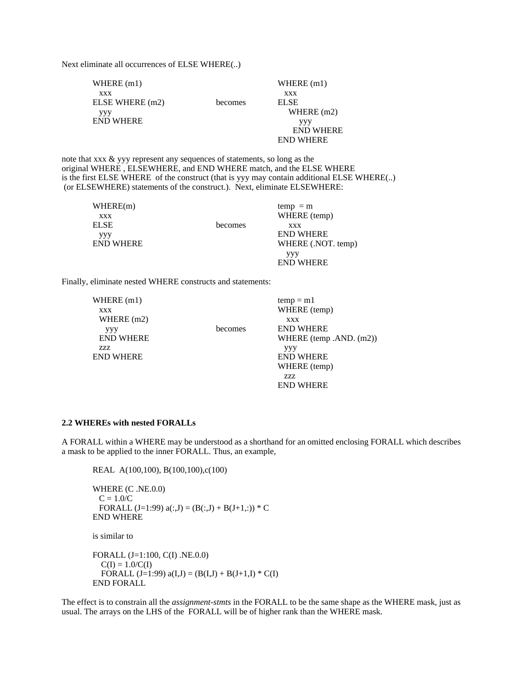Next eliminate all occurrences of ELSE WHERE(..)

| WHERE $(m1)$     |         | WHERE $(m1)$     |
|------------------|---------|------------------|
| <b>XXX</b>       |         | <b>XXX</b>       |
| ELSE WHERE (m2)  | becomes | <b>ELSE</b>      |
| yyy              |         | WHERE $(m2)$     |
| <b>END WHERE</b> |         | yyy              |
|                  |         | <b>END WHERE</b> |
|                  |         | <b>END WHERE</b> |

note that xxx & yyy represent any sequences of statements, so long as the original WHERE , ELSEWHERE, and END WHERE match, and the ELSE WHERE is the first ELSE WHERE of the construct (that is yyy may contain additional ELSE WHERE(..) (or ELSEWHERE) statements of the construct.). Next, eliminate ELSEWHERE:

| WHERE(m)         |         | $temp = m$         |
|------------------|---------|--------------------|
| <b>XXX</b>       |         | WHERE (temp)       |
| ELSE             | becomes | <b>XXX</b>         |
| ууу              |         | <b>END WHERE</b>   |
| <b>END WHERE</b> |         | WHERE (.NOT. temp) |
|                  |         | yyy                |
|                  |         | <b>END WHERE</b>   |

Finally, eliminate nested WHERE constructs and statements:

| WHERE $(m1)$     |         | $temp = m1$                |
|------------------|---------|----------------------------|
| XXX              |         | WHERE (temp)               |
| WHERE $(m2)$     |         | <b>XXX</b>                 |
| yyy              | becomes | <b>END WHERE</b>           |
| <b>END WHERE</b> |         | WHERE (temp .AND. $(m2)$ ) |
| 7.7.7.           |         | yyy                        |
| <b>END WHERE</b> |         | <b>END WHERE</b>           |
|                  |         | WHERE (temp)               |
|                  |         | 7.7.7.                     |
|                  |         | <b>END WHERE</b>           |
|                  |         |                            |

#### **2.2 WHEREs with nested FORALLs**

A FORALL within a WHERE may be understood as a shorthand for an omitted enclosing FORALL which describes a mask to be applied to the inner FORALL. Thus, an example,

REAL A(100,100), B(100,100),c(100)

WHERE (C .NE.0.0)  $C = 1.0/C$ FORALL  $(J=1:99)$   $a(:,J) = (B(:,J) + B(J+1,:)) * C$ END WHERE

is similar to

```
FORALL (J=1:100, C(I) .NE.0.0)
  C(I) = 1.0/C(I)FORALL (J=1:99) a(I,J) = (B(I,J) + B(J+1,I) * C(I))END FORALL
```
The effect is to constrain all the *assignment-stmts* in the FORALL to be the same shape as the WHERE mask, just as usual. The arrays on the LHS of the FORALL will be of higher rank than the WHERE mask.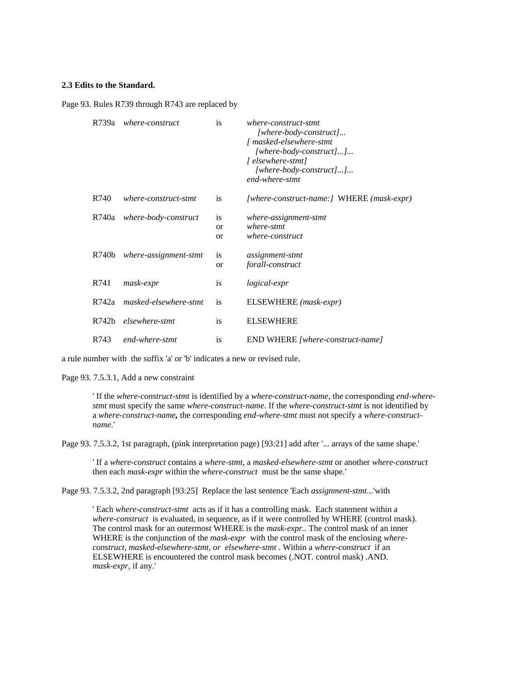## **2.3 Edits to the Standard.**

Page 93. Rules R739 through R743 are replaced by

| R739a | where-construct       | is                               | where-construct-stmt<br>$[where-body-construct]$<br>[ masked-elsewhere-stmt<br>$[where-body-construct]]$<br>[ elsewhere-stmt]<br>$[where-body-construct]]$<br>end-where-stmt |
|-------|-----------------------|----------------------------------|------------------------------------------------------------------------------------------------------------------------------------------------------------------------------|
| R740  | where-construct-stmt  | is                               | [where-construct-name:] WHERE (mask-expr)                                                                                                                                    |
| R740a | where-body-construct  | is<br><b>or</b><br><sub>or</sub> | where-assignment-stmt<br>where-stmt<br>where-construct                                                                                                                       |
| R740b | where-assignment-stmt | <i>is</i><br><b>or</b>           | assignment-stmt<br>forall-construct                                                                                                                                          |
| R741  | mask-expr             | is                               | <i>logical-expr</i>                                                                                                                                                          |
| R742a | masked-elsewhere-stmt | is                               | ELSEWHERE (mask-expr)                                                                                                                                                        |
| R742b | elsewhere-stmt        | is                               | <b>ELSEWHERE</b>                                                                                                                                                             |
| R743  | end-where-stmt        | is                               | END WHERE [where-construct-name]                                                                                                                                             |

a rule number with the suffix 'a' or 'b' indicates a new or revised rule.

Page 93. 7.5.3.1, Add a new constraint

' If the *where-construct-stmt* is identified by a *where-construct-name*, the corresponding *end-wherestmt* must specify the same *where-construct-name.* If the *where-construct-stmt* is not identified by a *where-construct-name,* the corresponding *end-where-stmt* must not specify a *where-constructname*.'

Page 93. 7.5.3.2, 1st paragraph, (pink interpretation page) [93:21] add after '... arrays of the same shape.'

' If a *where-construct* contains a *where-stmt*, a *masked-elsewhere-stmt* or another *where-construct* then each *mask-expr* within the *where-construct* must be the same shape.'

Page 93. 7.5.3.2, 2nd paragraph [93:25] Replace the last sentence 'Each *assignment-stmt*...'with

' Each *where-construct-stmt* acts as if it has a controlling mask. Each statement within a *where-construct* is evaluated, in sequence, as if it were controlled by WHERE (control mask). The control mask for an outermost WHERE is the *mask-expr..* The control mask of an inner WHERE is the conjunction of the *mask-expr* with the control mask of the enclosing *whereconstruct, masked-elsewhere-stmt, or elsewhere-stmt* . Within a *where-construct* if an ELSEWHERE is encountered the control mask becomes (.NOT. control mask) .AND. *mask-expr,* if any.'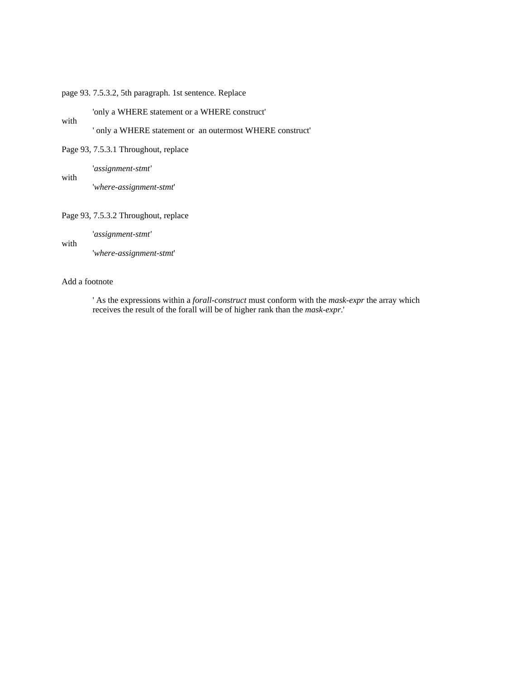## page 93. 7.5.3.2, 5th paragraph. 1st sentence. Replace

'only a WHERE statement or a WHERE construct'

' only a WHERE statement or an outermost WHERE construct'

Page 93, 7.5.3.1 Throughout, replace

'*assignment-stmt'*

'*where-assignment-stmt*'

## Page 93, 7.5.3.2 Throughout, replace

'*assignment-stmt'*

with

with

with

'*where-assignment-stmt*'

### Add a footnote

' As the expressions within a *forall-construct* must conform with the *mask-expr* the array which receives the result of the forall will be of higher rank than the *mask-expr*.'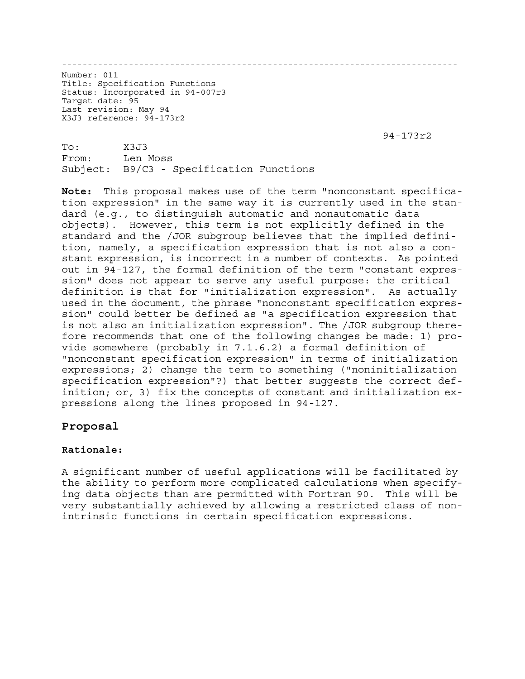-----------------------------------------------------------------------------

Number: 011 Title: Specification Functions Status: Incorporated in 94-007r3 Target date: 95 Last revision: May 94 X3J3 reference: 94-173r2

94-173r2

To: X3J3 From: Len Moss Subject: B9/C3 - Specification Functions

**Note:** This proposal makes use of the term "nonconstant specification expression" in the same way it is currently used in the standard (e.g., to distinguish automatic and nonautomatic data objects). However, this term is not explicitly defined in the standard and the /JOR subgroup believes that the implied definition, namely, a specification expression that is not also a constant expression, is incorrect in a number of contexts. As pointed out in 94-127, the formal definition of the term "constant expression" does not appear to serve any useful purpose: the critical definition is that for "initialization expression". As actually used in the document, the phrase "nonconstant specification expression" could better be defined as "a specification expression that is not also an initialization expression". The /JOR subgroup therefore recommends that one of the following changes be made: 1) provide somewhere (probably in 7.1.6.2) a formal definition of "nonconstant specification expression" in terms of initialization expressions; 2) change the term to something ("noninitialization specification expression"?) that better suggests the correct definition; or, 3) fix the concepts of constant and initialization expressions along the lines proposed in 94-127.

# **Proposal**

# **Rationale:**

A significant number of useful applications will be facilitated by the ability to perform more complicated calculations when specifying data objects than are permitted with Fortran 90. This will be very substantially achieved by allowing a restricted class of nonintrinsic functions in certain specification expressions.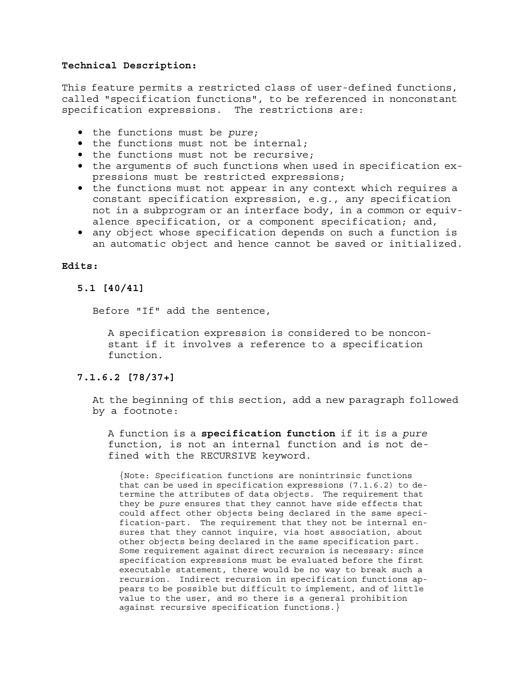# **Technical Description:**

This feature permits a restricted class of user-defined functions, called "specification functions", to be referenced in nonconstant specification expressions. The restrictions are:

- the functions must be *pure*;
- the functions must not be internal;
- the functions must not be recursive;
- the arguments of such functions when used in specification expressions must be restricted expressions;
- the functions must not appear in any context which requires a constant specification expression, e.g., any specification not in a subprogram or an interface body, in a common or equivalence specification, or a component specification; and,
- any object whose specification depends on such a function is an automatic object and hence cannot be saved or initialized.

## **Edits:**

# **5.1 [40/41]**

Before "If" add the sentence,

A specification expression is considered to be nonconstant if it involves a reference to a specification function.

## **7.1.6.2 [78/37+]**

At the beginning of this section, add a new paragraph followed by a footnote:

A function is a **specification function** if it is a *pure* function, is not an internal function and is not defined with the RECURSIVE keyword.

{Note: Specification functions are nonintrinsic functions that can be used in specification expressions (7.1.6.2) to determine the attributes of data objects. The requirement that they be *pure* ensures that they cannot have side effects that could affect other objects being declared in the same specification-part. The requirement that they not be internal ensures that they cannot inquire, via host association, about other objects being declared in the same specification part. Some requirement against direct recursion is necessary: since specification expressions must be evaluated before the first executable statement, there would be no way to break such a recursion. Indirect recursion in specification functions appears to be possible but difficult to implement, and of little value to the user, and so there is a general prohibition against recursive specification functions.}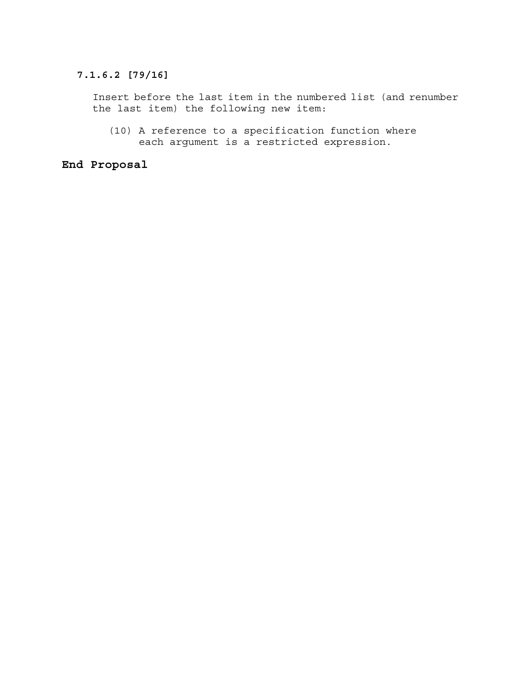# **7.1.6.2 [79/16]**

Insert before the last item in the numbered list (and renumber the last item) the following new item:

(10) A reference to a specification function where each argument is a restricted expression.

# **End Proposal**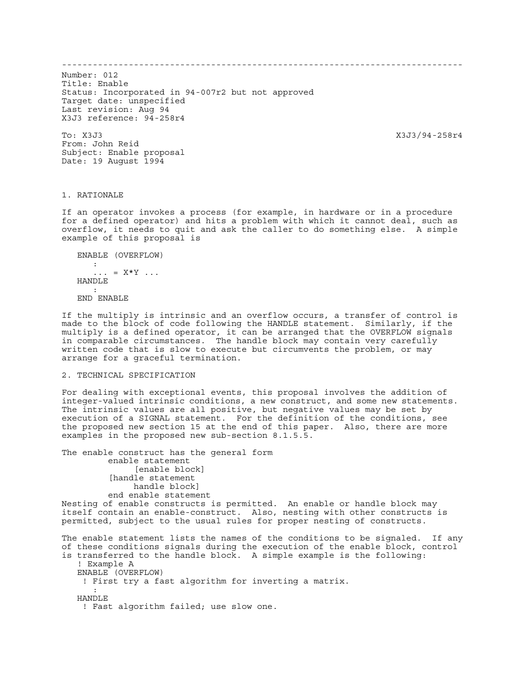------------------------------------------------------------------------------

Number: 012 Title: Enable Status: Incorporated in 94-007r2 but not approved Target date: unspecified Last revision: Aug 94 X3J3 reference: 94-258r4

To: X3J3 X3J3/94-258r4 From: John Reid Subject: Enable proposal Date: 19 August 1994

#### 1. RATIONALE

If an operator invokes a process (for example, in hardware or in a procedure for a defined operator) and hits a problem with which it cannot deal, such as overflow, it needs to quit and ask the caller to do something else. A simple example of this proposal is

```
 ENABLE (OVERFLOW)
: 100 minutes
        \ldots = X^*Y \ldots HANDLE
: 100 minutes
    END ENABLE
```
If the multiply is intrinsic and an overflow occurs, a transfer of control is made to the block of code following the HANDLE statement. Similarly, if the multiply is a defined operator, it can be arranged that the OVERFLOW signals in comparable circumstances. The handle block may contain very carefully written code that is slow to execute but circumvents the problem, or may arrange for a graceful termination.

#### 2. TECHNICAL SPECIFICATION

For dealing with exceptional events, this proposal involves the addition of integer-valued intrinsic conditions, a new construct, and some new statements. The intrinsic values are all positive, but negative values may be set by execution of a SIGNAL statement. For the definition of the conditions, see the proposed new section 15 at the end of this paper. Also, there are more examples in the proposed new sub-section 8.1.5.5.

The enable construct has the general form enable statement [enable block] [handle statement handle block] end enable statement Nesting of enable constructs is permitted. An enable or handle block may

itself contain an enable-construct. Also, nesting with other constructs is permitted, subject to the usual rules for proper nesting of constructs.

The enable statement lists the names of the conditions to be signaled. If any of these conditions signals during the execution of the enable block, control is transferred to the handle block. A simple example is the following: ! Example A ENABLE (OVERFLOW) ! First try a fast algorithm for inverting a matrix. : 100 minutes HANDLE ! Fast algorithm failed; use slow one.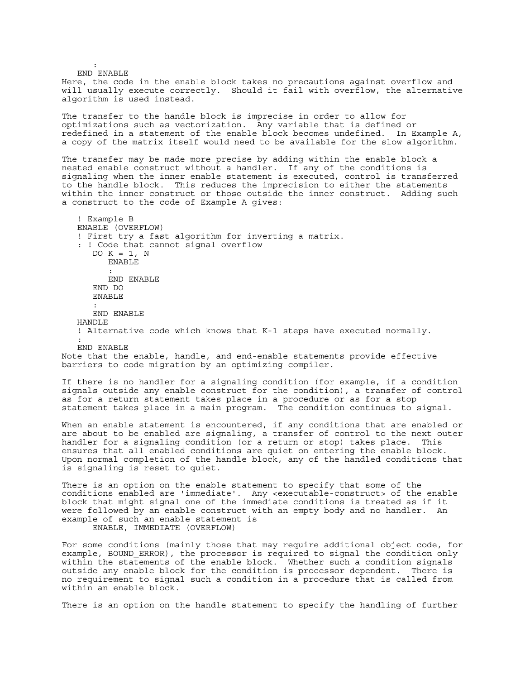: 100 minutes END ENABLE Here, the code in the enable block takes no precautions against overflow and will usually execute correctly. Should it fail with overflow, the alternative algorithm is used instead. The transfer to the handle block is imprecise in order to allow for optimizations such as vectorization. Any variable that is defined or redefined in a statement of the enable block becomes undefined. In Example A, a copy of the matrix itself would need to be available for the slow algorithm. The transfer may be made more precise by adding within the enable block a nested enable construct without a handler. If any of the conditions is signaling when the inner enable statement is executed, control is transferred to the handle block. This reduces the imprecision to either the statements within the inner construct or those outside the inner construct. Adding such a construct to the code of Example A gives: ! Example B ENABLE (OVERFLOW) ! First try a fast algorithm for inverting a matrix. : ! Code that cannot signal overflow DO  $K = 1$ , N ENABLE : 100 minutes END ENABLE END DO ENABLE : END ENABLE HANDLE ! Alternative code which knows that K-1 steps have executed normally. : END ENABLE Note that the enable, handle, and end-enable statements provide effective barriers to code migration by an optimizing compiler. If there is no handler for a signaling condition (for example, if a condition signals outside any enable construct for the condition), a transfer of control as for a return statement takes place in a procedure or as for a stop statement takes place in a main program. The condition continues to signal. When an enable statement is encountered, if any conditions that are enabled or are about to be enabled are signaling, a transfer of control to the next outer handler for a signaling condition (or a return or stop) takes place. This ensures that all enabled conditions are quiet on entering the enable block. Upon normal completion of the handle block, any of the handled conditions that is signaling is reset to quiet. There is an option on the enable statement to specify that some of the conditions enabled are 'immediate'. Any <executable-construct> of the enable block that might signal one of the immediate conditions is treated as if it were followed by an enable construct with an empty body and no handler. An example of such an enable statement is ENABLE, IMMEDIATE (OVERFLOW) For some conditions (mainly those that may require additional object code, for example, BOUND\_ERROR), the processor is required to signal the condition only within the statements of the enable block. Whether such a condition signals outside any enable block for the condition is processor dependent. There is no requirement to signal such a condition in a procedure that is called from within an enable block.

There is an option on the handle statement to specify the handling of further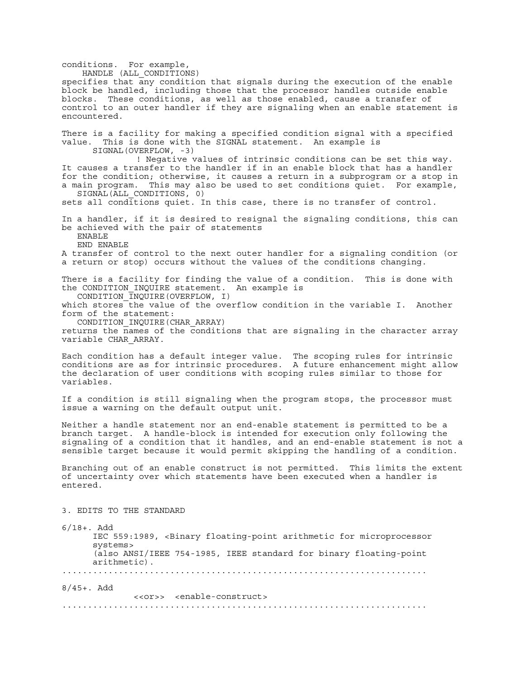conditions. For example, HANDLE (ALL CONDITIONS) specifies that any condition that signals during the execution of the enable block be handled, including those that the processor handles outside enable blocks. These conditions, as well as those enabled, cause a transfer of control to an outer handler if they are signaling when an enable statement is encountered. There is a facility for making a specified condition signal with a specified value. This is done with the SIGNAL statement. An example is SIGNAL(OVERFLOW, -3) ! Negative values of intrinsic conditions can be set this way. It causes a transfer to the handler if in an enable block that has a handler for the condition; otherwise, it causes a return in a subprogram or a stop in a main program. This may also be used to set conditions quiet. For example, SIGNAL(ALL\_CONDITIONS, 0) sets all conditions quiet. In this case, there is no transfer of control. In a handler, if it is desired to resignal the signaling conditions, this can be achieved with the pair of statements ENABLE END ENABLE A transfer of control to the next outer handler for a signaling condition (or a return or stop) occurs without the values of the conditions changing. There is a facility for finding the value of a condition. This is done with the CONDITION\_INQUIRE statement. An example is CONDITION\_INQUIRE(OVERFLOW, I) which stores the value of the overflow condition in the variable I. Another form of the statement: CONDITION\_INQUIRE(CHAR\_ARRAY) returns the names of the conditions that are signaling in the character array variable CHAR\_ARRAY. Each condition has a default integer value. The scoping rules for intrinsic conditions are as for intrinsic procedures. A future enhancement might allow the declaration of user conditions with scoping rules similar to those for variables. If a condition is still signaling when the program stops, the processor must issue a warning on the default output unit. Neither a handle statement nor an end-enable statement is permitted to be a branch target. A handle-block is intended for execution only following the signaling of a condition that it handles, and an end-enable statement is not a sensible target because it would permit skipping the handling of a condition. Branching out of an enable construct is not permitted. This limits the extent of uncertainty over which statements have been executed when a handler is entered. 3. EDITS TO THE STANDARD  $6/18+$ . Add IEC 559:1989, <Binary floating-point arithmetic for microprocessor systems> (also ANSI/IEEE 754-1985, IEEE standard for binary floating-point arithmetic). ....................................................................... 8/45+. Add <<or>> <enable-construct> .......................................................................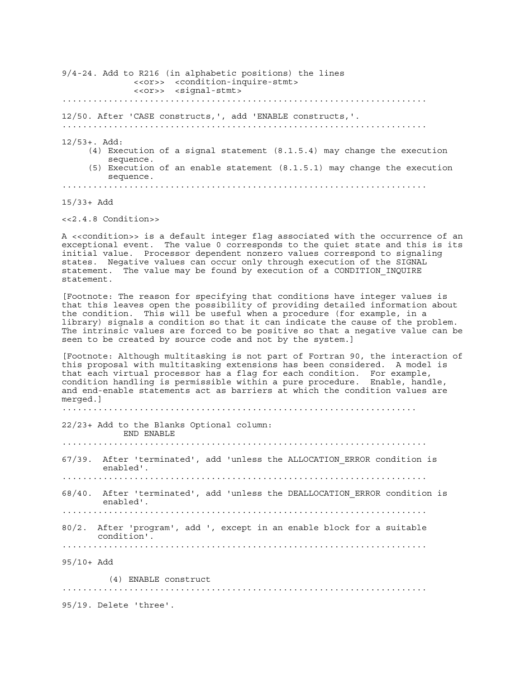9/4-24. Add to R216 (in alphabetic positions) the lines <<or>> <condition-inquire-stmt> <<or>> <signal-stmt> ....................................................................... 12/50. After 'CASE constructs,', add 'ENABLE constructs,'. ....................................................................... 12/53+. Add: (4) Execution of a signal statement (8.1.5.4) may change the execution sequence. (5) Execution of an enable statement (8.1.5.1) may change the execution sequence. .......................................................................

15/33+ Add

<<2.4.8 Condition>>

A <<condition>> is a default integer flag associated with the occurrence of an exceptional event. The value 0 corresponds to the quiet state and this is its initial value. Processor dependent nonzero values correspond to signaling states. Negative values can occur only through execution of the SIGNAL statement. The value may be found by execution of a CONDITION\_INQUIRE statement.

[Footnote: The reason for specifying that conditions have integer values is that this leaves open the possibility of providing detailed information about the condition. This will be useful when a procedure (for example, in a library) signals a condition so that it can indicate the cause of the problem. The intrinsic values are forced to be positive so that a negative value can be seen to be created by source code and not by the system.]

[Footnote: Although multitasking is not part of Fortran 90, the interaction of this proposal with multitasking extensions has been considered. A model is that each virtual processor has a flag for each condition. For example, condition handling is permissible within a pure procedure. Enable, handle, and end-enable statements act as barriers at which the condition values are merged.]

.....................................................................

22/23+ Add to the Blanks Optional column: END ENABLE ....................................................................... 67/39. After 'terminated', add 'unless the ALLOCATION\_ERROR condition is enabled'. ....................................................................... 68/40. After 'terminated', add 'unless the DEALLOCATION\_ERROR condition is enabled'. ....................................................................... 80/2. After 'program', add ', except in an enable block for a suitable condition'. ....................................................................... 95/10+ Add (4) ENABLE construct ....................................................................... 95/19. Delete 'three'.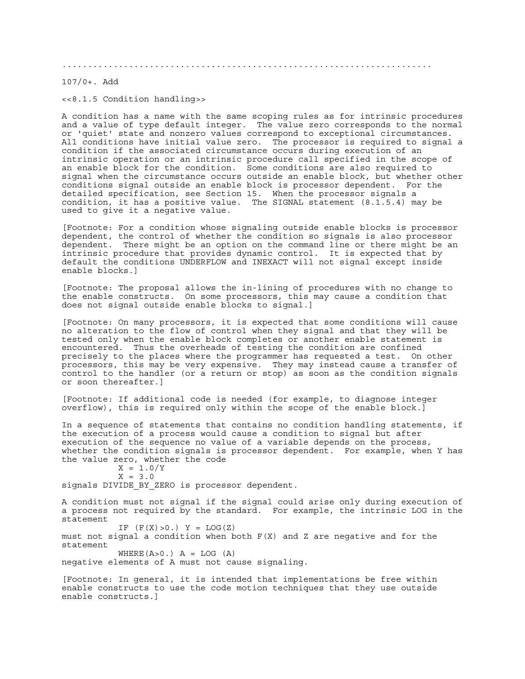........................................................................

107/0+. Add

<<8.1.5 Condition handling>>

A condition has a name with the same scoping rules as for intrinsic procedures and a value of type default integer. The value zero corresponds to the normal or 'quiet' state and nonzero values correspond to exceptional circumstances. All conditions have initial value zero. The processor is required to signal a condition if the associated circumstance occurs during execution of an intrinsic operation or an intrinsic procedure call specified in the scope of an enable block for the condition. Some conditions are also required to signal when the circumstance occurs outside an enable block, but whether other conditions signal outside an enable block is processor dependent. For the detailed specification, see Section 15. When the processor signals a condition, it has a positive value. The SIGNAL statement (8.1.5.4) may be used to give it a negative value.

[Footnote: For a condition whose signaling outside enable blocks is processor dependent, the control of whether the condition so signals is also processor dependent. There might be an option on the command line or there might be an intrinsic procedure that provides dynamic control. It is expected that by default the conditions UNDERFLOW and INEXACT will not signal except inside enable blocks.]

[Footnote: The proposal allows the in-lining of procedures with no change to the enable constructs. On some processors, this may cause a condition that does not signal outside enable blocks to signal.]

[Footnote: On many processors, it is expected that some conditions will cause no alteration to the flow of control when they signal and that they will be tested only when the enable block completes or another enable statement is encountered. Thus the overheads of testing the condition are confined precisely to the places where the programmer has requested a test. On other processors, this may be very expensive. They may instead cause a transfer of control to the handler (or a return or stop) as soon as the condition signals or soon thereafter.]

[Footnote: If additional code is needed (for example, to diagnose integer overflow), this is required only within the scope of the enable block.

In a sequence of statements that contains no condition handling statements, if the execution of a process would cause a condition to signal but after execution of the sequence no value of a variable depends on the process, whether the condition signals is processor dependent. For example, when Y has the value zero, whether the code

 $X = 1.0/Y$  $X = 3.0$ signals DIVIDE BY ZERO is processor dependent.

A condition must not signal if the signal could arise only during execution of a process not required by the standard. For example, the intrinsic LOG in the statement

IF  $(F(X) > 0.) Y = LOG(Z)$ must not signal a condition when both  $F(X)$  and Z are negative and for the statement WHERE $(A>0.)$   $A = LOG (A)$ 

negative elements of A must not cause signaling.

[Footnote: In general, it is intended that implementations be free within enable constructs to use the code motion techniques that they use outside enable constructs.]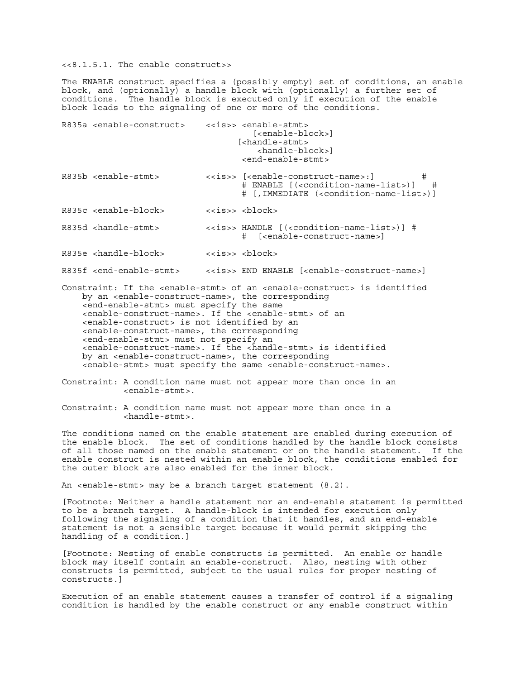<<8.1.5.1. The enable construct>>

The ENABLE construct specifies a (possibly empty) set of conditions, an enable block, and (optionally) a handle block with (optionally) a further set of conditions. The handle block is executed only if execution of the enable block leads to the signaling of one or more of the conditions.

| R835a <enable-construct></enable-construct> |                                                                                                                                                                                                                                                                | < <is>&gt; <enable-stmt><br/><math>[enable-block&gt;]</math><br/>[<handle-stmt><br/><handle-block>]<br/><end-enable-stmt></end-enable-stmt></handle-block></handle-stmt></enable-stmt></is>                                                                                                                                                                                                                                                                                                                                                                                   |
|---------------------------------------------|----------------------------------------------------------------------------------------------------------------------------------------------------------------------------------------------------------------------------------------------------------------|-------------------------------------------------------------------------------------------------------------------------------------------------------------------------------------------------------------------------------------------------------------------------------------------------------------------------------------------------------------------------------------------------------------------------------------------------------------------------------------------------------------------------------------------------------------------------------|
| R835b <enable-stmt></enable-stmt>           |                                                                                                                                                                                                                                                                | < <is>&gt; [<enable-construct-name>:]<br/>#<br/># ENABLE [(<condition-name-list>)] #<br/># [, IMMEDIATE (<condition-name-list>)]</condition-name-list></condition-name-list></enable-construct-name></is>                                                                                                                                                                                                                                                                                                                                                                     |
| R835c <enable-block></enable-block>         |                                                                                                                                                                                                                                                                | < <is>&gt; <block></block></is>                                                                                                                                                                                                                                                                                                                                                                                                                                                                                                                                               |
| R835d <handle-stmt></handle-stmt>           |                                                                                                                                                                                                                                                                | < <is>&gt; HANDLE [(<condition-name-list>)] #<br/># [<enable-construct-name>]</enable-construct-name></condition-name-list></is>                                                                                                                                                                                                                                                                                                                                                                                                                                              |
| R835e <handle-block></handle-block>         |                                                                                                                                                                                                                                                                | ssis>> shlock>                                                                                                                                                                                                                                                                                                                                                                                                                                                                                                                                                                |
|                                             |                                                                                                                                                                                                                                                                | R835f <end-enable-stmt> &lt;<is>&gt; END ENABLE [<enable-construct-name>]</enable-construct-name></is></end-enable-stmt>                                                                                                                                                                                                                                                                                                                                                                                                                                                      |
|                                             | <end-enable-stmt> must specify the same<br/><enable-construct> is not identified by an<br/><enable-construct-name>, the corresponding<br/><end-enable-stmt> must not specify an</end-enable-stmt></enable-construct-name></enable-construct></end-enable-stmt> | Constraint: If the <enable-stmt> of an <enable-construct> is identified<br/>by an <enable-construct-name>, the corresponding<br/><enable-construct-name>. If the <enable-stmt> of an<br/><enable-construct-name>. If the <handle-stmt> is identified<br/>by an <enable-construct-name>, the corresponding<br/><enable-stmt> must specify the same <enable-construct-name>.</enable-construct-name></enable-stmt></enable-construct-name></handle-stmt></enable-construct-name></enable-stmt></enable-construct-name></enable-construct-name></enable-construct></enable-stmt> |
|                                             | <enable-stmt>.</enable-stmt>                                                                                                                                                                                                                                   | Constraint: A condition name must not appear more than once in an                                                                                                                                                                                                                                                                                                                                                                                                                                                                                                             |
|                                             | $\verb chandle-stmt .$                                                                                                                                                                                                                                         | Constraint: A condition name must not appear more than once in a                                                                                                                                                                                                                                                                                                                                                                                                                                                                                                              |
|                                             |                                                                                                                                                                                                                                                                | The conditions named on the enable statement are enabled during execution of<br>the enable block. The set of conditions handled by the handle block consist                                                                                                                                                                                                                                                                                                                                                                                                                   |

the enable block. The set of conditions handled by the handle block consists of all those named on the enable statement or on the handle statement. If the enable construct is nested within an enable block, the conditions enabled for the outer block are also enabled for the inner block.

An <enable-stmt> may be a branch target statement (8.2).

[Footnote: Neither a handle statement nor an end-enable statement is permitted to be a branch target. A handle-block is intended for execution only following the signaling of a condition that it handles, and an end-enable statement is not a sensible target because it would permit skipping the handling of a condition.]

[Footnote: Nesting of enable constructs is permitted. An enable or handle block may itself contain an enable-construct. Also, nesting with other constructs is permitted, subject to the usual rules for proper nesting of constructs.]

Execution of an enable statement causes a transfer of control if a signaling condition is handled by the enable construct or any enable construct within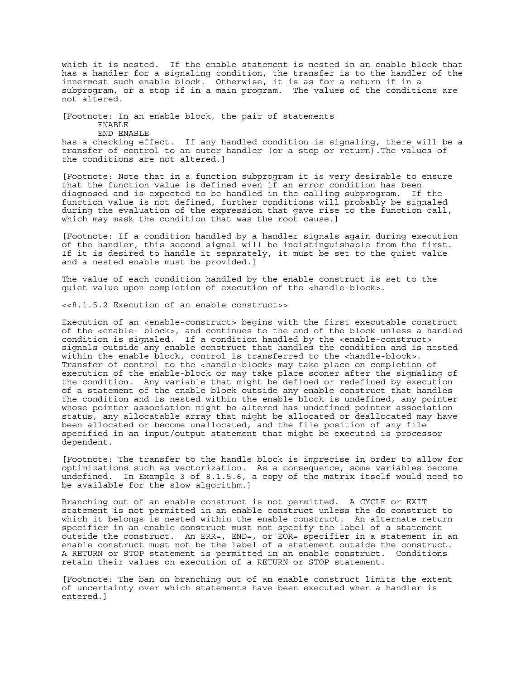which it is nested. If the enable statement is nested in an enable block that has a handler for a signaling condition, the transfer is to the handler of the innermost such enable block. Otherwise, it is as for a return if in a subprogram, or a stop if in a main program. The values of the conditions are not altered.

[Footnote: In an enable block, the pair of statements ENABLE END ENABLE

has a checking effect. If any handled condition is signaling, there will be a transfer of control to an outer handler (or a stop or return).The values of the conditions are not altered.]

[Footnote: Note that in a function subprogram it is very desirable to ensure that the function value is defined even if an error condition has been diagnosed and is expected to be handled in the calling subprogram. If the function value is not defined, further conditions will probably be signaled during the evaluation of the expression that gave rise to the function call, which may mask the condition that was the root cause.]

[Footnote: If a condition handled by a handler signals again during execution of the handler, this second signal will be indistinguishable from the first. If it is desired to handle it separately, it must be set to the quiet value and a nested enable must be provided.]

The value of each condition handled by the enable construct is set to the quiet value upon completion of execution of the <handle-block>.

<<8.1.5.2 Execution of an enable construct>>

Execution of an <enable-construct> begins with the first executable construct of the <enable- block>, and continues to the end of the block unless a handled condition is signaled. If a condition handled by the <enable-construct> signals outside any enable construct that handles the condition and is nested within the enable  $\overline{b}$ lock, control is transferred to the <handle-block>. Transfer of control to the <handle-block> may take place on completion of execution of the enable-block or may take place sooner after the signaling of the condition. Any variable that might be defined or redefined by execution of a statement of the enable block outside any enable construct that handles the condition and is nested within the enable block is undefined, any pointer whose pointer association might be altered has undefined pointer association status, any allocatable array that might be allocated or deallocated may have been allocated or become unallocated, and the file position of any file specified in an input/output statement that might be executed is processor dependent.

[Footnote: The transfer to the handle block is imprecise in order to allow for optimizations such as vectorization. As a consequence, some variables become undefined. In Example 3 of 8.1.5.6, a copy of the matrix itself would need to be available for the slow algorithm.]

Branching out of an enable construct is not permitted. A CYCLE or EXIT statement is not permitted in an enable construct unless the do construct to which it belongs is nested within the enable construct. An alternate return specifier in an enable construct must not specify the label of a statement outside the construct. An ERR=, END=, or EOR= specifier in a statement in an enable construct must not be the label of a statement outside the construct. A RETURN or STOP statement is permitted in an enable construct. Conditions retain their values on execution of a RETURN or STOP statement.

[Footnote: The ban on branching out of an enable construct limits the extent of uncertainty over which statements have been executed when a handler is entered.]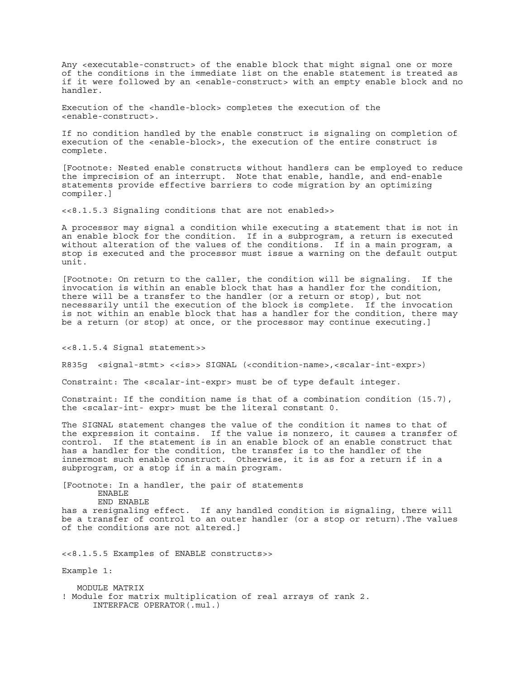Any <executable-construct> of the enable block that might signal one or more of the conditions in the immediate list on the enable statement is treated as if it were followed by an <enable-construct> with an empty enable block and no handler.

Execution of the <handle-block> completes the execution of the <enable-construct>.

If no condition handled by the enable construct is signaling on completion of execution of the <enable-block>, the execution of the entire construct is complete.

[Footnote: Nested enable constructs without handlers can be employed to reduce the imprecision of an interrupt. Note that enable, handle, and end-enable statements provide effective barriers to code migration by an optimizing compiler.]

<<8.1.5.3 Signaling conditions that are not enabled>>

A processor may signal a condition while executing a statement that is not in an enable block for the condition. If in a subprogram, a return is executed without alteration of the values of the conditions. If in a main program, a stop is executed and the processor must issue a warning on the default output unit.

[Footnote: On return to the caller, the condition will be signaling. If the invocation is within an enable block that has a handler for the condition, there will be a transfer to the handler (or a return or stop), but not necessarily until the execution of the block is complete. If the invocation is not within an enable block that has a handler for the condition, there may be a return (or stop) at once, or the processor may continue executing.]

<<8.1.5.4 Signal statement>>

R835g <signal-stmt> <<is>> SIGNAL (<condition-name>,<scalar-int-expr>)

Constraint: The <scalar-int-expr> must be of type default integer.

Constraint: If the condition name is that of a combination condition (15.7), the <scalar-int- expr> must be the literal constant 0.

The SIGNAL statement changes the value of the condition it names to that of the expression it contains. If the value is nonzero, it causes a transfer of control. If the statement is in an enable block of an enable construct that has a handler for the condition, the transfer is to the handler of the innermost such enable construct. Otherwise, it is as for a return if in a subprogram, or a stop if in a main program.

[Footnote: In a handler, the pair of statements ENABLE END ENABLE has a resignaling effect. If any handled condition is signaling, there will be a transfer of control to an outer handler (or a stop or return).The values of the conditions are not altered.]

<<8.1.5.5 Examples of ENABLE constructs>>

Example 1:

 MODULE MATRIX ! Module for matrix multiplication of real arrays of rank 2. INTERFACE OPERATOR(.mul.)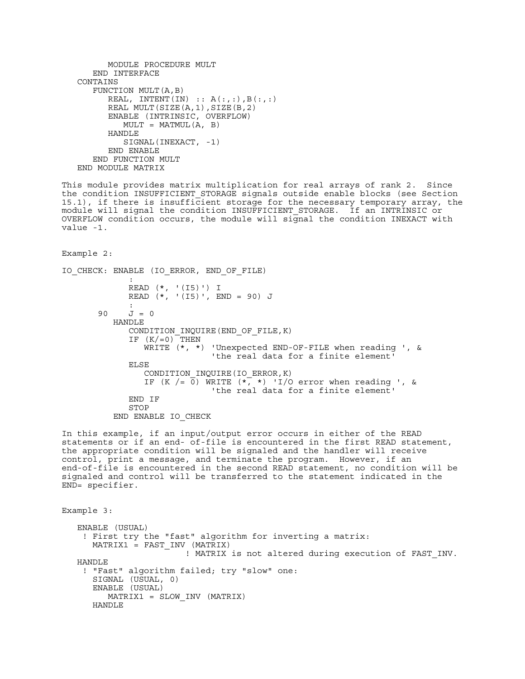```
 MODULE PROCEDURE MULT
   END INTERFACE
 CONTAINS
    FUNCTION MULT(A,B)
      REAL, INTENT(IN) :: A(:,:), B(:,:) REAL MULT(SIZE(A,1),SIZE(B,2)
       ENABLE (INTRINSIC, OVERFLOW)
        MULT = MATMUL(A, B) HANDLE
          SIGNAL(INEXACT, -1)
       END ENABLE
    END FUNCTION MULT
 END MODULE MATRIX
```
This module provides matrix multiplication for real arrays of rank 2. Since the condition INSUFFICIENT\_STORAGE signals outside enable blocks (see Section 15.1), if there is insufficient storage for the necessary temporary array, the module will signal the condition INSUFFICIENT\_STORAGE. If an INTRINSIC or OVERFLOW condition occurs, the module will signal the condition INEXACT with value -1.

Example 2:

```
IO_CHECK: ENABLE (IO_ERROR, END_OF_FILE)
\mathbb{R}^m . The contract of \mathbb{R}^m READ (*, '(I5)') I
              READ (*, '(I5)', END = 90) J
 :
       90 J = 0 HANDLE
               CONDITION_INQUIRE(END_OF_FILE,K)
              IF (K/=0) THEN
                  WRITE (*, *) 'Unexpected END-OF-FILE when reading ', &
                                'the real data for a finite element'
               ELSE
                  CONDITION_INQUIRE(IO_ERROR,K)
                 IF (K / = \overline{0}) WRITE (*, *) 'I/O error when reading ', &
                                 'the real data for a finite element'
               END IF
               STOP
            END ENABLE IO_CHECK
```
In this example, if an input/output error occurs in either of the READ statements or if an end- of-file is encountered in the first READ statement, the appropriate condition will be signaled and the handler will receive control, print a message, and terminate the program. However, if an end-of-file is encountered in the second READ statement, no condition will be signaled and control will be transferred to the statement indicated in the END= specifier.

Example 3: ENABLE (USUAL) ! First try the "fast" algorithm for inverting a matrix: MATRIX1 = FAST\_INV (MATRIX) ! MATRIX is not altered during execution of FAST\_INV. HANDLE ! "Fast" algorithm failed; try "slow" one: SIGNAL (USUAL, 0) ENABLE (USUAL) MATRIX1 = SLOW\_INV (MATRIX) HANDLE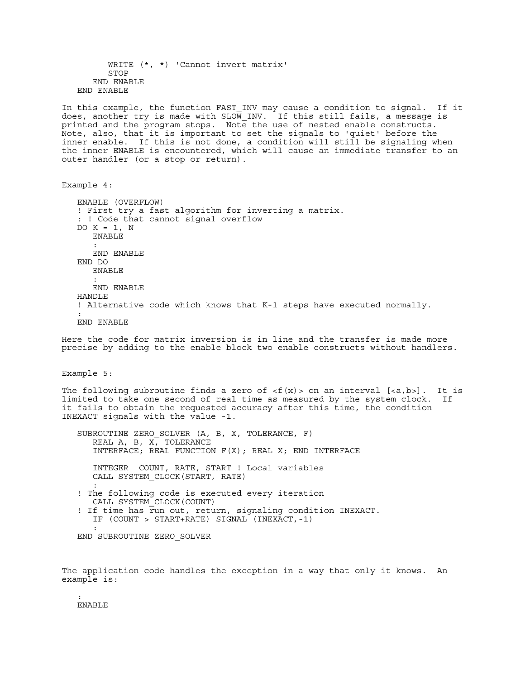WRITE (\*, \*) 'Cannot invert matrix' STOP END ENABLE END ENABLE In this example, the function FAST\_INV may cause a condition to signal. If it does, another try is made with SLOW INV. If this still fails, a message is printed and the program stops. Note the use of nested enable constructs. Note, also, that it is important to set the signals to 'quiet' before the inner enable. If this is not done, a condition will still be signaling when the inner ENABLE is encountered, which will cause an immediate transfer to an outer handler (or a stop or return). Example 4: ENABLE (OVERFLOW) ! First try a fast algorithm for inverting a matrix. : ! Code that cannot signal overflow DO  $K = 1$ , N ENABLE : 100 minutes END ENABLE END DO ENABLE : 100 minutes END ENABLE HANDLE ! Alternative code which knows that K-1 steps have executed normally. : END ENABLE Here the code for matrix inversion is in line and the transfer is made more precise by adding to the enable block two enable constructs without handlers. Example 5: The following subroutine finds a zero of  $\langle f(x) \rangle$  on an interval  $[\langle a,b \rangle]$ . It is limited to take one second of real time as measured by the system clock. If it fails to obtain the requested accuracy after this time, the condition INEXACT signals with the value -1. SUBROUTINE ZERO\_SOLVER (A, B, X, TOLERANCE, F) REAL  $A$ ,  $B$ ,  $X$ , TOLERANCE INTERFACE; REAL FUNCTION F(X); REAL X; END INTERFACE INTEGER COUNT, RATE, START ! Local variables CALL SYSTEM\_CLOCK(START, RATE) : 100 minutes ! The following code is executed every iteration CALL SYSTEM\_CLOCK(COUNT) ! If time has run out, return, signaling condition INEXACT. IF (COUNT > START+RATE) SIGNAL (INEXACT,-1) : 100 minutes END SUBROUTINE ZERO\_SOLVER

The application code handles the exception in a way that only it knows. An example is:

 : ENABLE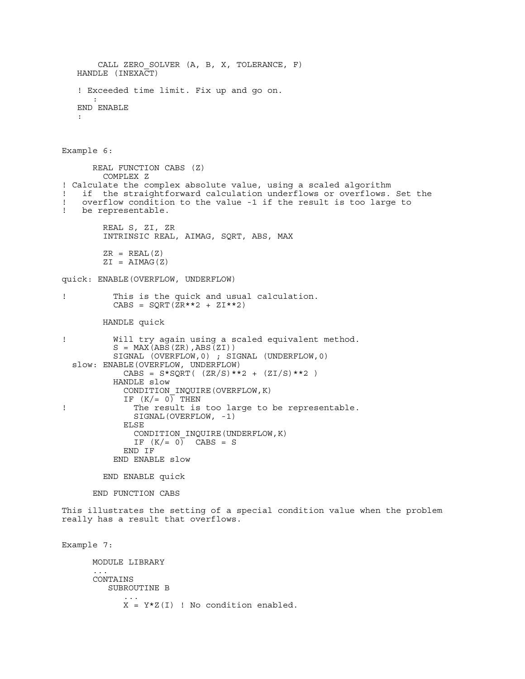```
 CALL ZERO_SOLVER (A, B, X, TOLERANCE, F)
    HANDLE (INEXACT)
    ! Exceeded time limit. Fix up and go on.
: 100 minutes
    END ENABLE
    :
Example 6:
       REAL FUNCTION CABS (Z)
         COMPLEX Z
! Calculate the complex absolute value, using a scaled algorithm
! if the straightforward calculation underflows or overflows. Set the<br>! overflow condition to the value -1 if the result is too large to
   overflow condition to the value -1 if the result is too large to
! be representable.
         REAL S, ZI, ZR
         INTRINSIC REAL, AIMAG, SQRT, ABS, MAX
        ZR = REAL(Z)ZI = AIMAG(Z)quick: ENABLE(OVERFLOW, UNDERFLOW)
! This is the quick and usual calculation.
          CABS = SQRT(ZR**2 + ZI**2) HANDLE quick
! Will try again using a scaled equivalent method.
S = MAX(ABS(ZR), ABS(ZI)) SIGNAL (OVERFLOW,0) ; SIGNAL (UNDERFLOW,0)
   slow: ENABLE(OVERFLOW, UNDERFLOW)
            CABS = S*SQRT( (ZR/S)**2 + (ZI/S)**2 ) HANDLE slow
             CONDITION_INQUIRE(OVERFLOW,K)
            IF (K/= 0) THEN
! The result is too large to be representable.
              SIGNAL(OVERFLOW, -1)
             ELSE
               CONDITION_INQUIRE(UNDERFLOW,K)
              IF (K/= 0) CABS = S
             END IF
           END ENABLE slow
         END ENABLE quick
       END FUNCTION CABS
This illustrates the setting of a special condition value when the problem
really has a result that overflows.
Example 7:
       MODULE LIBRARY
 ...
       CONTAINS
          SUBROUTINE B
 ...
            X = Y*Z(I) ! No condition enabled.
```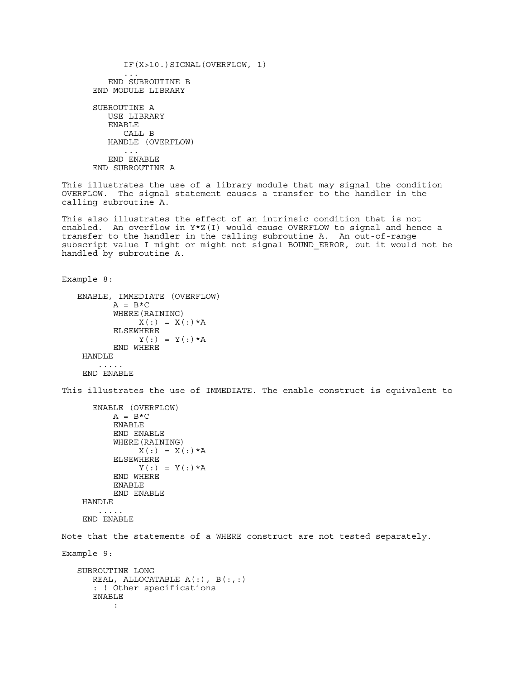IF(X>10.)SIGNAL(OVERFLOW, 1) ... END SUBROUTINE B END MODULE LIBRARY SUBROUTINE A USE LIBRARY ENABLE CALL B HANDLE (OVERFLOW) ...

> END ENABLE END SUBROUTINE A

This illustrates the use of a library module that may signal the condition OVERFLOW. The signal statement causes a transfer to the handler in the calling subroutine A.

This also illustrates the effect of an intrinsic condition that is not enabled. An overflow in Y\*Z(I) would cause OVERFLOW to signal and hence a transfer to the handler in the calling subroutine A. An out-of-range subscript value I might or might not signal BOUND\_ERROR, but it would not be handled by subroutine A.

```
Example 8:
```

```
 ENABLE, IMMEDIATE (OVERFLOW)
       A = B*C WHERE(RAINING)
            X(:) = X(:)*A ELSEWHERE
            Y(:) = Y(:)*A END WHERE
 HANDLE
      .....
```
END ENABLE

This illustrates the use of IMMEDIATE. The enable construct is equivalent to

```
 ENABLE (OVERFLOW)
      A = B*C ENABLE
       END ENABLE
       WHERE(RAINING)
           X(:) = X(:) *A ELSEWHERE
            Y(:) = Y(:) *A END WHERE
       ENABLE
       END ENABLE
 HANDLE
    .....
 END ENABLE
```
Note that the statements of a WHERE construct are not tested separately.

```
Example 9:
```

```
 SUBROUTINE LONG
      REAL, ALLOCATABLE A(:), B(:,:)
      : ! Other specifications
      ENABLE
 :
```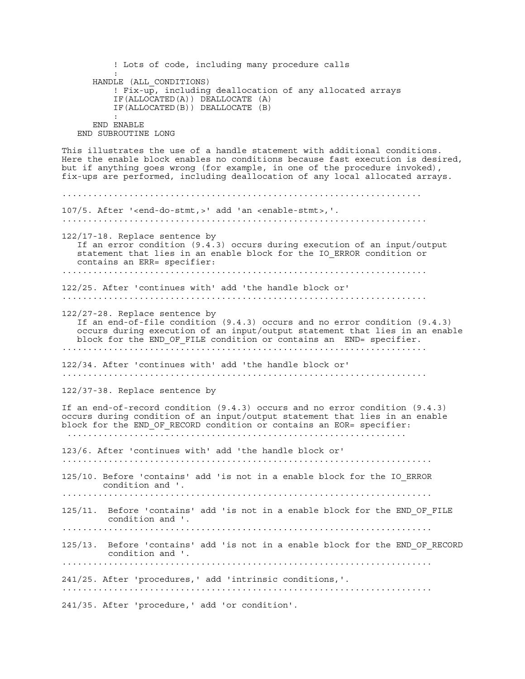! Lots of code, including many procedure calls : HANDLE (ALL\_CONDITIONS) ! Fix-up, including deallocation of any allocated arrays IF(ALLOCATED(A)) DEALLOCATE (A) IF(ALLOCATED(B)) DEALLOCATE (B) : END ENABLE END SUBROUTINE LONG This illustrates the use of a handle statement with additional conditions. Here the enable block enables no conditions because fast execution is desired, but if anything goes wrong (for example, in one of the procedure invoked), fix-ups are performed, including deallocation of any local allocated arrays. ...................................................................... 107/5. After '<end-do-stmt,>' add 'an <enable-stmt>,'. ....................................................................... 122/17-18. Replace sentence by If an error condition (9.4.3) occurs during execution of an input/output statement that lies in an enable block for the IO ERROR condition or contains an ERR= specifier: ....................................................................... 122/25. After 'continues with' add 'the handle block or' ....................................................................... 122/27-28. Replace sentence by If an end-of-file condition (9.4.3) occurs and no error condition (9.4.3) occurs during execution of an input/output statement that lies in an enable block for the END\_OF\_FILE condition or contains an END= specifier. ....................................................................... 122/34. After 'continues with' add 'the handle block or' ....................................................................... 122/37-38. Replace sentence by If an end-of-record condition (9.4.3) occurs and no error condition (9.4.3) occurs during condition of an input/output statement that lies in an enable block for the END OF RECORD condition or contains an EOR= specifier: .................................................................. 123/6. After 'continues with' add 'the handle block or' ........................................................................ 125/10. Before 'contains' add 'is not in a enable block for the IO\_ERROR condition and '. ........................................................................ 125/11. Before 'contains' add 'is not in a enable block for the END\_OF\_FILE condition and '. ........................................................................ 125/13. Before 'contains' add 'is not in a enable block for the END OF RECORD condition and '. ........................................................................ 241/25. After 'procedures,' add 'intrinsic conditions,'. ........................................................................ 241/35. After 'procedure,' add 'or condition'.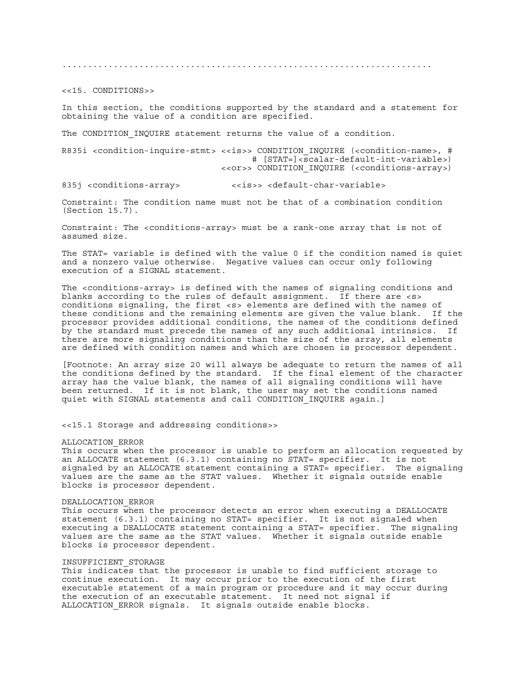........................................................................

<<15. CONDITIONS>>

In this section, the conditions supported by the standard and a statement for obtaining the value of a condition are specified.

The CONDITION INQUIRE statement returns the value of a condition.

R835i <condition-inquire-stmt> <<is>> CONDITION INQUIRE (<condition-name>, # # [STAT=]<scalar-default-int-variable>) <<or>> CONDITION\_INQUIRE (<conditions-array>)

835j <conditions-array> <<is>> <default-char-variable>

Constraint: The condition name must not be that of a combination condition (Section 15.7).

Constraint: The <conditions-array> must be a rank-one array that is not of assumed size.

The STAT= variable is defined with the value 0 if the condition named is quiet and a nonzero value otherwise. Negative values can occur only following execution of a SIGNAL statement.

The <conditions-array> is defined with the names of signaling conditions and blanks according to the rules of default assignment. If there are <s> conditions signaling, the first <s> elements are defined with the names of these conditions and the remaining elements are given the value blank. If the processor provides additional conditions, the names of the conditions defined by the standard must precede the names of any such additional intrinsics. If there are more signaling conditions than the size of the array, all elements are defined with condition names and which are chosen is processor dependent.

[Footnote: An array size 20 will always be adequate to return the names of all the conditions defined by the standard. If the final element of the character array has the value blank, the names of all signaling conditions will have been returned. If it is not blank, the user may set the conditions named quiet with SIGNAL statements and call CONDITION\_INQUIRE again.]

<<15.1 Storage and addressing conditions>>

## ALLOCATION\_ERROR

This occurs when the processor is unable to perform an allocation requested by an ALLOCATE statement (6.3.1) containing no STAT= specifier. It is not signaled by an ALLOCATE statement containing a STAT= specifier. The signaling values are the same as the STAT values. Whether it signals outside enable blocks is processor dependent.

## DEALLOCATION\_ERROR

This occurs when the processor detects an error when executing a DEALLOCATE statement (6.3.1) containing no STAT= specifier. It is not signaled when executing a DEALLOCATE statement containing a STAT= specifier. The signaling values are the same as the STAT values. Whether it signals outside enable blocks is processor dependent.

## INSUFFICIENT\_STORAGE

This indicates that the processor is unable to find sufficient storage to continue execution. It may occur prior to the execution of the first executable statement of a main program or procedure and it may occur during the execution of an executable statement. It need not signal if ALLOCATION\_ERROR signals. It signals outside enable blocks.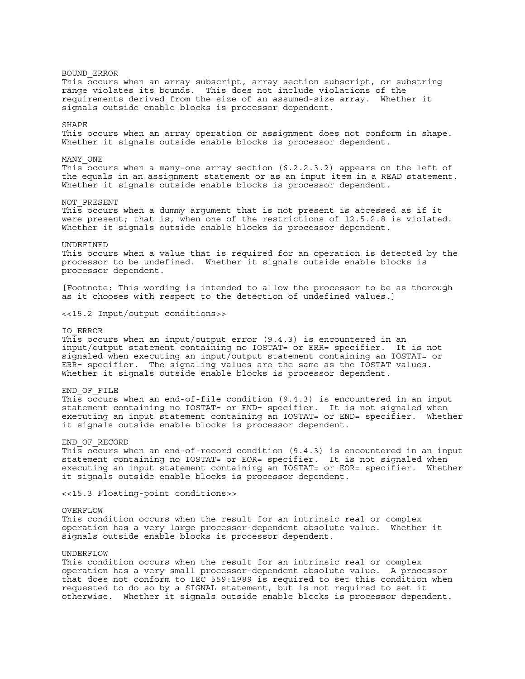BOUND\_ERROR This occurs when an array subscript, array section subscript, or substring range violates its bounds. This does not include violations of the requirements derived from the size of an assumed-size array. Whether it signals outside enable blocks is processor dependent. SHAPE This occurs when an array operation or assignment does not conform in shape. Whether it signals outside enable blocks is processor dependent. MANY\_ONE This occurs when a many-one array section (6.2.2.3.2) appears on the left of the equals in an assignment statement or as an input item in a READ statement. Whether it signals outside enable blocks is processor dependent. NOT\_PRESENT This occurs when a dummy argument that is not present is accessed as if it were present; that is, when one of the restrictions of 12.5.2.8 is violated. Whether it signals outside enable blocks is processor dependent. UNDEFINED This occurs when a value that is required for an operation is detected by the processor to be undefined. Whether it signals outside enable blocks is processor dependent. [Footnote: This wording is intended to allow the processor to be as thorough as it chooses with respect to the detection of undefined values.] <<15.2 Input/output conditions>> IO\_ERROR This occurs when an input/output error (9.4.3) is encountered in an input/output statement containing no IOSTAT= or ERR= specifier. It is not signaled when executing an input/output statement containing an IOSTAT= or ERR= specifier. The signaling values are the same as the IOSTAT values. Whether it signals outside enable blocks is processor dependent. END\_OF\_FILE This occurs when an end-of-file condition  $(9.4.3)$  is encountered in an input statement containing no IOSTAT= or END= specifier. It is not signaled when executing an input statement containing an IOSTAT= or END= specifier. Whether it signals outside enable blocks is processor dependent. END\_OF\_RECORD This occurs when an end-of-record condition (9.4.3) is encountered in an input statement containing no IOSTAT= or EOR= specifier. It is not signaled when executing an input statement containing an IOSTAT= or EOR= specifier. Whether it signals outside enable blocks is processor dependent. <<15.3 Floating-point conditions>> OVERFLOW This condition occurs when the result for an intrinsic real or complex operation has a very large processor-dependent absolute value. Whether it signals outside enable blocks is processor dependent. UNDERFLOW This condition occurs when the result for an intrinsic real or complex

operation has a very small processor-dependent absolute value. A processor that does not conform to IEC 559:1989 is required to set this condition when requested to do so by a SIGNAL statement, but is not required to set it otherwise. Whether it signals outside enable blocks is processor dependent.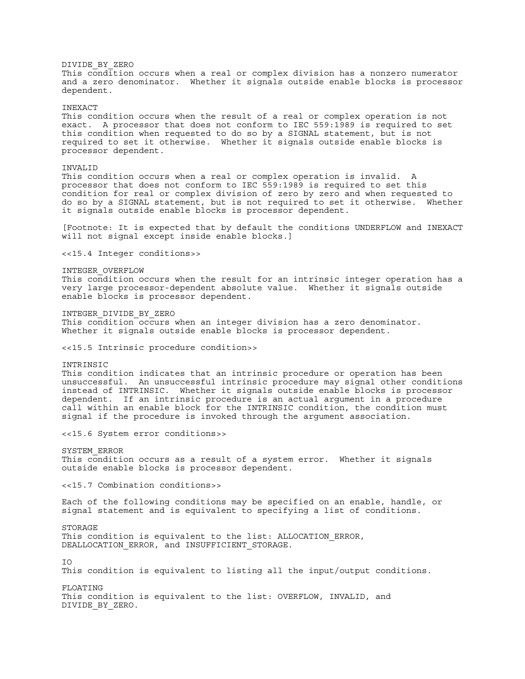DIVIDE\_BY\_ZERO This condition occurs when a real or complex division has a nonzero numerator and a zero denominator. Whether it signals outside enable blocks is processor dependent. INEXACT This condition occurs when the result of a real or complex operation is not exact. A processor that does not conform to IEC 559:1989 is required to set this condition when requested to do so by a SIGNAL statement, but is not required to set it otherwise. Whether it signals outside enable blocks is processor dependent. INVALID This condition occurs when a real or complex operation is invalid. A processor that does not conform to IEC 559:1989 is required to set this condition for real or complex division of zero by zero and when requested to do so by a SIGNAL statement, but is not required to set it otherwise. Whether it signals outside enable blocks is processor dependent. [Footnote: It is expected that by default the conditions UNDERFLOW and INEXACT will not signal except inside enable blocks.] <<15.4 Integer conditions>> INTEGER\_OVERFLOW This condition occurs when the result for an intrinsic integer operation has a very large processor-dependent absolute value. Whether it signals outside enable blocks is processor dependent. INTEGER\_DIVIDE\_BY\_ZERO This condition occurs when an integer division has a zero denominator. Whether it signals outside enable blocks is processor dependent. <<15.5 Intrinsic procedure condition>> INTRINSIC This condition indicates that an intrinsic procedure or operation has been unsuccessful. An unsuccessful intrinsic procedure may signal other conditions instead of INTRINSIC. Whether it signals outside enable blocks is processor dependent. If an intrinsic procedure is an actual argument in a procedure call within an enable block for the INTRINSIC condition, the condition must signal if the procedure is invoked through the argument association. <<15.6 System error conditions>> SYSTEM\_ERROR This condition occurs as a result of a system error. Whether it signals outside enable blocks is processor dependent. <<15.7 Combination conditions>> Each of the following conditions may be specified on an enable, handle, or signal statement and is equivalent to specifying a list of conditions. STORAGE This condition is equivalent to the list: ALLOCATION\_ERROR, DEALLOCATION ERROR, and INSUFFICIENT STORAGE. IO This condition is equivalent to listing all the input/output conditions. FLOATING This condition is equivalent to the list: OVERFLOW, INVALID, and DIVIDE\_BY\_ZERO.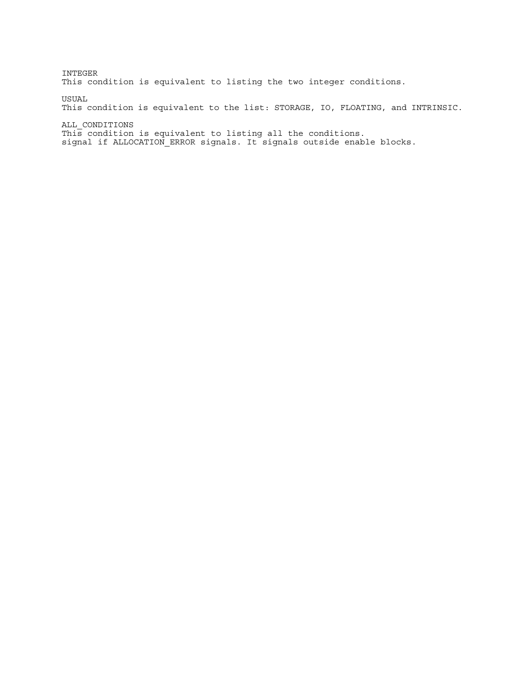INTEGER This condition is equivalent to listing the two integer conditions. USUAL

This condition is equivalent to the list: STORAGE, IO, FLOATING, and INTRINSIC.

ALL\_CONDITIONS This condition is equivalent to listing all the conditions. signal if ALLOCATION\_ERROR signals. It signals outside enable blocks.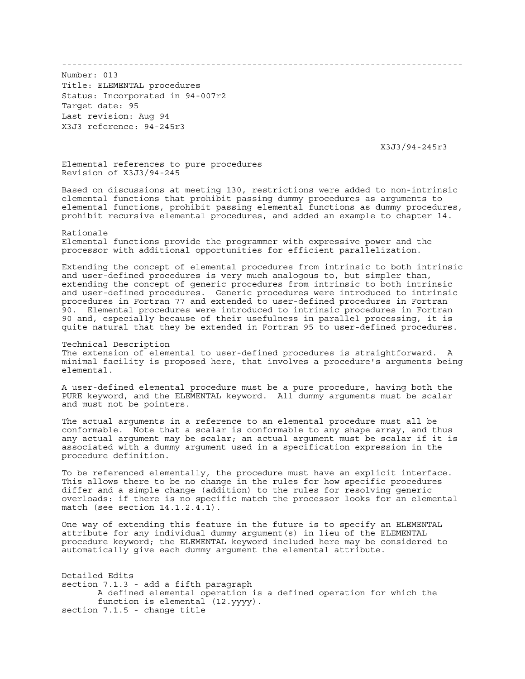------------------------------------------------------------------------------

Number: 013 Title: ELEMENTAL procedures Status: Incorporated in 94-007r2 Target date: 95 Last revision: Aug 94 X3J3 reference: 94-245r3

X3J3/94-245r3

Elemental references to pure procedures Revision of X3J3/94-245

Based on discussions at meeting 130, restrictions were added to non-intrinsic elemental functions that prohibit passing dummy procedures as arguments to elemental functions, prohibit passing elemental functions as dummy procedures, prohibit recursive elemental procedures, and added an example to chapter 14.

Rationale Elemental functions provide the programmer with expressive power and the processor with additional opportunities for efficient parallelization.

Extending the concept of elemental procedures from intrinsic to both intrinsic and user-defined procedures is very much analogous to, but simpler than, extending the concept of generic procedures from intrinsic to both intrinsic and user-defined procedures. Generic procedures were introduced to intrinsic procedures in Fortran 77 and extended to user-defined procedures in Fortran 90. Elemental procedures were introduced to intrinsic procedures in Fortran 90 and, especially because of their usefulness in parallel processing, it is quite natural that they be extended in Fortran 95 to user-defined procedures.

Technical Description The extension of elemental to user-defined procedures is straightforward. A minimal facility is proposed here, that involves a procedure's arguments being elemental.

A user-defined elemental procedure must be a pure procedure, having both the PURE keyword, and the ELEMENTAL keyword. All dummy arguments must be scalar and must not be pointers.

The actual arguments in a reference to an elemental procedure must all be conformable. Note that a scalar is conformable to any shape array, and thus any actual argument may be scalar; an actual argument must be scalar if it is associated with a dummy argument used in a specification expression in the procedure definition.

To be referenced elementally, the procedure must have an explicit interface. This allows there to be no change in the rules for how specific procedures differ and a simple change (addition) to the rules for resolving generic overloads: if there is no specific match the processor looks for an elemental match (see section 14.1.2.4.1).

One way of extending this feature in the future is to specify an ELEMENTAL attribute for any individual dummy argument(s) in lieu of the ELEMENTAL procedure keyword; the ELEMENTAL keyword included here may be considered to automatically give each dummy argument the elemental attribute.

Detailed Edits section 7.1.3 - add a fifth paragraph A defined elemental operation is a defined operation for which the function is elemental (12.yyyy). section 7.1.5 - change title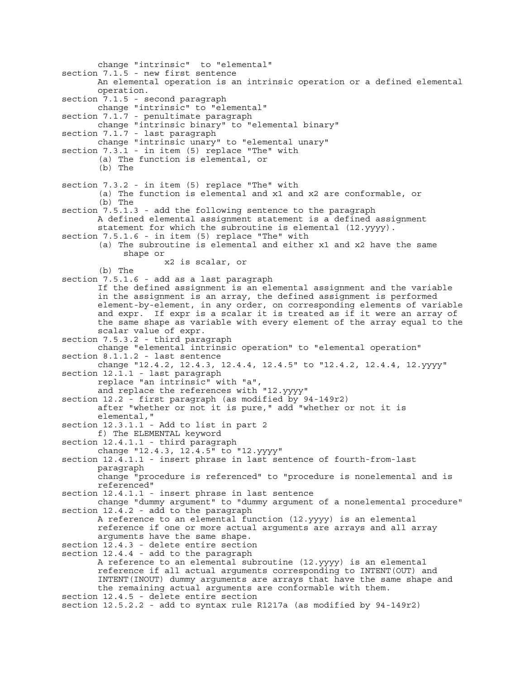change "intrinsic" to "elemental" section 7.1.5 - new first sentence An elemental operation is an intrinsic operation or a defined elemental operation. section 7.1.5 - second paragraph change "intrinsic" to "elemental" section 7.1.7 - penultimate paragraph change "intrinsic binary" to "elemental binary" section 7.1.7 - last paragraph change "intrinsic unary" to "elemental unary" section 7.3.1 - in item (5) replace "The" with (a) The function is elemental, or (b) The section 7.3.2 - in item (5) replace "The" with (a) The function is elemental and x1 and x2 are conformable, or (b) The section 7.5.1.3 - add the following sentence to the paragraph A defined elemental assignment statement is a defined assignment statement for which the subroutine is elemental (12.yyyy). section 7.5.1.6 - in item (5) replace "The" with (a) The subroutine is elemental and either x1 and x2 have the same shape or x2 is scalar, or (b) The section 7.5.1.6 - add as a last paragraph If the defined assignment is an elemental assignment and the variable in the assignment is an array, the defined assignment is performed element-by-element, in any order, on corresponding elements of variable and expr. If expr is a scalar it is treated as if it were an array of the same shape as variable with every element of the array equal to the scalar value of expr. section 7.5.3.2 - third paragraph change "elemental intrinsic operation" to "elemental operation" section 8.1.1.2 - last sentence change "12.4.2, 12.4.3, 12.4.4, 12.4.5" to "12.4.2, 12.4.4, 12.yyyy" section 12.1.1 - last paragraph replace "an intrinsic" with "a", and replace the references with "12.yyyy" section 12.2 - first paragraph (as modified by 94-149r2) after "whether or not it is pure," add "whether or not it is elemental," section 12.3.1.1 - Add to list in part 2 f) The ELEMENTAL keyword section 12.4.1.1 - third paragraph change "12.4.3, 12.4.5" to "12.yyyy" section 12.4.1.1 - insert phrase in last sentence of fourth-from-last paragraph change "procedure is referenced" to "procedure is nonelemental and is referenced" section 12.4.1.1 - insert phrase in last sentence change "dummy argument" to "dummy argument of a nonelemental procedure" section 12.4.2 - add to the paragraph A reference to an elemental function (12.yyyy) is an elemental reference if one or more actual arguments are arrays and all array arguments have the same shape. section 12.4.3 - delete entire section section 12.4.4 - add to the paragraph A reference to an elemental subroutine (12.yyyy) is an elemental reference if all actual arguments corresponding to INTENT(OUT) and INTENT(INOUT) dummy arguments are arrays that have the same shape and the remaining actual arguments are conformable with them. section 12.4.5 - delete entire section section 12.5.2.2 - add to syntax rule R1217a (as modified by 94-149r2)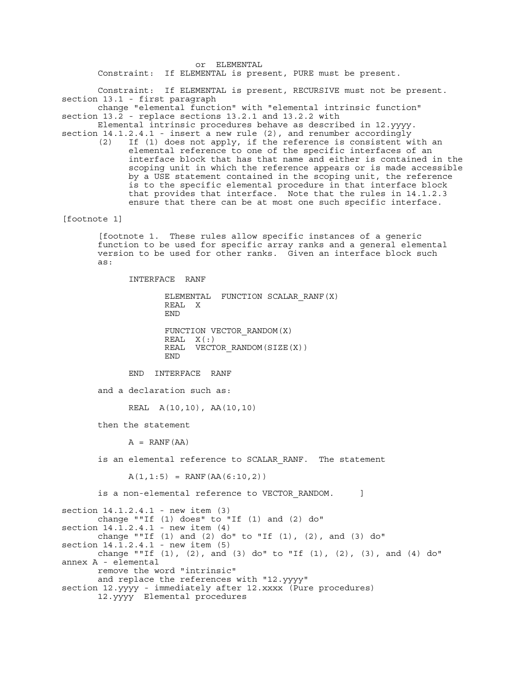or ELEMENTAL Constraint: If ELEMENTAL is present, PURE must be present.

 Constraint: If ELEMENTAL is present, RECURSIVE must not be present. section 13.1 - first paragraph

 change "elemental function" with "elemental intrinsic function" section 13.2 - replace sections 13.2.1 and 13.2.2 with

 Elemental intrinsic procedures behave as described in 12.yyyy. section 14.1.2.4.1 - insert a new rule (2), and renumber accordingly

 (2) If (1) does not apply, if the reference is consistent with an elemental reference to one of the specific interfaces of an interface block that has that name and either is contained in the scoping unit in which the reference appears or is made accessible by a USE statement contained in the scoping unit, the reference is to the specific elemental procedure in that interface block that provides that interface. Note that the rules in 14.1.2.3 ensure that there can be at most one such specific interface.

[footnote 1]

 [footnote 1. These rules allow specific instances of a generic function to be used for specific array ranks and a general elemental version to be used for other ranks. Given an interface block such as:

INTERFACE RANF

```
 ELEMENTAL FUNCTION SCALAR_RANF(X)
 REAL X
 END
 FUNCTION VECTOR_RANDOM(X)
```
 REAL X(:) REAL VECTOR RANDOM(SIZE(X)) END END

END INTERFACE RANF

and a declaration such as:

REAL A(10,10), AA(10,10)

then the statement

 $A = RANF(AA)$ 

is an elemental reference to SCALAR RANF. The statement

 $A(1, 1:5) = RANF(AA(6:10, 2))$ 

is a non-elemental reference to VECTOR RANDOM.  $|$ 

```
section 14.1.2.4.1 - new item (3)
        change ""If (1) does" to "If (1) and (2) do"
section 14.\overline{1}.2.4.1 - new item (4)change ""If (1) and (2) do" to "If (1), (2), and (3) do"
section 14.1.2.4.1 - new item (5)
       change ""If (1), (2), and (3) do" to "If (1), (2), (3), and (4) do"
annex A - elemental
        remove the word "intrinsic"
        and replace the references with "12.yyyy"
section 12.yyyy - immediately after 12.xxxx (Pure procedures)
 12.yyyy Elemental procedures
```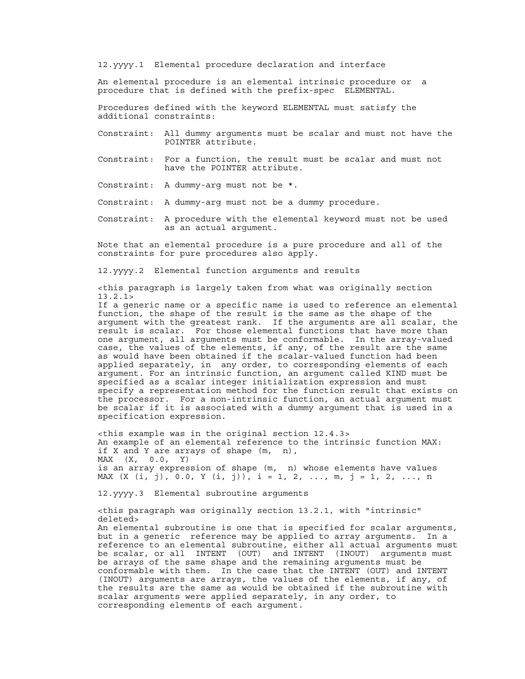12.yyyy.1 Elemental procedure declaration and interface

 An elemental procedure is an elemental intrinsic procedure or a procedure that is defined with the prefix-spec ELEMENTAL.

 Procedures defined with the keyword ELEMENTAL must satisfy the additional constraints:

- Constraint: All dummy arguments must be scalar and must not have the POINTER attribute.
- Constraint: For a function, the result must be scalar and must not have the POINTER attribute.
- Constraint: A dummy-arg must not be \*.
- Constraint: A dummy-arg must not be a dummy procedure.
- Constraint: A procedure with the elemental keyword must not be used as an actual argument.

 Note that an elemental procedure is a pure procedure and all of the constraints for pure procedures also apply.

12.yyyy.2 Elemental function arguments and results

 <this paragraph is largely taken from what was originally section 13.2.1>

 If a generic name or a specific name is used to reference an elemental function, the shape of the result is the same as the shape of the argument with the greatest rank. If the arguments are all scalar, the result is scalar. For those elemental functions that have more than one argument, all arguments must be conformable. In the array-valued case, the values of the elements, if any, of the result are the same as would have been obtained if the scalar-valued function had been applied separately, in any order, to corresponding elements of each argument. For an intrinsic function, an argument called KIND must be specified as a scalar integer initialization expression and must specify a representation method for the function result that exists on the processor. For a non-intrinsic function, an actual argument must be scalar if it is associated with a dummy argument that is used in a specification expression.

 <this example was in the original section 12.4.3> An example of an elemental reference to the intrinsic function MAX: if X and Y are arrays of shape (m, n), MAX (X, 0.0, Y) is an array expression of shape (m, n) whose elements have values MAX  $(X (i, j), 0.0, Y (i, j)), i = 1, 2, ..., m, j = 1, 2, ..., n$ 

12.yyyy.3 Elemental subroutine arguments

 <this paragraph was originally section 13.2.1, with "intrinsic" deleted> An elemental subroutine is one that is specified for scalar arguments, but in a generic reference may be applied to array arguments. In a reference to an elemental subroutine, either all actual arguments must be scalar, or all INTENT (OUT) and INTENT (INOUT) arguments must be arrays of the same shape and the remaining arguments must be conformable with them. In the case that the INTENT (OUT) and INTENT (INOUT) arguments are arrays, the values of the elements, if any, of the results are the same as would be obtained if the subroutine with scalar arguments were applied separately, in any order, to corresponding elements of each argument.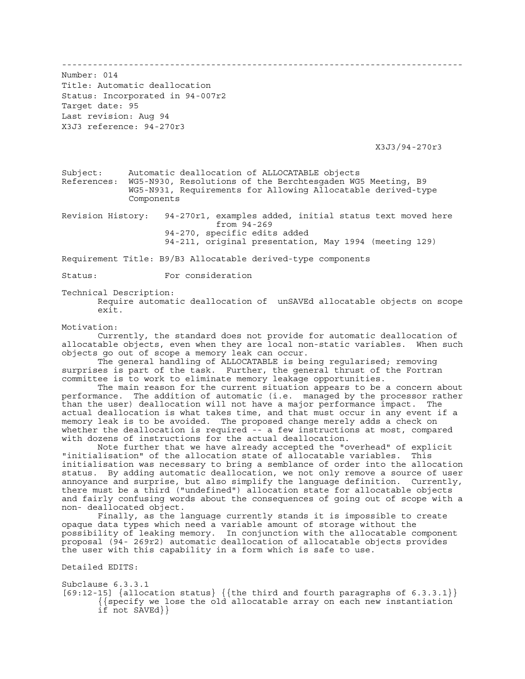------------------------------------------------------------------------------

Number: 014 Title: Automatic deallocation Status: Incorporated in 94-007r2 Target date: 95 Last revision: Aug 94 X3J3 reference: 94-270r3

X3J3/94-270r3

Subject: Automatic deallocation of ALLOCATABLE objects References: WG5-N930, Resolutions of the Berchtesgaden WG5 Meeting, B9 WG5-N931, Requirements for Allowing Allocatable derived-type Components

Revision History: 94-270r1, examples added, initial status text moved here from 94-269 94-270, specific edits added 94-211, original presentation, May 1994 (meeting 129)

Requirement Title: B9/B3 Allocatable derived-type components

Status: For consideration

Technical Description:

 Require automatic deallocation of unSAVEd allocatable objects on scope exit.

Motivation:

 Currently, the standard does not provide for automatic deallocation of allocatable objects, even when they are local non-static variables. When such objects go out of scope a memory leak can occur.

 The general handling of ALLOCATABLE is being regularised; removing surprises is part of the task. Further, the general thrust of the Fortran committee is to work to eliminate memory leakage opportunities.

 The main reason for the current situation appears to be a concern about performance. The addition of automatic (i.e. managed by the processor rather than the user) deallocation will not have a major performance impact. The actual deallocation is what takes time, and that must occur in any event if a memory leak is to be avoided. The proposed change merely adds a check on whether the deallocation is required -- a few instructions at most, compared with dozens of instructions for the actual deallocation.

 Note further that we have already accepted the "overhead" of explicit "initialisation" of the allocation state of allocatable variables. This initialisation was necessary to bring a semblance of order into the allocation status. By adding automatic deallocation, we not only remove a source of user annoyance and surprise, but also simplify the language definition. Currently, there must be a third ("undefined") allocation state for allocatable objects and fairly confusing words about the consequences of going out of scope with a non- deallocated object.

 Finally, as the language currently stands it is impossible to create opaque data types which need a variable amount of storage without the possibility of leaking memory. In conjunction with the allocatable component proposal (94- 269r2) automatic deallocation of allocatable objects provides the user with this capability in a form which is safe to use.

Detailed EDITS:

Subclause 6.3.3.1 [69:12-15]  $\{allocation status\}$   $\{the third and fourth paragraphs of 6.3.3.1\}$  {{specify we lose the old allocatable array on each new instantiation if not SAVEd}}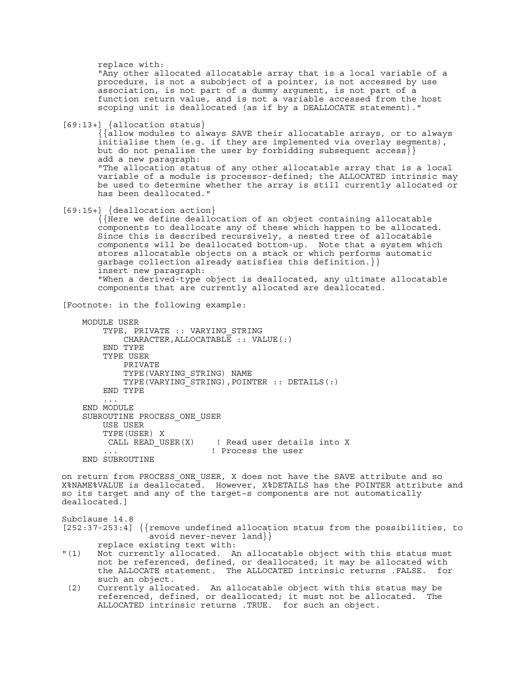replace with: "Any other allocated allocatable array that is a local variable of a procedure, is not a subobject of a pointer, is not accessed by use association, is not part of a dummy argument, is not part of a function return value, and is not a variable accessed from the host scoping unit is deallocated (as if by a DEALLOCATE statement)." [69:13+] {allocation status} {{allow modules to always SAVE their allocatable arrays, or to always initialise them (e.g. if they are implemented via overlay segments), but do not penalise the user by forbidding subsequent  $access$ } add a new paragraph: "The allocation status of any other allocatable array that is a local variable of a module is processor-defined; the ALLOCATED intrinsic may be used to determine whether the array is still currently allocated or has been deallocated." [69:15+] {deallocation action} {{Here we define deallocation of an object containing allocatable components to deallocate any of these which happen to be allocated. Since this is described recursively, a nested tree of allocatable components will be deallocated bottom-up. Note that a system which stores allocatable objects on a stack or which performs automatic garbage collection already satisfies this definition.}} insert new paragraph: "When a derived-type object is deallocated, any ultimate allocatable components that are currently allocated are deallocated. [Footnote: in the following example: MODULE USER TYPE, PRIVATE :: VARYING\_STRING CHARACTER,ALLOCATABLE :: VALUE(:) END TYPE TYPE USER PRIVATE TYPE(VARYING\_STRING) NAME TYPE(VARYING\_STRING),POINTER :: DETAILS(:) END TYPE ... END MODULE SUBROUTINE PROCESS\_ONE\_USER USE USER TYPE(USER) X CALL READ USER(X) | Read user details into X ... ! Process the user END SUBROUTINE on return from PROCESS\_ONE\_USER, X does not have the SAVE attribute and so X%NAME%VALUE is deallocated. However, X%DETAILS has the POINTER attribute and so its target and any of the target~s components are not automatically deallocated.] Subclause 14.8 [252:37-253:4] {{remove undefined allocation status from the possibilities, to avoid never-never land}} replace existing text with:<br>"(1) Not currently allocated. A Not currently allocated. An allocatable object with this status must not be referenced, defined, or deallocated; it may be allocated with the ALLOCATE statement. The ALLOCATED intrinsic returns .FALSE. for such an object. (2) Currently allocated. An allocatable object with this status may be referenced, defined, or deallocated; it must not be allocated. The ALLOCATED intrinsic returns .TRUE. for such an object.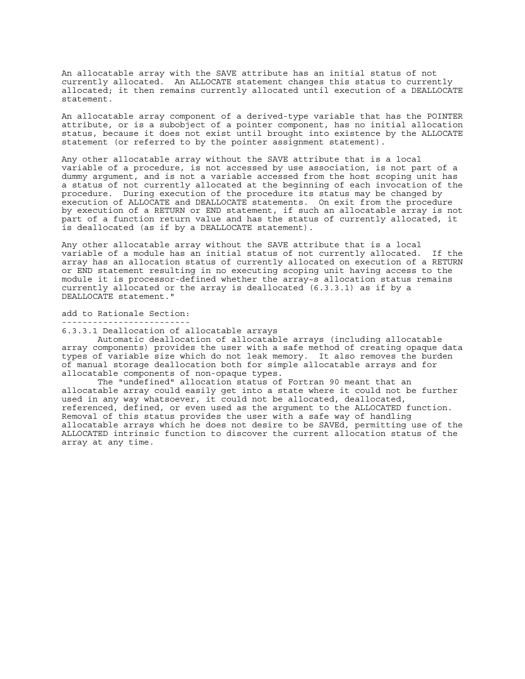An allocatable array with the SAVE attribute has an initial status of not currently allocated. An ALLOCATE statement changes this status to currently allocated; it then remains currently allocated until execution of a DEALLOCATE statement.

An allocatable array component of a derived-type variable that has the POINTER attribute, or is a subobject of a pointer component, has no initial allocation status, because it does not exist until brought into existence by the ALLOCATE statement (or referred to by the pointer assignment statement).

Any other allocatable array without the SAVE attribute that is a local variable of a procedure, is not accessed by use association, is not part of a dummy argument, and is not a variable accessed from the host scoping unit has a status of not currently allocated at the beginning of each invocation of the procedure. During execution of the procedure its status may be changed by execution of ALLOCATE and DEALLOCATE statements. On exit from the procedure by execution of a RETURN or END statement, if such an allocatable array is not part of a function return value and has the status of currently allocated, it is deallocated (as if by a DEALLOCATE statement).

Any other allocatable array without the SAVE attribute that is a local variable of a module has an initial status of not currently allocated. If the array has an allocation status of currently allocated on execution of a RETURN or END statement resulting in no executing scoping unit having access to the module it is processor-defined whether the array~s allocation status remains currently allocated or the array is deallocated (6.3.3.1) as if by a DEALLOCATE statement."

add to Rationale Section:

-------------------------

6.3.3.1 Deallocation of allocatable arrays

 Automatic deallocation of allocatable arrays (including allocatable array components) provides the user with a safe method of creating opaque data types of variable size which do not leak memory. It also removes the burden of manual storage deallocation both for simple allocatable arrays and for allocatable components of non-opaque types.

 The "undefined" allocation status of Fortran 90 meant that an allocatable array could easily get into a state where it could not be further used in any way whatsoever, it could not be allocated, deallocated, referenced, defined, or even used as the argument to the ALLOCATED function. Removal of this status provides the user with a safe way of handling allocatable arrays which he does not desire to be SAVEd, permitting use of the ALLOCATED intrinsic function to discover the current allocation status of the array at any time.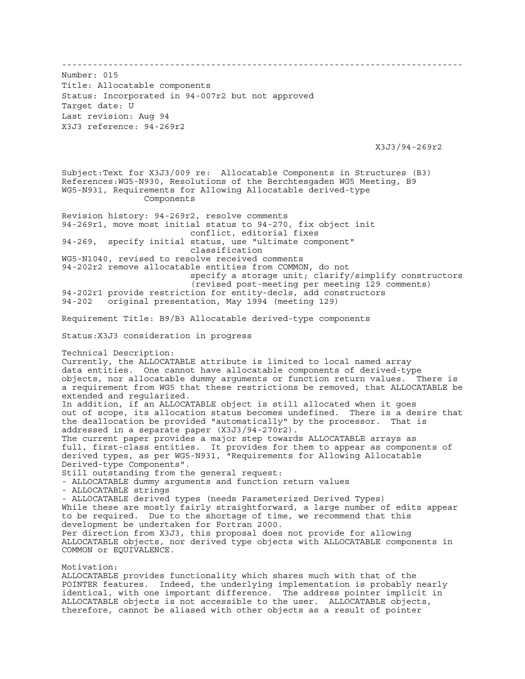------------------------------------------------------------------------------ Number: 015 Title: Allocatable components Status: Incorporated in 94-007r2 but not approved Target date: U Last revision: Aug 94 X3J3 reference: 94-269r2 X3J3/94-269r2 Subject:Text for X3J3/009 re: Allocatable Components in Structures (B3) References:WG5-N930, Resolutions of the Berchtesgaden WG5 Meeting, B9 WG5-N931, Requirements for Allowing Allocatable derived-type Components Revision history: 94-269r2, resolve comments 94-269r1, move most initial status to 94-270, fix object init conflict, editorial fixes 94-269, specify initial status, use "ultimate component" classification WG5-N1040, revised to resolve received comments 94-202r2 remove allocatable entities from COMMON, do not specify a storage unit; clarify/simplify constructors (revised post-meeting per meeting 129 comments) 94-202r1 provide restriction for entity-decls, add constructors<br>94-202 original presentation, May 1994 (meeting 129) original presentation, May 1994 (meeting 129) Requirement Title: B9/B3 Allocatable derived-type components Status:X3J3 consideration in progress Technical Description: Currently, the ALLOCATABLE attribute is limited to local named array data entities. One cannot have allocatable components of derived-type objects, nor allocatable dummy arguments or function return values. There is a requirement from WG5 that these restrictions be removed, that ALLOCATABLE be extended and regularized. In addition, if an ALLOCATABLE object is still allocated when it goes out of scope, its allocation status becomes undefined. There is a desire that the deallocation be provided "automatically" by the processor. That is addressed in a separate paper (X3J3/94-270r2). The current paper provides a major step towards ALLOCATABLE arrays as full, first-class entities. It provides for them to appear as components of derived types, as per WG5-N931, "Requirements for Allowing Allocatable Derived-type Components". Still outstanding from the general request: - ALLOCATABLE dummy arguments and function return values - ALLOCATABLE strings - ALLOCATABLE derived types (needs Parameterized Derived Types) While these are mostly fairly straightforward, a large number of edits appear to be required. Due to the shortage of time, we recommend that this development be undertaken for Fortran 2000. Per direction from X3J3, this proposal does not provide for allowing ALLOCATABLE objects, nor derived type objects with ALLOCATABLE components in COMMON or EQUIVALENCE. Motivation:

ALLOCATABLE provides functionality which shares much with that of the POINTER features. Indeed, the underlying implementation is probably nearly identical, with one important difference. The address pointer implicit in ALLOCATABLE objects is not accessible to the user. ALLOCATABLE objects, therefore, cannot be aliased with other objects as a result of pointer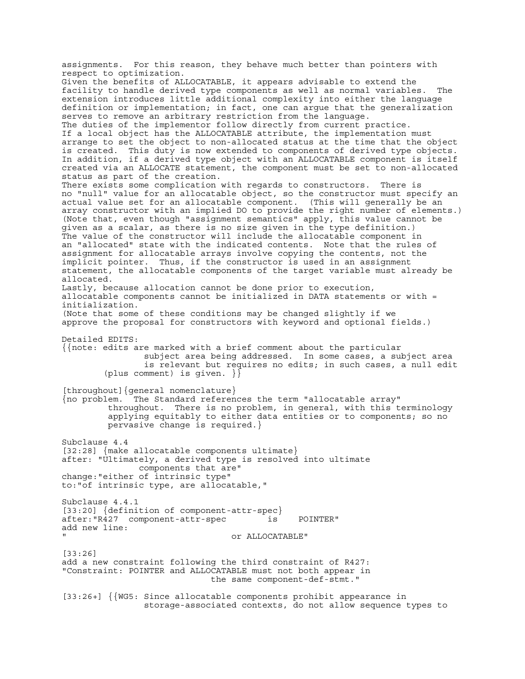assignments. For this reason, they behave much better than pointers with respect to optimization. Given the benefits of ALLOCATABLE, it appears advisable to extend the facility to handle derived type components as well as normal variables. The extension introduces little additional complexity into either the language definition or implementation; in fact, one can argue that the generalization serves to remove an arbitrary restriction from the language. The duties of the implementor follow directly from current practice. If a local object has the ALLOCATABLE attribute, the implementation must arrange to set the object to non-allocated status at the time that the object is created. This duty is now extended to components of derived type objects. In addition, if a derived type object with an ALLOCATABLE component is itself created via an ALLOCATE statement, the component must be set to non-allocated status as part of the creation. There exists some complication with regards to constructors. There is no "null" value for an allocatable object, so the constructor must specify an actual value set for an allocatable component. (This will generally be an array constructor with an implied DO to provide the right number of elements.) (Note that, even though "assignment semantics" apply, this value cannot be given as a scalar, as there is no size given in the type definition.) The value of the constructor will include the allocatable component in an "allocated" state with the indicated contents. Note that the rules of assignment for allocatable arrays involve copying the contents, not the implicit pointer. Thus, if the constructor is used in an assignment statement, the allocatable components of the target variable must already be allocated. Lastly, because allocation cannot be done prior to execution, allocatable components cannot be initialized in DATA statements or with = initialization. (Note that some of these conditions may be changed slightly if we approve the proposal for constructors with keyword and optional fields.) Detailed EDITS: {{note: edits are marked with a brief comment about the particular subject area being addressed. In some cases, a subject area is relevant but requires no edits; in such cases, a null edit (plus comment) is given. }} [throughout]{general nomenclature} {no problem. The Standard references the term "allocatable array" throughout. There is no problem, in general, with this terminology applying equitably to either data entities or to components; so no pervasive change is required.} Subclause 4.4 [32:28] {make allocatable components ultimate} after: "Ultimately, a derived type is resolved into ultimate components that are" change:"either of intrinsic type" to:"of intrinsic type, are allocatable," Subclause 4.4.1 [33:20] {definition of component-attr-spec} after:"R427 component-attr-spec is POINTER" add new line: " or ALLOCATABLE" [33:26] add a new constraint following the third constraint of R427: "Constraint: POINTER and ALLOCATABLE must not both appear in the same component-def-stmt." [33:26+] {{WG5: Since allocatable components prohibit appearance in storage-associated contexts, do not allow sequence types to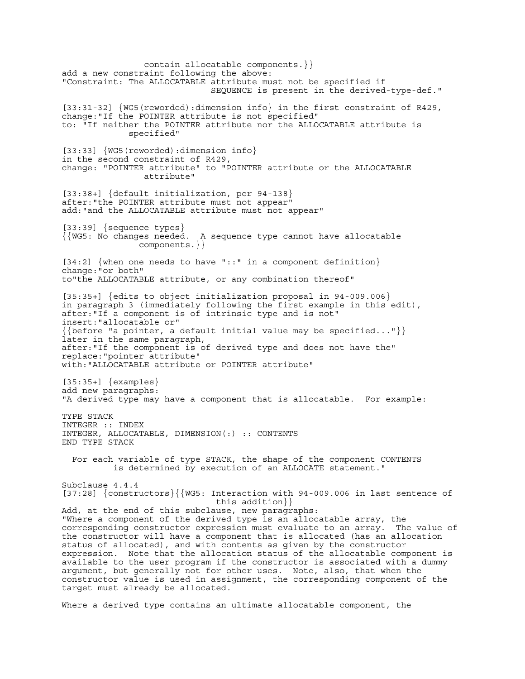contain allocatable components.}} add a new constraint following the above: "Constraint: The ALLOCATABLE attribute must not be specified if SEQUENCE is present in the derived-type-def." [33:31-32] {WG5(reworded):dimension info} in the first constraint of R429, change:"If the POINTER attribute is not specified" to: "If neither the POINTER attribute nor the ALLOCATABLE attribute is specified" [33:33] {WG5(reworded):dimension info} in the second constraint of R429, change: "POINTER attribute" to "POINTER attribute or the ALLOCATABLE attribute" [33:38+] {default initialization, per 94-138} after:"the POINTER attribute must not appear" add:"and the ALLOCATABLE attribute must not appear" [33:39] {sequence types} {{WG5: No changes needed. A sequence type cannot have allocatable components.}} [34:2] {when one needs to have "::" in a component definition} change:"or both" to"the ALLOCATABLE attribute, or any combination thereof" [35:35+] {edits to object initialization proposal in 94-009.006} in paragraph 3 (immediately following the first example in this edit), after:"If a component is of intrinsic type and is not" insert:"allocatable or"  $\{\{\text{before "a pointer, a default initial value may be specified..."\}\}$ later in the same paragraph, after:"If the component is of derived type and does not have the" replace:"pointer attribute" with:"ALLOCATABLE attribute or POINTER attribute" [35:35+] {examples} add new paragraphs: "A derived type may have a component that is allocatable. For example: TYPE STACK INTEGER :: INDEX INTEGER, ALLOCATABLE, DIMENSION(:) :: CONTENTS END TYPE STACK For each variable of type STACK, the shape of the component CONTENTS is determined by execution of an ALLOCATE statement." Subclause 4.4.4 [37:28] {constructors}{{WG5: Interaction with 94-009.006 in last sentence of this addition}} Add, at the end of this subclause, new paragraphs: "Where a component of the derived type is an allocatable array, the corresponding constructor expression must evaluate to an array. The value of the constructor will have a component that is allocated (has an allocation status of allocated), and with contents as given by the constructor expression. Note that the allocation status of the allocatable component is available to the user program if the constructor is associated with a dummy argument, but generally not for other uses. Note, also, that when the constructor value is used in assignment, the corresponding component of the target must already be allocated.

Where a derived type contains an ultimate allocatable component, the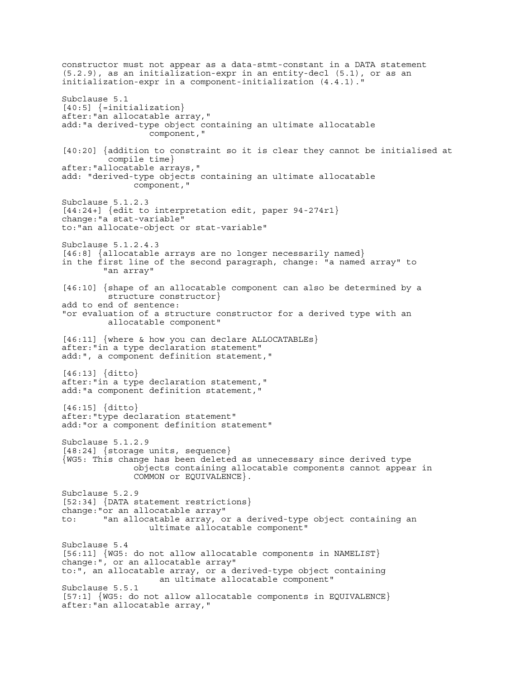constructor must not appear as a data-stmt-constant in a DATA statement (5.2.9), as an initialization-expr in an entity-decl (5.1), or as an initialization-expr in a component-initialization (4.4.1)." Subclause 5.1  $[40:5]$   $\{=\text{initialization}\}$ after:"an allocatable array," add:"a derived-type object containing an ultimate allocatable component," [40:20] {addition to constraint so it is clear they cannot be initialised at compile time} after:"allocatable arrays," add: "derived-type objects containing an ultimate allocatable component," Subclause 5.1.2.3 [44:24+] {edit to interpretation edit, paper 94-274r1} change:"a stat-variable" to:"an allocate-object or stat-variable" Subclause 5.1.2.4.3 [46:8] {allocatable arrays are no longer necessarily named} in the first line of the second paragraph, change: "a named array" to "an array" [46:10] {shape of an allocatable component can also be determined by a structure constructor} add to end of sentence: "or evaluation of a structure constructor for a derived type with an allocatable component" [46:11] {where & how you can declare ALLOCATABLEs} after:"in a type declaration statement" add:", a component definition statement," [46:13] {ditto} after:"in a type declaration statement," add:"a component definition statement," [46:15] {ditto} after:"type declaration statement" add:"or a component definition statement" Subclause 5.1.2.9 [48:24] {storage units, sequence} {WG5: This change has been deleted as unnecessary since derived type objects containing allocatable components cannot appear in COMMON or EQUIVALENCE}. Subclause 5.2.9 [52:34] {DATA statement restrictions} change:"or an allocatable array" to: "an allocatable array, or a derived-type object containing an ultimate allocatable component" Subclause 5.4 [56:11] {WG5: do not allow allocatable components in NAMELIST} change:", or an allocatable array" to:", an allocatable array, or a derived-type object containing an ultimate allocatable component" Subclause 5.5.1 [57:1] {WG5: do not allow allocatable components in EQUIVALENCE} after:"an allocatable array,"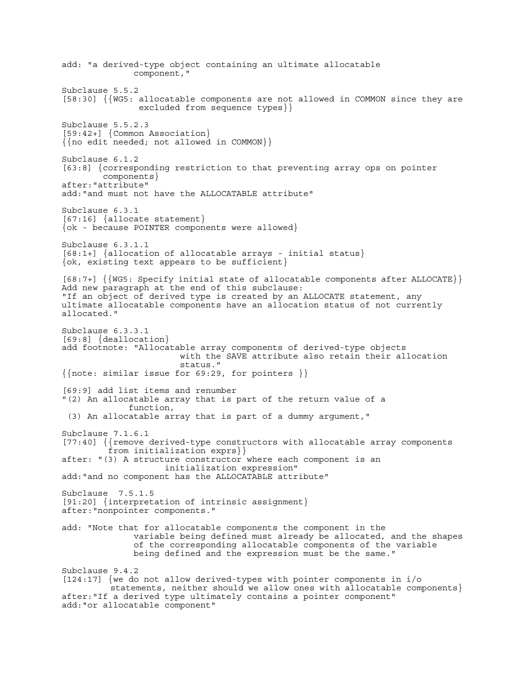add: "a derived-type object containing an ultimate allocatable component," Subclause 5.5.2 [58:30] {{WG5: allocatable components are not allowed in COMMON since they are excluded from sequence types}} Subclause 5.5.2.3 [59:42+] {Common Association} {{no edit needed; not allowed in COMMON}} Subclause 6.1.2 [63:8] {corresponding restriction to that preventing array ops on pointer components} after:"attribute" add:"and must not have the ALLOCATABLE attribute" Subclause 6.3.1  $[67:16]$  {allocate statement} {ok - because POINTER components were allowed} Subclause 6.3.1.1 [68:1+] {allocation of allocatable arrays - initial status} {ok, existing text appears to be sufficient} [68:7+] {{WG5: Specify initial state of allocatable components after ALLOCATE}} Add new paragraph at the end of this subclause: "If an object of derived type is created by an ALLOCATE statement, any ultimate allocatable components have an allocation status of not currently allocated." Subclause 6.3.3.1 [69:8] {deallocation} add footnote: "Allocatable array components of derived-type objects with the SAVE attribute also retain their allocation status."  $\{\{\text{note: similar issue for }69:29, for pointers }\}$ [69:9] add list items and renumber "(2) An allocatable array that is part of the return value of a function, (3) An allocatable array that is part of a dummy argument," Subclause 7.1.6.1 [77:40] {{remove derived-type constructors with allocatable array components from initialization exprs}} after: "(3) A structure constructor where each component is an initialization expression" add:"and no component has the ALLOCATABLE attribute" Subclause 7.5.1.5 [91:20] {interpretation of intrinsic assignment} after:"nonpointer components." add: "Note that for allocatable components the component in the variable being defined must already be allocated, and the shapes of the corresponding allocatable components of the variable being defined and the expression must be the same." Subclause 9.4.2 [124:17] {we do not allow derived-types with pointer components in i/o statements, neither should we allow ones with allocatable components} after:"If a derived type ultimately contains a pointer component" add:"or allocatable component"